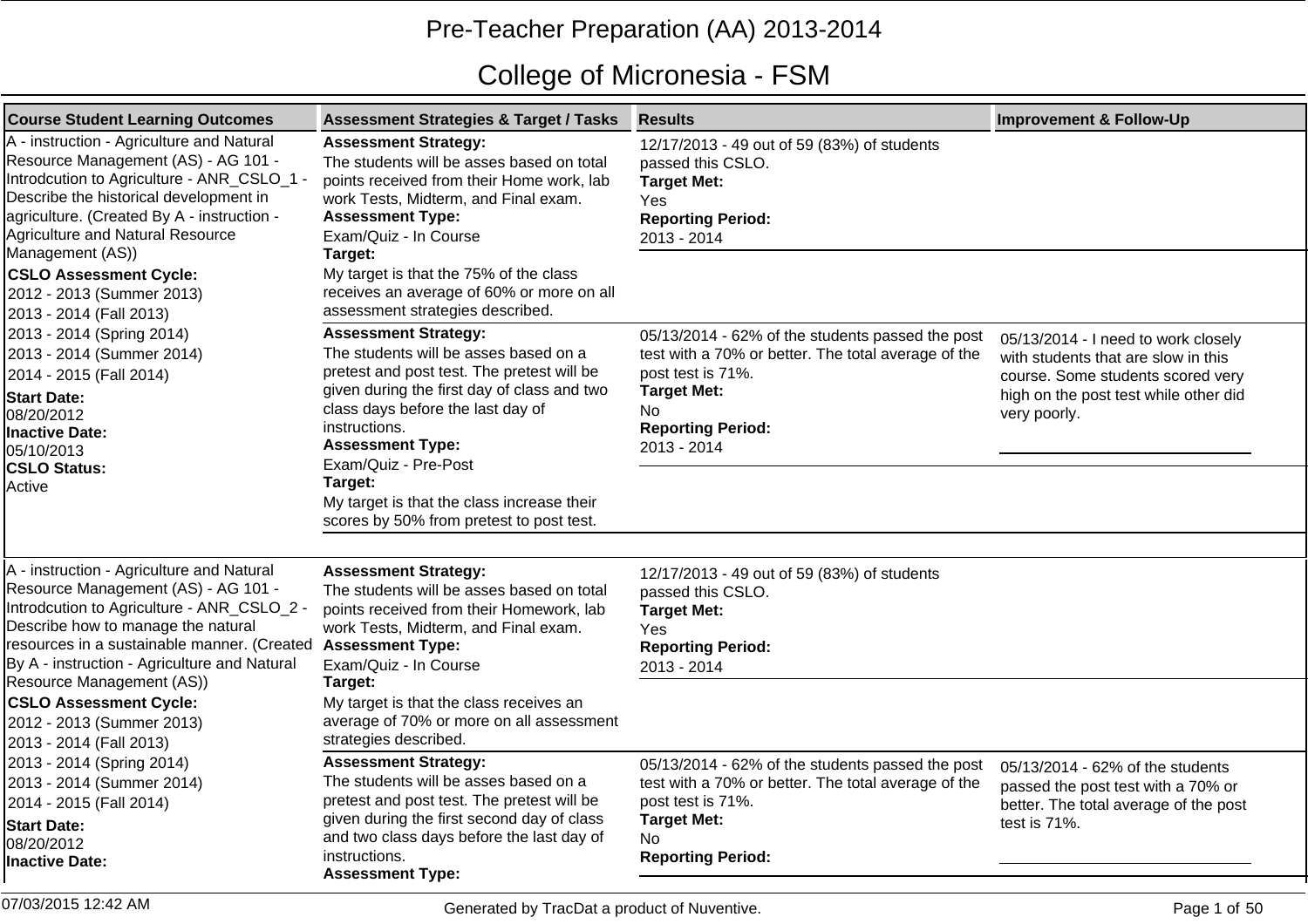## Pre-Teacher Preparation (AA) 2013-2014

## College of Micronesia - FSM

| <b>Course Student Learning Outcomes</b>                                                                                                                                                                                                                                                                                                                                                                    | <b>Assessment Strategies &amp; Target / Tasks</b>                                                                                                                                                                                                                                                                                                                               | <b>Results</b>                                                                                                                                                                                       | <b>Improvement &amp; Follow-Up</b>                                                                                                                                       |
|------------------------------------------------------------------------------------------------------------------------------------------------------------------------------------------------------------------------------------------------------------------------------------------------------------------------------------------------------------------------------------------------------------|---------------------------------------------------------------------------------------------------------------------------------------------------------------------------------------------------------------------------------------------------------------------------------------------------------------------------------------------------------------------------------|------------------------------------------------------------------------------------------------------------------------------------------------------------------------------------------------------|--------------------------------------------------------------------------------------------------------------------------------------------------------------------------|
| A - instruction - Agriculture and Natural<br>Resource Management (AS) - AG 101 -<br>Introdcution to Agriculture - ANR_CSLO_1 -<br>Describe the historical development in<br>agriculture. (Created By A - instruction -<br>Agriculture and Natural Resource                                                                                                                                                 | <b>Assessment Strategy:</b><br>The students will be asses based on total<br>points received from their Home work, lab<br>work Tests, Midterm, and Final exam.<br><b>Assessment Type:</b><br>Exam/Quiz - In Course                                                                                                                                                               | 12/17/2013 - 49 out of 59 (83%) of students<br>passed this CSLO.<br><b>Target Met:</b><br>Yes<br><b>Reporting Period:</b><br>2013 - 2014                                                             |                                                                                                                                                                          |
| Management (AS))<br><b>CSLO Assessment Cycle:</b><br>2012 - 2013 (Summer 2013)<br>2013 - 2014 (Fall 2013)                                                                                                                                                                                                                                                                                                  | Target:<br>My target is that the 75% of the class<br>receives an average of 60% or more on all<br>assessment strategies described.                                                                                                                                                                                                                                              |                                                                                                                                                                                                      |                                                                                                                                                                          |
| 2013 - 2014 (Spring 2014)<br>2013 - 2014 (Summer 2014)<br>2014 - 2015 (Fall 2014)<br><b>Start Date:</b><br>08/20/2012<br>Inactive Date:<br>05/10/2013<br><b>CSLO Status:</b><br>Active                                                                                                                                                                                                                     | <b>Assessment Strategy:</b><br>The students will be asses based on a<br>pretest and post test. The pretest will be<br>given during the first day of class and two<br>class days before the last day of<br>instructions.<br><b>Assessment Type:</b><br>Exam/Quiz - Pre-Post<br>Target:<br>My target is that the class increase their<br>scores by 50% from pretest to post test. | 05/13/2014 - 62% of the students passed the post<br>test with a 70% or better. The total average of the<br>post test is 71%.<br><b>Target Met:</b><br>No.<br><b>Reporting Period:</b><br>2013 - 2014 | 05/13/2014 - I need to work closely<br>with students that are slow in this<br>course. Some students scored very<br>high on the post test while other did<br>very poorly. |
| A - instruction - Agriculture and Natural<br>Resource Management (AS) - AG 101 -<br>Introdcution to Agriculture - ANR_CSLO_2 -<br>Describe how to manage the natural<br>resources in a sustainable manner. (Created Assessment Type:<br>By A - instruction - Agriculture and Natural<br>Resource Management (AS))<br><b>CSLO Assessment Cycle:</b><br>2012 - 2013 (Summer 2013)<br>2013 - 2014 (Fall 2013) | <b>Assessment Strategy:</b><br>The students will be asses based on total<br>points received from their Homework, lab<br>work Tests, Midterm, and Final exam.<br>Exam/Quiz - In Course<br>Target:<br>My target is that the class receives an<br>average of 70% or more on all assessment<br>strategies described.                                                                | 12/17/2013 - 49 out of 59 (83%) of students<br>passed this CSLO.<br><b>Target Met:</b><br>Yes<br><b>Reporting Period:</b><br>2013 - 2014                                                             |                                                                                                                                                                          |
| 2013 - 2014 (Spring 2014)<br>2013 - 2014 (Summer 2014)<br>2014 - 2015 (Fall 2014)<br><b>Start Date:</b><br>08/20/2012<br><b>Inactive Date:</b>                                                                                                                                                                                                                                                             | <b>Assessment Strategy:</b><br>The students will be asses based on a<br>pretest and post test. The pretest will be<br>given during the first second day of class<br>and two class days before the last day of<br>instructions.<br><b>Assessment Type:</b>                                                                                                                       | 05/13/2014 - 62% of the students passed the post<br>test with a 70% or better. The total average of the<br>post test is 71%.<br><b>Target Met:</b><br>No.<br><b>Reporting Period:</b>                | 05/13/2014 - 62% of the students<br>passed the post test with a 70% or<br>better. The total average of the post<br>test is 71%.                                          |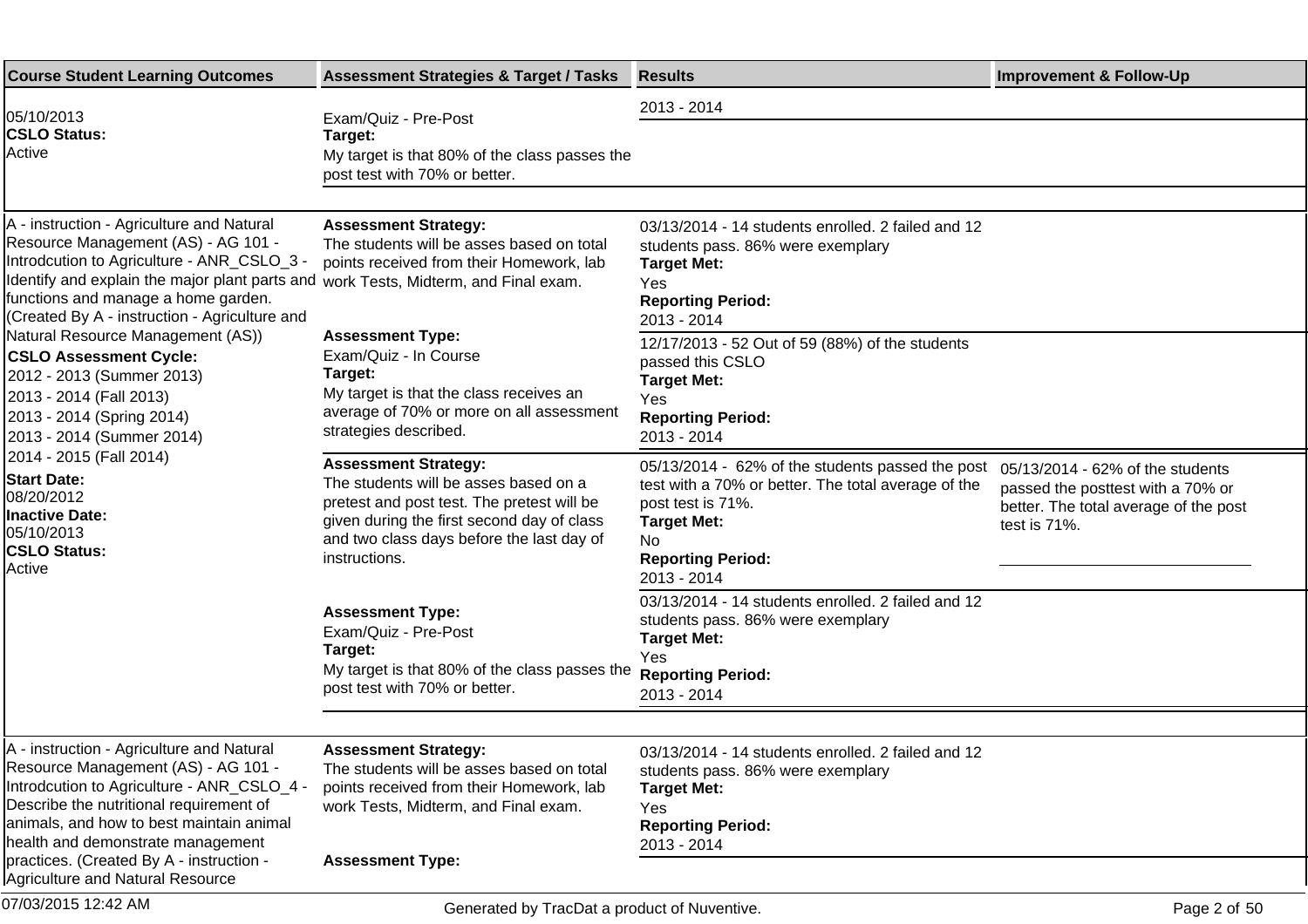| <b>Course Student Learning Outcomes</b>                                                                                                                                                                                                                                                                                            | <b>Assessment Strategies &amp; Target / Tasks</b>                                                                                                                                                                              | <b>Results</b>                                                                                                                                                                                       | <b>Improvement &amp; Follow-Up</b>                                                                                             |
|------------------------------------------------------------------------------------------------------------------------------------------------------------------------------------------------------------------------------------------------------------------------------------------------------------------------------------|--------------------------------------------------------------------------------------------------------------------------------------------------------------------------------------------------------------------------------|------------------------------------------------------------------------------------------------------------------------------------------------------------------------------------------------------|--------------------------------------------------------------------------------------------------------------------------------|
| 05/10/2013<br><b>CSLO Status:</b><br>Active                                                                                                                                                                                                                                                                                        | Exam/Quiz - Pre-Post<br>Target:<br>My target is that 80% of the class passes the<br>post test with 70% or better.                                                                                                              | 2013 - 2014                                                                                                                                                                                          |                                                                                                                                |
| A - instruction - Agriculture and Natural<br>Resource Management (AS) - AG 101 -<br>Introdcution to Agriculture - ANR_CSLO_3 -<br>Identify and explain the major plant parts and work Tests, Midterm, and Final exam.<br>functions and manage a home garden.<br>(Created By A - instruction - Agriculture and                      | <b>Assessment Strategy:</b><br>The students will be asses based on total<br>points received from their Homework, lab                                                                                                           | 03/13/2014 - 14 students enrolled. 2 failed and 12<br>students pass. 86% were exemplary<br><b>Target Met:</b><br>Yes<br><b>Reporting Period:</b><br>2013 - 2014                                      |                                                                                                                                |
| Natural Resource Management (AS))<br><b>CSLO Assessment Cycle:</b><br>2012 - 2013 (Summer 2013)<br>2013 - 2014 (Fall 2013)<br>2013 - 2014 (Spring 2014)<br>2013 - 2014 (Summer 2014)<br>2014 - 2015 (Fall 2014)<br><b>Start Date:</b><br>08/20/2012<br><b>Inactive Date:</b><br>05/10/2013<br><b>CSLO Status:</b><br><b>Active</b> | <b>Assessment Type:</b><br>Exam/Quiz - In Course<br>Target:<br>My target is that the class receives an<br>average of 70% or more on all assessment<br>strategies described.                                                    | 12/17/2013 - 52 Out of 59 (88%) of the students<br>passed this CSLO<br><b>Target Met:</b><br>Yes<br><b>Reporting Period:</b><br>2013 - 2014                                                          |                                                                                                                                |
|                                                                                                                                                                                                                                                                                                                                    | <b>Assessment Strategy:</b><br>The students will be asses based on a<br>pretest and post test. The pretest will be<br>given during the first second day of class<br>and two class days before the last day of<br>instructions. | 05/13/2014 - 62% of the students passed the post<br>test with a 70% or better. The total average of the<br>post test is 71%.<br><b>Target Met:</b><br>No.<br><b>Reporting Period:</b><br>2013 - 2014 | 05/13/2014 - 62% of the students<br>passed the posttest with a 70% or<br>better. The total average of the post<br>test is 71%. |
|                                                                                                                                                                                                                                                                                                                                    | <b>Assessment Type:</b><br>Exam/Quiz - Pre-Post<br>Target:<br>My target is that 80% of the class passes the<br>post test with 70% or better.                                                                                   | 03/13/2014 - 14 students enrolled. 2 failed and 12<br>students pass. 86% were exemplary<br><b>Target Met:</b><br>Yes<br><b>Reporting Period:</b><br>2013 - 2014                                      |                                                                                                                                |
| A - instruction - Agriculture and Natural<br>Resource Management (AS) - AG 101 -<br>Introdcution to Agriculture - ANR_CSLO_4 -<br>Describe the nutritional requirement of<br>animals, and how to best maintain animal<br>health and demonstrate management<br>practices. (Created By A - instruction -                             | <b>Assessment Strategy:</b><br>The students will be asses based on total<br>points received from their Homework, lab<br>work Tests, Midterm, and Final exam.<br><b>Assessment Type:</b>                                        | 03/13/2014 - 14 students enrolled. 2 failed and 12<br>students pass. 86% were exemplary<br><b>Target Met:</b><br>Yes<br><b>Reporting Period:</b><br>2013 - 2014                                      |                                                                                                                                |
| Agriculture and Natural Resource<br>07/03/2015 12:42 AM                                                                                                                                                                                                                                                                            | Generated by TracDat a product of Nuventive.                                                                                                                                                                                   |                                                                                                                                                                                                      | Page 2 of 50                                                                                                                   |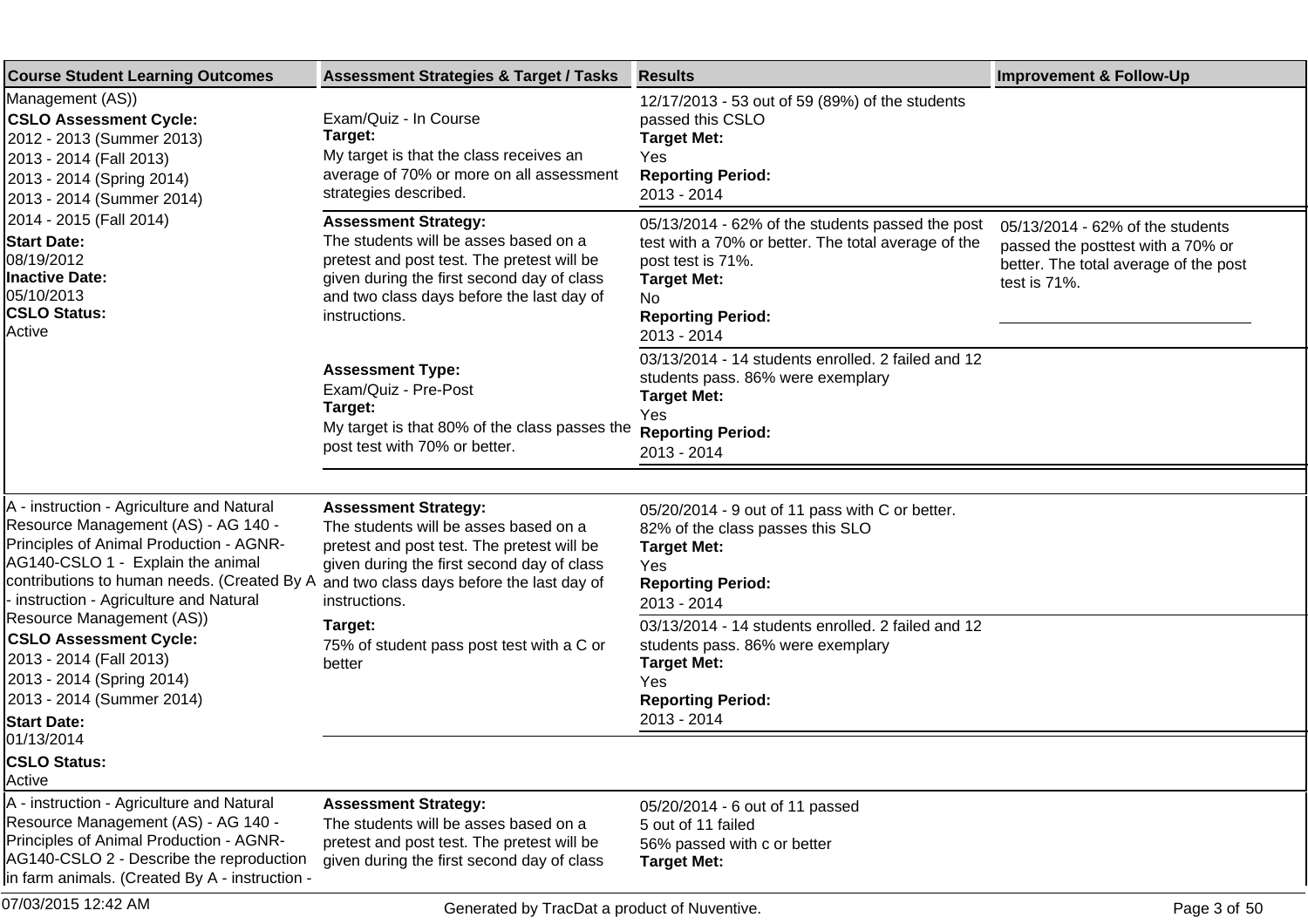| <b>Course Student Learning Outcomes</b>                                                                                                                                                                                                                                                                    | <b>Assessment Strategies &amp; Target / Tasks</b>                                                                                                                                                                              | <b>Results</b>                                                                                                                                                                                       | <b>Improvement &amp; Follow-Up</b>                                                                                             |
|------------------------------------------------------------------------------------------------------------------------------------------------------------------------------------------------------------------------------------------------------------------------------------------------------------|--------------------------------------------------------------------------------------------------------------------------------------------------------------------------------------------------------------------------------|------------------------------------------------------------------------------------------------------------------------------------------------------------------------------------------------------|--------------------------------------------------------------------------------------------------------------------------------|
| Management (AS))<br><b>CSLO Assessment Cycle:</b><br>2012 - 2013 (Summer 2013)<br>2013 - 2014 (Fall 2013)<br>2013 - 2014 (Spring 2014)<br>2013 - 2014 (Summer 2014)<br>2014 - 2015 (Fall 2014)<br><b>Start Date:</b><br>08/19/2012<br><b>Inactive Date:</b><br>05/10/2013<br><b>CSLO Status:</b><br>Active | Exam/Quiz - In Course<br>Target:<br>My target is that the class receives an<br>average of 70% or more on all assessment<br>strategies described.                                                                               | 12/17/2013 - 53 out of 59 (89%) of the students<br>passed this CSLO<br><b>Target Met:</b><br>Yes<br><b>Reporting Period:</b><br>2013 - 2014                                                          |                                                                                                                                |
|                                                                                                                                                                                                                                                                                                            | <b>Assessment Strategy:</b><br>The students will be asses based on a<br>pretest and post test. The pretest will be<br>given during the first second day of class<br>and two class days before the last day of<br>instructions. | 05/13/2014 - 62% of the students passed the post<br>test with a 70% or better. The total average of the<br>post test is 71%.<br><b>Target Met:</b><br>No.<br><b>Reporting Period:</b><br>2013 - 2014 | 05/13/2014 - 62% of the students<br>passed the posttest with a 70% or<br>better. The total average of the post<br>test is 71%. |
|                                                                                                                                                                                                                                                                                                            | <b>Assessment Type:</b><br>Exam/Quiz - Pre-Post<br>Target:<br>My target is that 80% of the class passes the<br>post test with 70% or better.                                                                                   | 03/13/2014 - 14 students enrolled. 2 failed and 12<br>students pass. 86% were exemplary<br><b>Target Met:</b><br>Yes<br><b>Reporting Period:</b><br>2013 - 2014                                      |                                                                                                                                |
|                                                                                                                                                                                                                                                                                                            |                                                                                                                                                                                                                                |                                                                                                                                                                                                      |                                                                                                                                |
| A - instruction - Agriculture and Natural<br>Resource Management (AS) - AG 140 -<br>Principles of Animal Production - AGNR-<br>AG140-CSLO 1 - Explain the animal<br>contributions to human needs. (Created By A<br>instruction - Agriculture and Natural                                                   | <b>Assessment Strategy:</b><br>The students will be asses based on a<br>pretest and post test. The pretest will be<br>given during the first second day of class<br>and two class days before the last day of<br>instructions. | 05/20/2014 - 9 out of 11 pass with C or better.<br>82% of the class passes this SLO<br><b>Target Met:</b><br>Yes<br><b>Reporting Period:</b><br>2013 - 2014                                          |                                                                                                                                |
| Resource Management (AS))<br><b>CSLO Assessment Cycle:</b><br>2013 - 2014 (Fall 2013)<br>2013 - 2014 (Spring 2014)<br>2013 - 2014 (Summer 2014)<br><b>Start Date:</b>                                                                                                                                      | Target:<br>75% of student pass post test with a C or<br>better                                                                                                                                                                 | 03/13/2014 - 14 students enrolled. 2 failed and 12<br>students pass. 86% were exemplary<br><b>Target Met:</b><br>Yes<br><b>Reporting Period:</b><br>2013 - 2014                                      |                                                                                                                                |
| 01/13/2014<br><b>CSLO Status:</b>                                                                                                                                                                                                                                                                          |                                                                                                                                                                                                                                |                                                                                                                                                                                                      |                                                                                                                                |
| Active                                                                                                                                                                                                                                                                                                     |                                                                                                                                                                                                                                |                                                                                                                                                                                                      |                                                                                                                                |
| A - instruction - Agriculture and Natural<br>Resource Management (AS) - AG 140 -<br>Principles of Animal Production - AGNR-<br>AG140-CSLO 2 - Describe the reproduction<br>lin farm animals. (Created By A - instruction -                                                                                 | <b>Assessment Strategy:</b><br>The students will be asses based on a<br>pretest and post test. The pretest will be<br>given during the first second day of class                                                               | 05/20/2014 - 6 out of 11 passed<br>5 out of 11 failed<br>56% passed with c or better<br><b>Target Met:</b>                                                                                           |                                                                                                                                |
| 07/03/2015 12:42 AM                                                                                                                                                                                                                                                                                        | Generated by TracDat a product of Nuventive.                                                                                                                                                                                   |                                                                                                                                                                                                      | Page 3 of 50                                                                                                                   |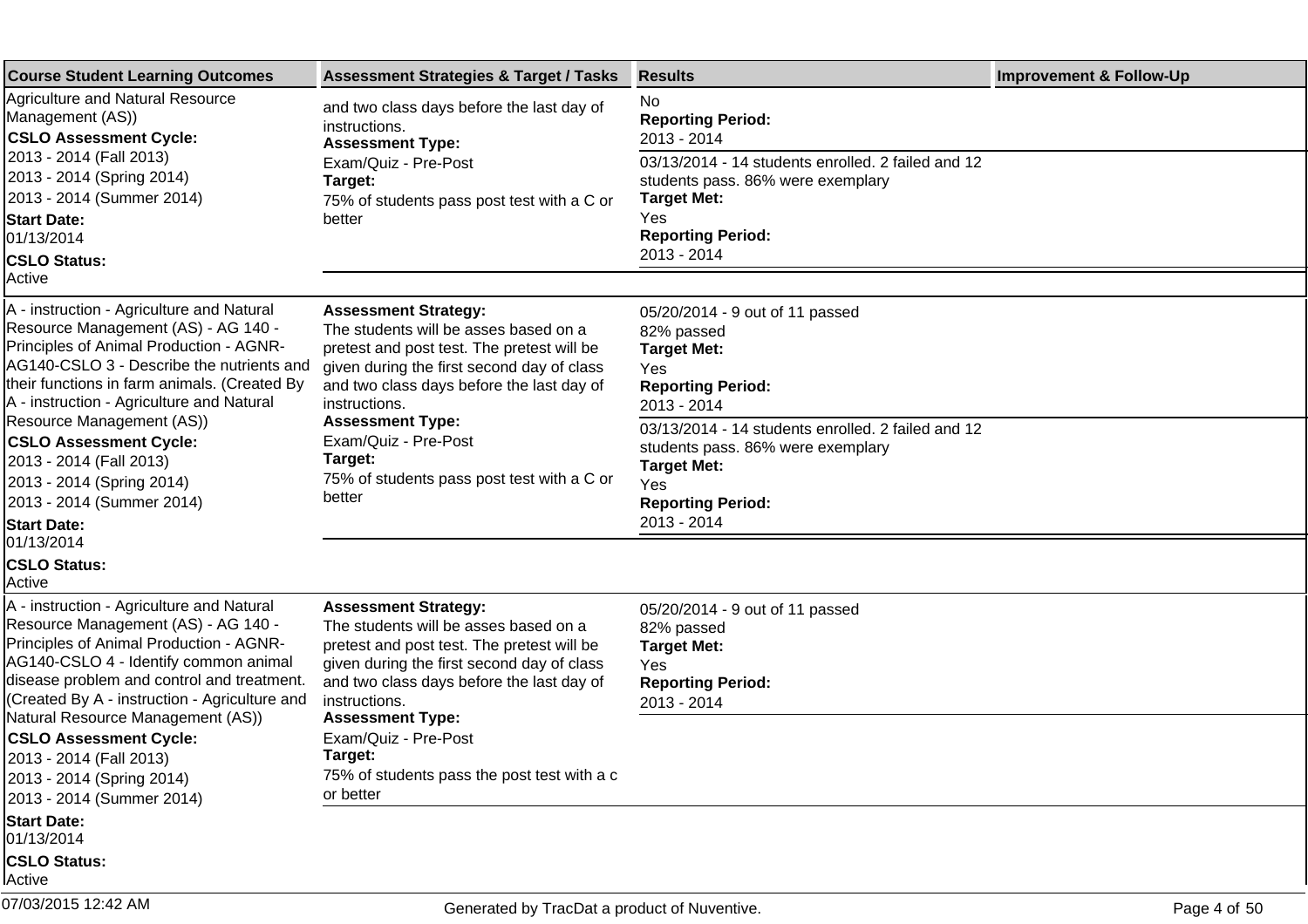| <b>Course Student Learning Outcomes</b>                                                                                                                                                                                                                                                            | <b>Assessment Strategies &amp; Target / Tasks</b>                                                                                                                                                                                                         | <b>Results</b>                                                                                                                                                  | <b>Improvement &amp; Follow-Up</b> |
|----------------------------------------------------------------------------------------------------------------------------------------------------------------------------------------------------------------------------------------------------------------------------------------------------|-----------------------------------------------------------------------------------------------------------------------------------------------------------------------------------------------------------------------------------------------------------|-----------------------------------------------------------------------------------------------------------------------------------------------------------------|------------------------------------|
| <b>Agriculture and Natural Resource</b><br>Management (AS))<br><b>CSLO Assessment Cycle:</b>                                                                                                                                                                                                       | and two class days before the last day of<br>instructions.<br><b>Assessment Type:</b>                                                                                                                                                                     | No<br><b>Reporting Period:</b><br>2013 - 2014                                                                                                                   |                                    |
| 2013 - 2014 (Fall 2013)<br>2013 - 2014 (Spring 2014)<br>2013 - 2014 (Summer 2014)                                                                                                                                                                                                                  | Exam/Quiz - Pre-Post<br>Target:<br>75% of students pass post test with a C or                                                                                                                                                                             | 03/13/2014 - 14 students enrolled. 2 failed and 12<br>students pass. 86% were exemplary<br><b>Target Met:</b>                                                   |                                    |
| <b>Start Date:</b><br>01/13/2014<br><b>CSLO Status:</b>                                                                                                                                                                                                                                            | better                                                                                                                                                                                                                                                    | Yes<br><b>Reporting Period:</b><br>2013 - 2014                                                                                                                  |                                    |
| Active                                                                                                                                                                                                                                                                                             |                                                                                                                                                                                                                                                           |                                                                                                                                                                 |                                    |
| A - instruction - Agriculture and Natural<br>Resource Management (AS) - AG 140 -<br>Principles of Animal Production - AGNR-<br>AG140-CSLO 3 - Describe the nutrients and<br>their functions in farm animals. (Created By<br>A - instruction - Agriculture and Natural<br>Resource Management (AS)) | <b>Assessment Strategy:</b><br>The students will be asses based on a<br>pretest and post test. The pretest will be<br>given during the first second day of class<br>and two class days before the last day of<br>instructions.<br><b>Assessment Type:</b> | 05/20/2014 - 9 out of 11 passed<br>82% passed<br><b>Target Met:</b><br>Yes<br><b>Reporting Period:</b><br>2013 - 2014                                           |                                    |
| <b>CSLO Assessment Cycle:</b><br>2013 - 2014 (Fall 2013)<br>2013 - 2014 (Spring 2014)<br>2013 - 2014 (Summer 2014)<br><b>Start Date:</b>                                                                                                                                                           | Exam/Quiz - Pre-Post<br>Target:<br>75% of students pass post test with a C or<br>better                                                                                                                                                                   | 03/13/2014 - 14 students enrolled. 2 failed and 12<br>students pass. 86% were exemplary<br><b>Target Met:</b><br>Yes<br><b>Reporting Period:</b><br>2013 - 2014 |                                    |
| 01/13/2014<br><b>CSLO Status:</b><br>Active                                                                                                                                                                                                                                                        |                                                                                                                                                                                                                                                           |                                                                                                                                                                 |                                    |
| A - instruction - Agriculture and Natural<br>Resource Management (AS) - AG 140 -<br>Principles of Animal Production - AGNR-<br>AG140-CSLO 4 - Identify common animal<br>disease problem and control and treatment.<br>(Created By A - instruction - Agriculture and                                | <b>Assessment Strategy:</b><br>The students will be asses based on a<br>pretest and post test. The pretest will be<br>given during the first second day of class<br>and two class days before the last day of<br>instructions.                            | 05/20/2014 - 9 out of 11 passed<br>82% passed<br><b>Target Met:</b><br>Yes<br><b>Reporting Period:</b><br>2013 - 2014                                           |                                    |
| Natural Resource Management (AS))<br><b>CSLO Assessment Cycle:</b><br>2013 - 2014 (Fall 2013)<br>2013 - 2014 (Spring 2014)<br>2013 - 2014 (Summer 2014)                                                                                                                                            | <b>Assessment Type:</b><br>Exam/Quiz - Pre-Post<br>Target:<br>75% of students pass the post test with a c<br>or better                                                                                                                                    |                                                                                                                                                                 |                                    |
| <b>Start Date:</b><br>01/13/2014<br><b>CSLO Status:</b><br>lActive                                                                                                                                                                                                                                 |                                                                                                                                                                                                                                                           |                                                                                                                                                                 |                                    |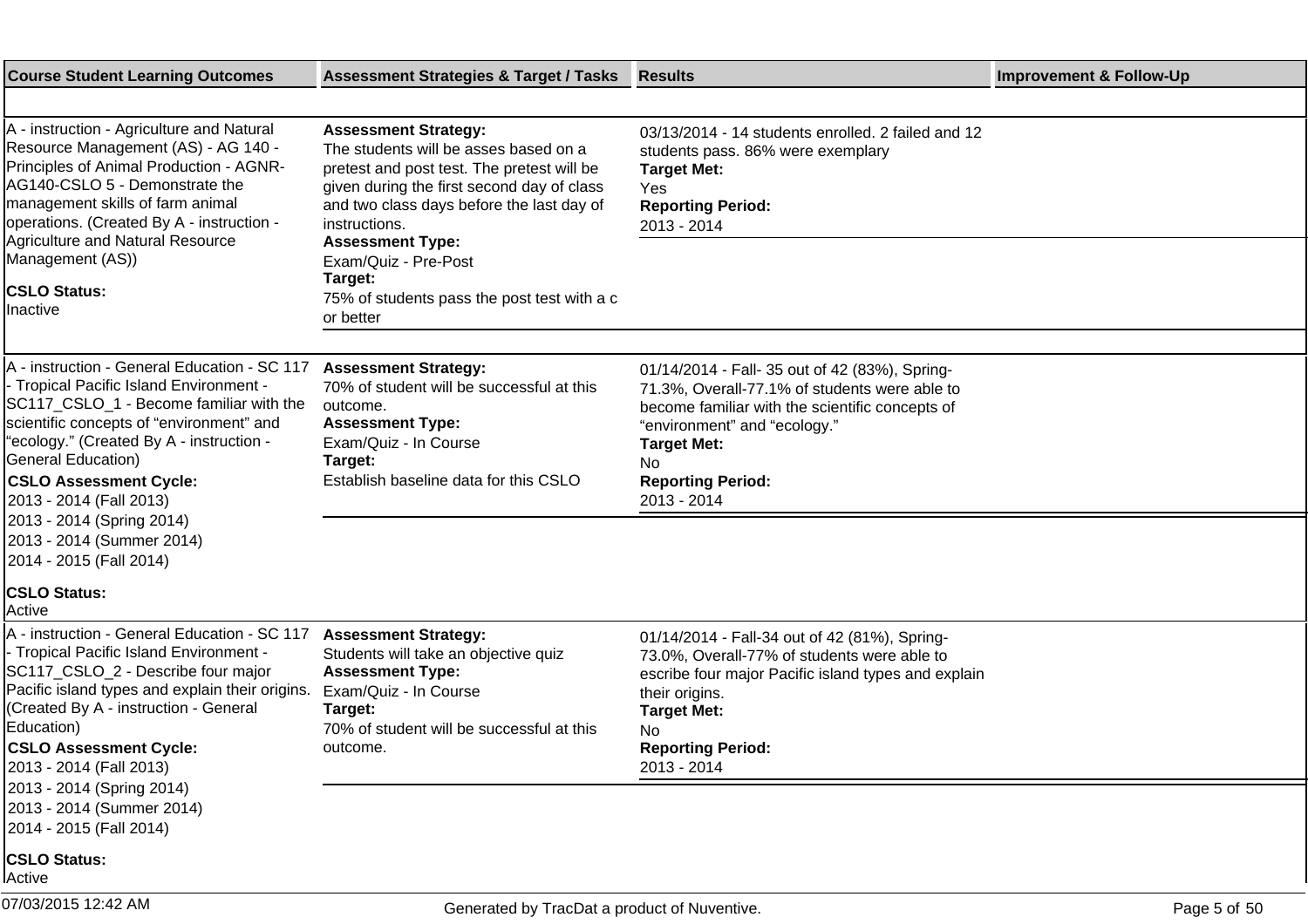| <b>Course Student Learning Outcomes</b>                                                                                                                                                                                                                                                                                                                                       | <b>Assessment Strategies &amp; Target / Tasks</b>                                                                                                                                                                                                                                            | <b>Results</b>                                                                                                                                                                                                                                            | <b>Improvement &amp; Follow-Up</b> |
|-------------------------------------------------------------------------------------------------------------------------------------------------------------------------------------------------------------------------------------------------------------------------------------------------------------------------------------------------------------------------------|----------------------------------------------------------------------------------------------------------------------------------------------------------------------------------------------------------------------------------------------------------------------------------------------|-----------------------------------------------------------------------------------------------------------------------------------------------------------------------------------------------------------------------------------------------------------|------------------------------------|
|                                                                                                                                                                                                                                                                                                                                                                               |                                                                                                                                                                                                                                                                                              |                                                                                                                                                                                                                                                           |                                    |
| A - instruction - Agriculture and Natural<br>Resource Management (AS) - AG 140 -<br>Principles of Animal Production - AGNR-<br>AG140-CSLO 5 - Demonstrate the<br>management skills of farm animal<br>operations. (Created By A - instruction -<br><b>Agriculture and Natural Resource</b><br>Management (AS))                                                                 | <b>Assessment Strategy:</b><br>The students will be asses based on a<br>pretest and post test. The pretest will be<br>given during the first second day of class<br>and two class days before the last day of<br>instructions.<br><b>Assessment Type:</b><br>Exam/Quiz - Pre-Post<br>Target: | 03/13/2014 - 14 students enrolled. 2 failed and 12<br>students pass. 86% were exemplary<br><b>Target Met:</b><br>Yes<br><b>Reporting Period:</b><br>2013 - 2014                                                                                           |                                    |
| <b>CSLO Status:</b><br>Inactive                                                                                                                                                                                                                                                                                                                                               | 75% of students pass the post test with a c<br>or better                                                                                                                                                                                                                                     |                                                                                                                                                                                                                                                           |                                    |
|                                                                                                                                                                                                                                                                                                                                                                               |                                                                                                                                                                                                                                                                                              |                                                                                                                                                                                                                                                           |                                    |
| A - instruction - General Education - SC 117<br>- Tropical Pacific Island Environment -<br>SC117 CSLO 1 - Become familiar with the<br>scientific concepts of "environment" and<br>"ecology." (Created By A - instruction -<br><b>General Education)</b><br><b>CSLO Assessment Cycle:</b><br>2013 - 2014 (Fall 2013)<br>2013 - 2014 (Spring 2014)<br>2013 - 2014 (Summer 2014) | <b>Assessment Strategy:</b><br>70% of student will be successful at this<br>outcome.<br><b>Assessment Type:</b><br>Exam/Quiz - In Course<br>Target:<br>Establish baseline data for this CSLO                                                                                                 | 01/14/2014 - Fall- 35 out of 42 (83%), Spring-<br>71.3%, Overall-77.1% of students were able to<br>become familiar with the scientific concepts of<br>"environment" and "ecology."<br><b>Target Met:</b><br>No<br><b>Reporting Period:</b><br>2013 - 2014 |                                    |
| 2014 - 2015 (Fall 2014)                                                                                                                                                                                                                                                                                                                                                       |                                                                                                                                                                                                                                                                                              |                                                                                                                                                                                                                                                           |                                    |
| <b>CSLO Status:</b><br>Active                                                                                                                                                                                                                                                                                                                                                 |                                                                                                                                                                                                                                                                                              |                                                                                                                                                                                                                                                           |                                    |
| A - instruction - General Education - SC 117<br>- Tropical Pacific Island Environment -<br>SC117_CSLO_2 - Describe four major<br>Pacific island types and explain their origins.<br>(Created By A - instruction - General<br>Education)<br><b>CSLO Assessment Cycle:</b><br>2013 - 2014 (Fall 2013)<br>2013 - 2014 (Spring 2014)                                              | <b>Assessment Strategy:</b><br>Students will take an objective quiz<br><b>Assessment Type:</b><br>Exam/Quiz - In Course<br>Target:<br>70% of student will be successful at this<br>outcome.                                                                                                  | 01/14/2014 - Fall-34 out of 42 (81%), Spring-<br>73.0%, Overall-77% of students were able to<br>escribe four major Pacific island types and explain<br>their origins.<br><b>Target Met:</b><br>No<br><b>Reporting Period:</b><br>2013 - 2014              |                                    |
| 2013 - 2014 (Summer 2014)<br>2014 - 2015 (Fall 2014)                                                                                                                                                                                                                                                                                                                          |                                                                                                                                                                                                                                                                                              |                                                                                                                                                                                                                                                           |                                    |
| <b>CSLO Status:</b><br>Active                                                                                                                                                                                                                                                                                                                                                 |                                                                                                                                                                                                                                                                                              |                                                                                                                                                                                                                                                           |                                    |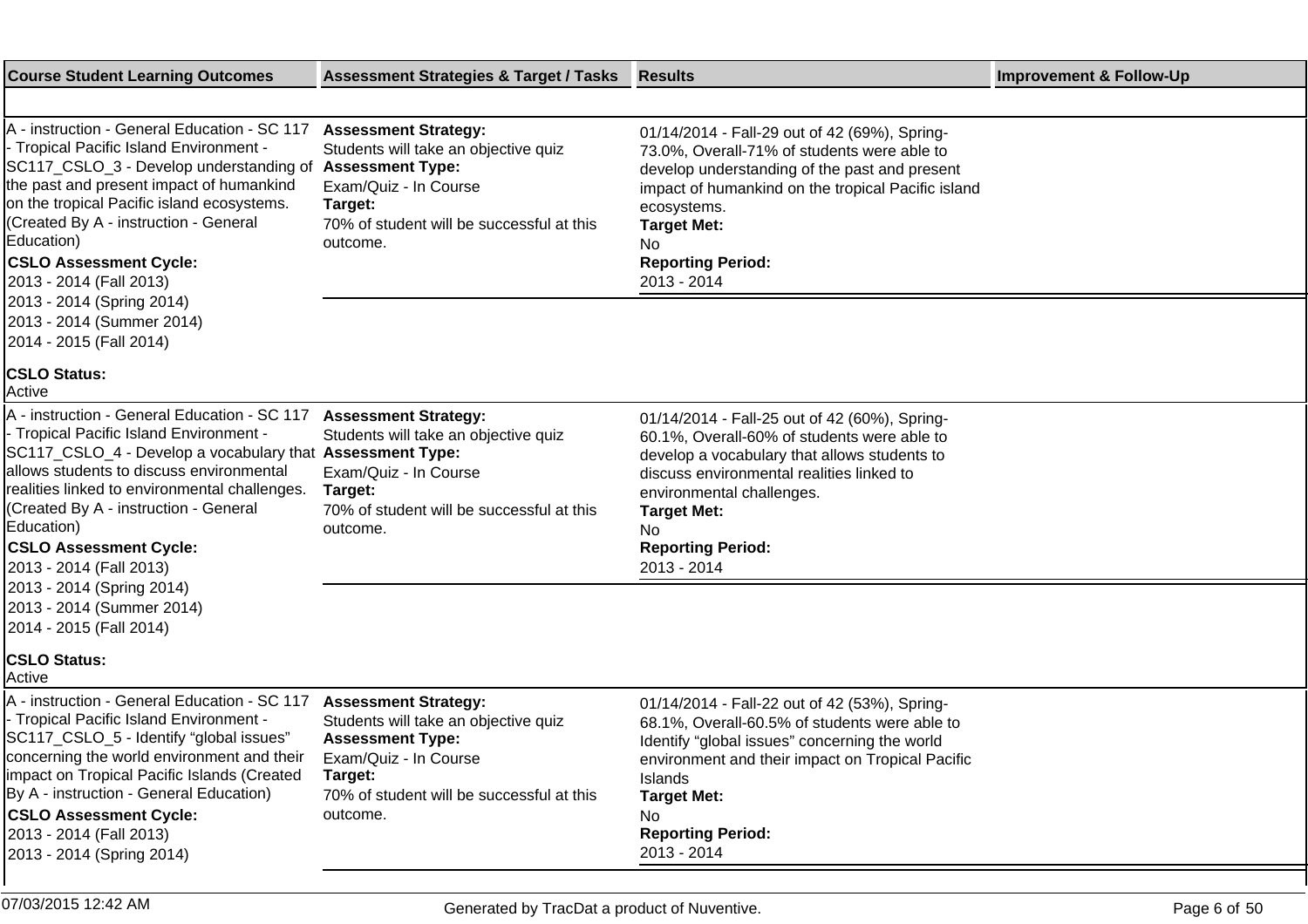| <b>Course Student Learning Outcomes</b>                                                                                                                                                                                                                                                                                                                                                                                  | <b>Assessment Strategies &amp; Target / Tasks</b>                                                                                                                                           | <b>Results</b>                                                                                                                                                                                                                                                                                 | <b>Improvement &amp; Follow-Up</b> |
|--------------------------------------------------------------------------------------------------------------------------------------------------------------------------------------------------------------------------------------------------------------------------------------------------------------------------------------------------------------------------------------------------------------------------|---------------------------------------------------------------------------------------------------------------------------------------------------------------------------------------------|------------------------------------------------------------------------------------------------------------------------------------------------------------------------------------------------------------------------------------------------------------------------------------------------|------------------------------------|
|                                                                                                                                                                                                                                                                                                                                                                                                                          |                                                                                                                                                                                             |                                                                                                                                                                                                                                                                                                |                                    |
| A - instruction - General Education - SC 117<br>- Tropical Pacific Island Environment -<br>SC117_CSLO_3 - Develop understanding of<br>the past and present impact of humankind<br>on the tropical Pacific island ecosystems.<br>(Created By A - instruction - General<br>Education)<br><b>CSLO Assessment Cycle:</b><br>2013 - 2014 (Fall 2013)<br>2013 - 2014 (Spring 2014)<br>2013 - 2014 (Summer 2014)                | <b>Assessment Strategy:</b><br>Students will take an objective quiz<br><b>Assessment Type:</b><br>Exam/Quiz - In Course<br>Target:<br>70% of student will be successful at this<br>outcome. | 01/14/2014 - Fall-29 out of 42 (69%), Spring-<br>73.0%, Overall-71% of students were able to<br>develop understanding of the past and present<br>impact of humankind on the tropical Pacific island<br>ecosystems.<br><b>Target Met:</b><br>No<br><b>Reporting Period:</b><br>2013 - 2014      |                                    |
| 2014 - 2015 (Fall 2014)<br><b>CSLO Status:</b>                                                                                                                                                                                                                                                                                                                                                                           |                                                                                                                                                                                             |                                                                                                                                                                                                                                                                                                |                                    |
| Active                                                                                                                                                                                                                                                                                                                                                                                                                   |                                                                                                                                                                                             |                                                                                                                                                                                                                                                                                                |                                    |
| A - instruction - General Education - SC 117<br>- Tropical Pacific Island Environment -<br>SC117_CSLO_4 - Develop a vocabulary that Assessment Type:<br>allows students to discuss environmental<br>realities linked to environmental challenges.<br>(Created By A - instruction - General<br>Education)<br><b>CSLO Assessment Cycle:</b><br>2013 - 2014 (Fall 2013)                                                     | <b>Assessment Strategy:</b><br>Students will take an objective quiz<br>Exam/Quiz - In Course<br>Target:<br>70% of student will be successful at this<br>outcome.                            | 01/14/2014 - Fall-25 out of 42 (60%), Spring-<br>60.1%, Overall-60% of students were able to<br>develop a vocabulary that allows students to<br>discuss environmental realities linked to<br>environmental challenges.<br><b>Target Met:</b><br>No.<br><b>Reporting Period:</b><br>2013 - 2014 |                                    |
| 2013 - 2014 (Spring 2014)<br>2013 - 2014 (Summer 2014)<br>2014 - 2015 (Fall 2014)                                                                                                                                                                                                                                                                                                                                        |                                                                                                                                                                                             |                                                                                                                                                                                                                                                                                                |                                    |
| <b>CSLO Status:</b><br>Active                                                                                                                                                                                                                                                                                                                                                                                            |                                                                                                                                                                                             |                                                                                                                                                                                                                                                                                                |                                    |
| A - instruction - General Education - SC 117<br>- Tropical Pacific Island Environment -<br>SC117_CSLO_5 - Identify "global issues"<br>concerning the world environment and their<br>impact on Tropical Pacific Islands (Created<br>By A - instruction - General Education)<br><b>CSLO Assessment Cycle:</b><br>2013 - 2014 (Fall 2013)<br>2013 - 2014 (Spring 2014)                                                      | <b>Assessment Strategy:</b><br>Students will take an objective quiz<br><b>Assessment Type:</b><br>Exam/Quiz - In Course<br>Target:<br>70% of student will be successful at this<br>outcome. | 01/14/2014 - Fall-22 out of 42 (53%), Spring-<br>68.1%, Overall-60.5% of students were able to<br>Identify "global issues" concerning the world<br>environment and their impact on Tropical Pacific<br>Islands<br><b>Target Met:</b><br>No<br><b>Reporting Period:</b><br>2013 - 2014          |                                    |
| $\mathbf{A} = \mathbf{A} \mathbf{A} + \mathbf{A} \mathbf{A} + \mathbf{A} \mathbf{A} + \mathbf{A} \mathbf{A} + \mathbf{A} \mathbf{A} + \mathbf{A} \mathbf{A} + \mathbf{A} \mathbf{A} + \mathbf{A} \mathbf{A} + \mathbf{A} \mathbf{A} + \mathbf{A} \mathbf{A} + \mathbf{A} \mathbf{A} + \mathbf{A} \mathbf{A} + \mathbf{A} \mathbf{A} + \mathbf{A} \mathbf{A} + \mathbf{A} \mathbf{A} + \mathbf{A} \mathbf{A} + \mathbf{A$ |                                                                                                                                                                                             |                                                                                                                                                                                                                                                                                                |                                    |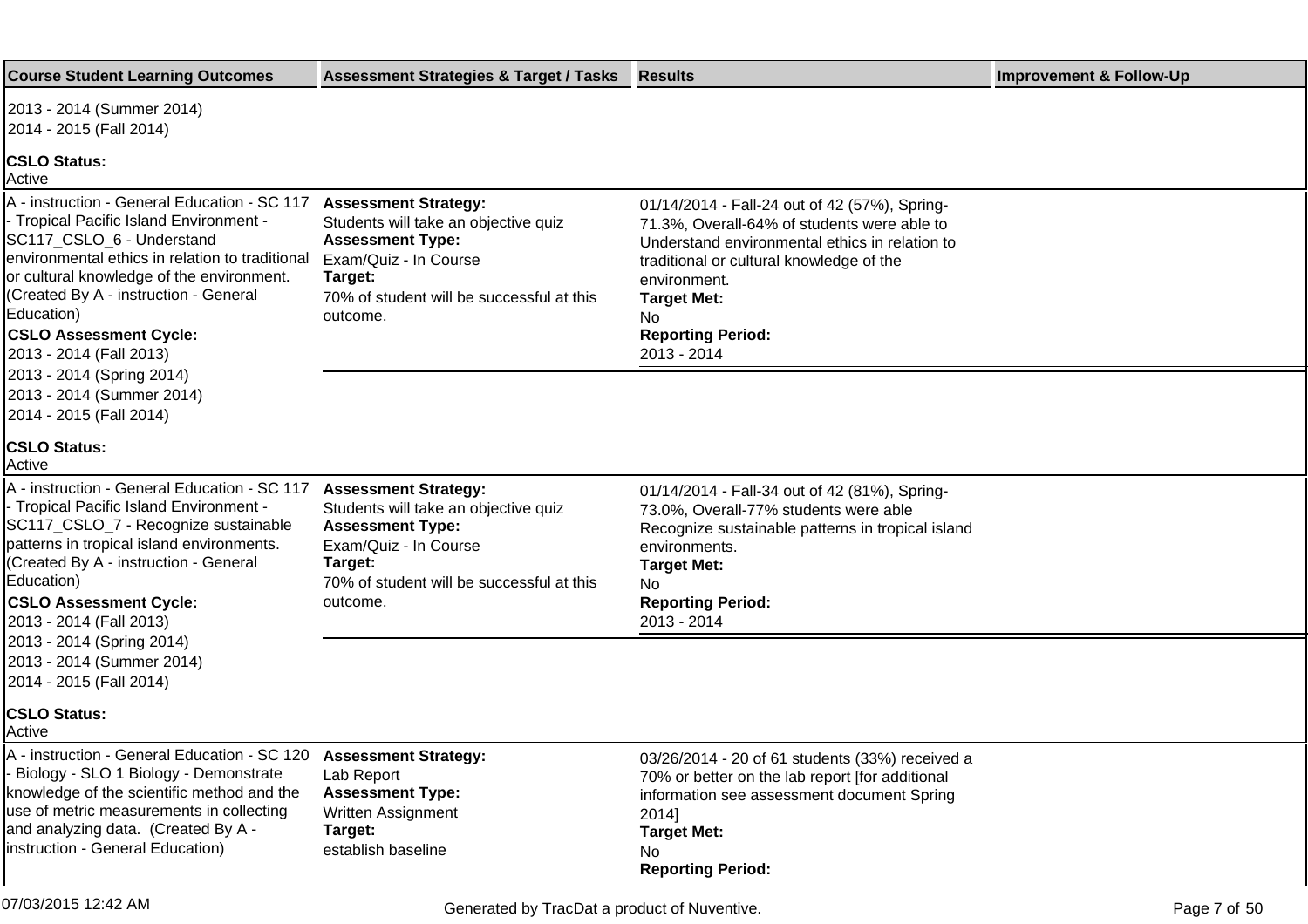| <b>Course Student Learning Outcomes</b>                                                                                                                                                                                                                                                                                                  | <b>Assessment Strategies &amp; Target / Tasks</b>                                                                                                                                           | <b>Results</b>                                                                                                                                                                                                                                                                     | <b>Improvement &amp; Follow-Up</b> |
|------------------------------------------------------------------------------------------------------------------------------------------------------------------------------------------------------------------------------------------------------------------------------------------------------------------------------------------|---------------------------------------------------------------------------------------------------------------------------------------------------------------------------------------------|------------------------------------------------------------------------------------------------------------------------------------------------------------------------------------------------------------------------------------------------------------------------------------|------------------------------------|
| 2013 - 2014 (Summer 2014)<br>2014 - 2015 (Fall 2014)                                                                                                                                                                                                                                                                                     |                                                                                                                                                                                             |                                                                                                                                                                                                                                                                                    |                                    |
| <b>CSLO Status:</b><br>Active                                                                                                                                                                                                                                                                                                            |                                                                                                                                                                                             |                                                                                                                                                                                                                                                                                    |                                    |
| A - instruction - General Education - SC 117<br>- Tropical Pacific Island Environment -<br>SC117 CSLO 6 - Understand<br>lenvironmental ethics in relation to traditional<br>or cultural knowledge of the environment.<br>(Created By A - instruction - General<br>Education)<br><b>CSLO Assessment Cycle:</b><br>2013 - 2014 (Fall 2013) | <b>Assessment Strategy:</b><br>Students will take an objective quiz<br><b>Assessment Type:</b><br>Exam/Quiz - In Course<br>Target:<br>70% of student will be successful at this<br>outcome. | 01/14/2014 - Fall-24 out of 42 (57%), Spring-<br>71.3%, Overall-64% of students were able to<br>Understand environmental ethics in relation to<br>traditional or cultural knowledge of the<br>environment.<br><b>Target Met:</b><br>No.<br><b>Reporting Period:</b><br>2013 - 2014 |                                    |
| 2013 - 2014 (Spring 2014)<br>2013 - 2014 (Summer 2014)<br>2014 - 2015 (Fall 2014)                                                                                                                                                                                                                                                        |                                                                                                                                                                                             |                                                                                                                                                                                                                                                                                    |                                    |
| <b>CSLO Status:</b><br>Active                                                                                                                                                                                                                                                                                                            |                                                                                                                                                                                             |                                                                                                                                                                                                                                                                                    |                                    |
| A - instruction - General Education - SC 117<br>- Tropical Pacific Island Environment -<br>SC117_CSLO_7 - Recognize sustainable<br>patterns in tropical island environments.<br>(Created By A - instruction - General<br>Education)<br><b>CSLO Assessment Cycle:</b><br>2013 - 2014 (Fall 2013)                                          | <b>Assessment Strategy:</b><br>Students will take an objective quiz<br><b>Assessment Type:</b><br>Exam/Quiz - In Course<br>Target:<br>70% of student will be successful at this<br>outcome. | 01/14/2014 - Fall-34 out of 42 (81%), Spring-<br>73.0%, Overall-77% students were able<br>Recognize sustainable patterns in tropical island<br>environments.<br><b>Target Met:</b><br>No.<br><b>Reporting Period:</b><br>2013 - 2014                                               |                                    |
| 2013 - 2014 (Spring 2014)<br>2013 - 2014 (Summer 2014)<br>2014 - 2015 (Fall 2014)                                                                                                                                                                                                                                                        |                                                                                                                                                                                             |                                                                                                                                                                                                                                                                                    |                                    |
| <b>CSLO Status:</b><br> Active                                                                                                                                                                                                                                                                                                           |                                                                                                                                                                                             |                                                                                                                                                                                                                                                                                    |                                    |
| A - instruction - General Education - SC 120<br>- Biology - SLO 1 Biology - Demonstrate<br>knowledge of the scientific method and the<br>use of metric measurements in collecting<br>and analyzing data. (Created By A -<br>instruction - General Education)                                                                             | <b>Assessment Strategy:</b><br>Lab Report<br><b>Assessment Type:</b><br>Written Assignment<br>Target:<br>establish baseline                                                                 | 03/26/2014 - 20 of 61 students (33%) received a<br>70% or better on the lab report [for additional<br>information see assessment document Spring<br>2014]<br><b>Target Met:</b><br>No.<br><b>Reporting Period:</b>                                                                 |                                    |
| 07/03/2015 12:42 AM                                                                                                                                                                                                                                                                                                                      | Generated by TracDat a product of Nuventive.                                                                                                                                                |                                                                                                                                                                                                                                                                                    | Page 7 of 50                       |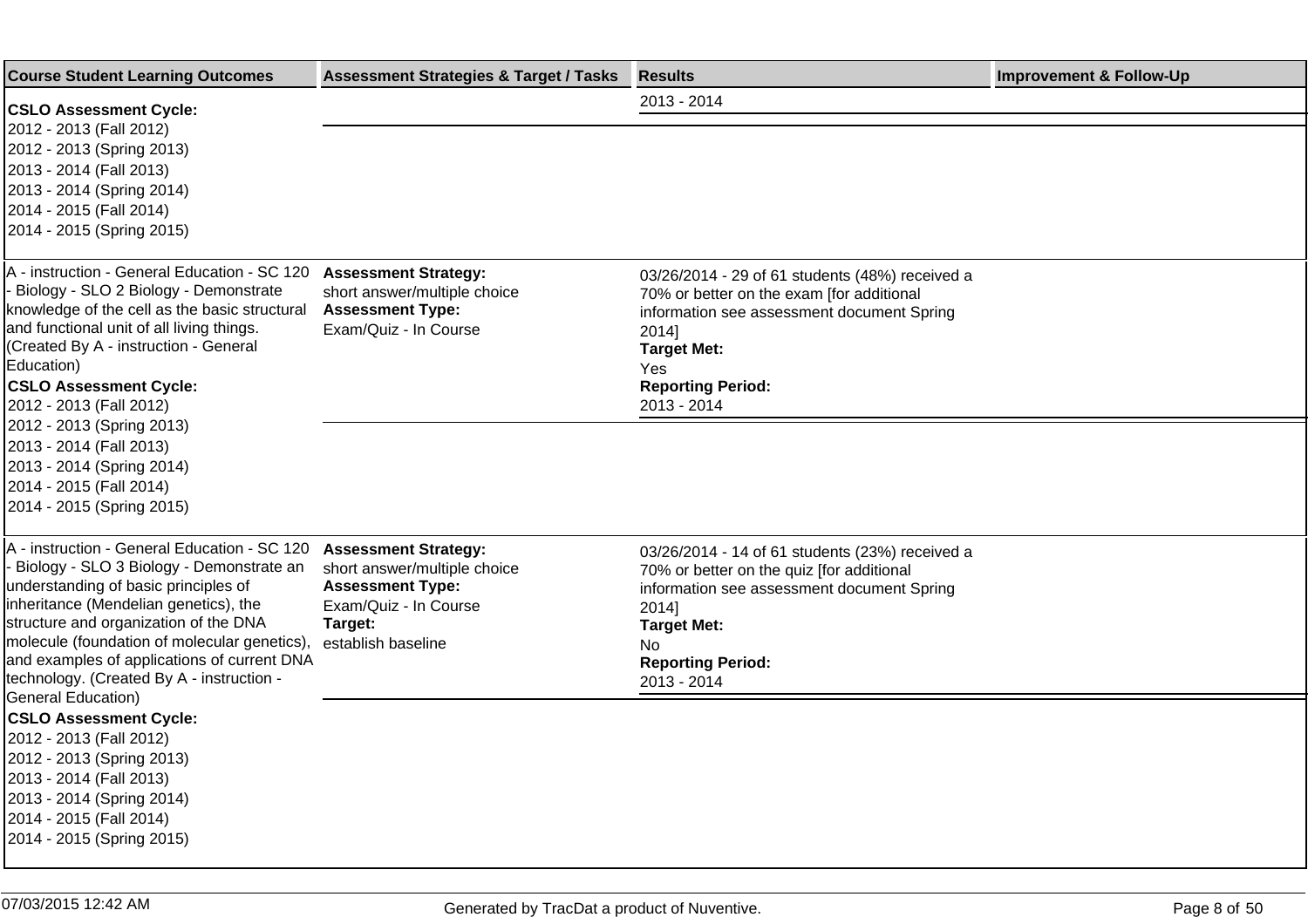| <b>Course Student Learning Outcomes</b>                                                                                                                                                                                                                                                                                                                                              | <b>Assessment Strategies &amp; Target / Tasks</b>                                                                                                | <b>Results</b>                                                                                                                                                                                                              | <b>Improvement &amp; Follow-Up</b> |
|--------------------------------------------------------------------------------------------------------------------------------------------------------------------------------------------------------------------------------------------------------------------------------------------------------------------------------------------------------------------------------------|--------------------------------------------------------------------------------------------------------------------------------------------------|-----------------------------------------------------------------------------------------------------------------------------------------------------------------------------------------------------------------------------|------------------------------------|
| <b>CSLO Assessment Cycle:</b>                                                                                                                                                                                                                                                                                                                                                        |                                                                                                                                                  | 2013 - 2014                                                                                                                                                                                                                 |                                    |
| 2012 - 2013 (Fall 2012)<br>2012 - 2013 (Spring 2013)<br>2013 - 2014 (Fall 2013)<br>2013 - 2014 (Spring 2014)<br>2014 - 2015 (Fall 2014)<br>2014 - 2015 (Spring 2015)                                                                                                                                                                                                                 |                                                                                                                                                  |                                                                                                                                                                                                                             |                                    |
| A - instruction - General Education - SC 120<br>Biology - SLO 2 Biology - Demonstrate<br>knowledge of the cell as the basic structural<br>and functional unit of all living things.<br>(Created By A - instruction - General<br>Education)<br><b>CSLO Assessment Cycle:</b><br>2012 - 2013 (Fall 2012)                                                                               | <b>Assessment Strategy:</b><br>short answer/multiple choice<br><b>Assessment Type:</b><br>Exam/Quiz - In Course                                  | 03/26/2014 - 29 of 61 students (48%) received a<br>70% or better on the exam [for additional<br>information see assessment document Spring<br>2014]<br><b>Target Met:</b><br>Yes<br><b>Reporting Period:</b><br>2013 - 2014 |                                    |
| 2012 - 2013 (Spring 2013)<br>2013 - 2014 (Fall 2013)<br>2013 - 2014 (Spring 2014)<br>2014 - 2015 (Fall 2014)<br>2014 - 2015 (Spring 2015)                                                                                                                                                                                                                                            |                                                                                                                                                  |                                                                                                                                                                                                                             |                                    |
| A - instruction - General Education - SC 120<br>Biology - SLO 3 Biology - Demonstrate an<br>understanding of basic principles of<br>inheritance (Mendelian genetics), the<br>structure and organization of the DNA<br>molecule (foundation of molecular genetics),<br>and examples of applications of current DNA<br>technology. (Created By A - instruction -<br>General Education) | <b>Assessment Strategy:</b><br>short answer/multiple choice<br><b>Assessment Type:</b><br>Exam/Quiz - In Course<br>Target:<br>establish baseline | 03/26/2014 - 14 of 61 students (23%) received a<br>70% or better on the quiz [for additional<br>information see assessment document Spring<br>2014]<br><b>Target Met:</b><br>No.<br><b>Reporting Period:</b><br>2013 - 2014 |                                    |
| <b>CSLO Assessment Cycle:</b><br>2012 - 2013 (Fall 2012)<br>2012 - 2013 (Spring 2013)<br>2013 - 2014 (Fall 2013)<br>2013 - 2014 (Spring 2014)<br>2014 - 2015 (Fall 2014)<br>2014 - 2015 (Spring 2015)                                                                                                                                                                                |                                                                                                                                                  |                                                                                                                                                                                                                             |                                    |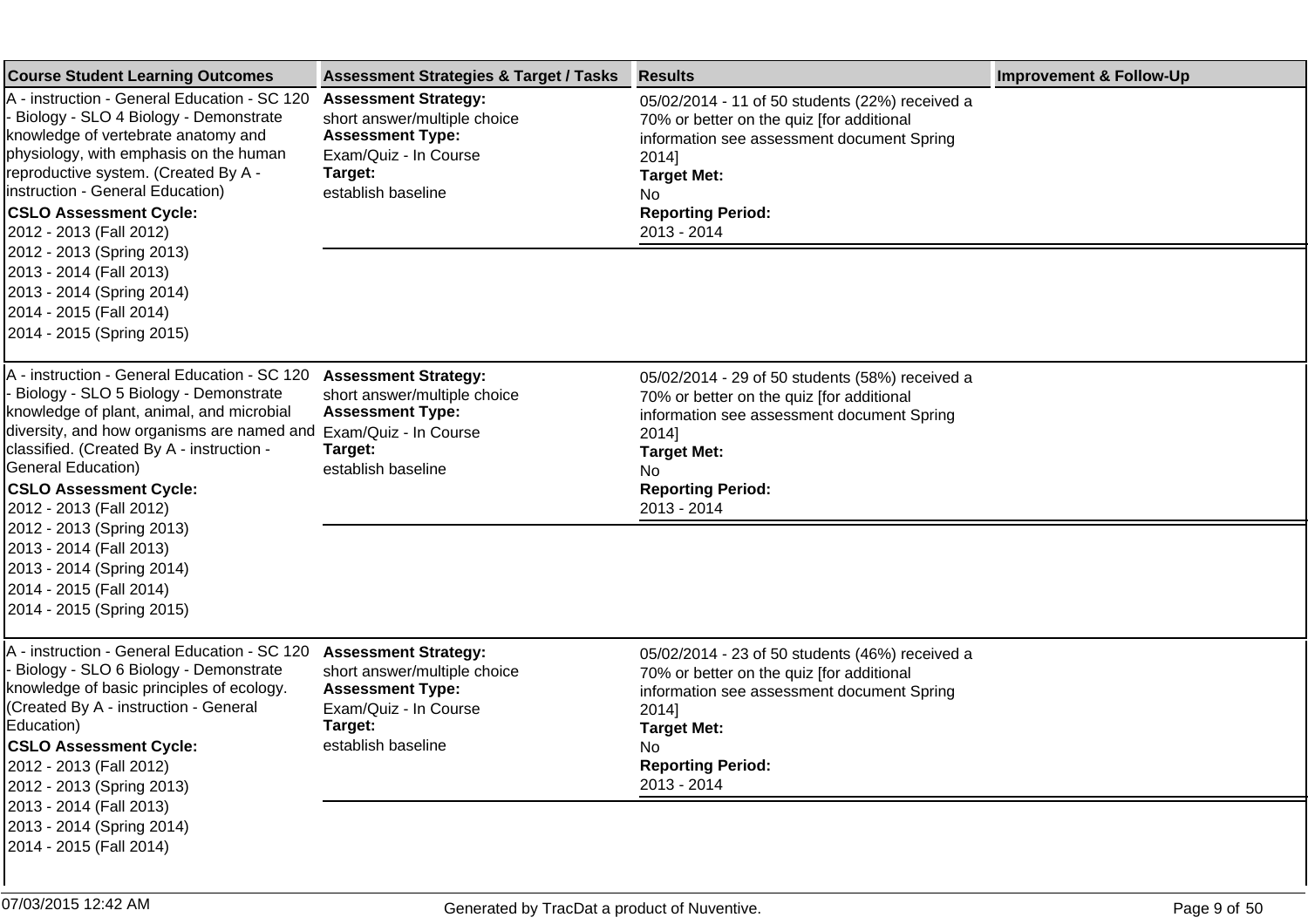| <b>Course Student Learning Outcomes</b>                                                                                                                                                                                                                                                                                                                                                                                                                       | <b>Assessment Strategies &amp; Target / Tasks</b>                                                                                                | <b>Results</b>                                                                                                                                                                                                              | <b>Improvement &amp; Follow-Up</b> |
|---------------------------------------------------------------------------------------------------------------------------------------------------------------------------------------------------------------------------------------------------------------------------------------------------------------------------------------------------------------------------------------------------------------------------------------------------------------|--------------------------------------------------------------------------------------------------------------------------------------------------|-----------------------------------------------------------------------------------------------------------------------------------------------------------------------------------------------------------------------------|------------------------------------|
| A - instruction - General Education - SC 120<br>- Biology - SLO 4 Biology - Demonstrate<br>knowledge of vertebrate anatomy and<br>physiology, with emphasis on the human<br>reproductive system. (Created By A -<br>Instruction - General Education)<br><b>CSLO Assessment Cycle:</b><br>2012 - 2013 (Fall 2012)<br>2012 - 2013 (Spring 2013)<br>2013 - 2014 (Fall 2013)<br>2013 - 2014 (Spring 2014)<br>2014 - 2015 (Fall 2014)<br>2014 - 2015 (Spring 2015) | <b>Assessment Strategy:</b><br>short answer/multiple choice<br><b>Assessment Type:</b><br>Exam/Quiz - In Course<br>Target:<br>establish baseline | 05/02/2014 - 11 of 50 students (22%) received a<br>70% or better on the quiz [for additional<br>information see assessment document Spring<br>2014]<br><b>Target Met:</b><br>No.<br><b>Reporting Period:</b><br>2013 - 2014 |                                    |
|                                                                                                                                                                                                                                                                                                                                                                                                                                                               |                                                                                                                                                  |                                                                                                                                                                                                                             |                                    |
| A - instruction - General Education - SC 120<br>Biology - SLO 5 Biology - Demonstrate<br>knowledge of plant, animal, and microbial<br>diversity, and how organisms are named and<br>classified. (Created By A - instruction -<br>General Education)<br><b>CSLO Assessment Cycle:</b><br>2012 - 2013 (Fall 2012)<br>2012 - 2013 (Spring 2013)<br>2013 - 2014 (Fall 2013)<br>2013 - 2014 (Spring 2014)<br>2014 - 2015 (Fall 2014)<br>2014 - 2015 (Spring 2015)  | <b>Assessment Strategy:</b><br>short answer/multiple choice<br><b>Assessment Type:</b><br>Exam/Quiz - In Course<br>Target:<br>establish baseline | 05/02/2014 - 29 of 50 students (58%) received a<br>70% or better on the quiz [for additional<br>information see assessment document Spring<br>2014]<br><b>Target Met:</b><br>No<br><b>Reporting Period:</b><br>2013 - 2014  |                                    |
|                                                                                                                                                                                                                                                                                                                                                                                                                                                               |                                                                                                                                                  |                                                                                                                                                                                                                             |                                    |
| A - instruction - General Education - SC 120<br>Biology - SLO 6 Biology - Demonstrate<br>knowledge of basic principles of ecology.<br>(Created By A - instruction - General<br>Education)<br><b>CSLO Assessment Cycle:</b><br>2012 - 2013 (Fall 2012)<br>2012 - 2013 (Spring 2013)<br>2013 - 2014 (Fall 2013)<br>2013 - 2014 (Spring 2014)<br>2014 - 2015 (Fall 2014)                                                                                         | <b>Assessment Strategy:</b><br>short answer/multiple choice<br><b>Assessment Type:</b><br>Exam/Quiz - In Course<br>Target:<br>establish baseline | 05/02/2014 - 23 of 50 students (46%) received a<br>70% or better on the quiz [for additional<br>information see assessment document Spring<br>2014]<br><b>Target Met:</b><br>No.<br><b>Reporting Period:</b><br>2013 - 2014 |                                    |
|                                                                                                                                                                                                                                                                                                                                                                                                                                                               |                                                                                                                                                  |                                                                                                                                                                                                                             |                                    |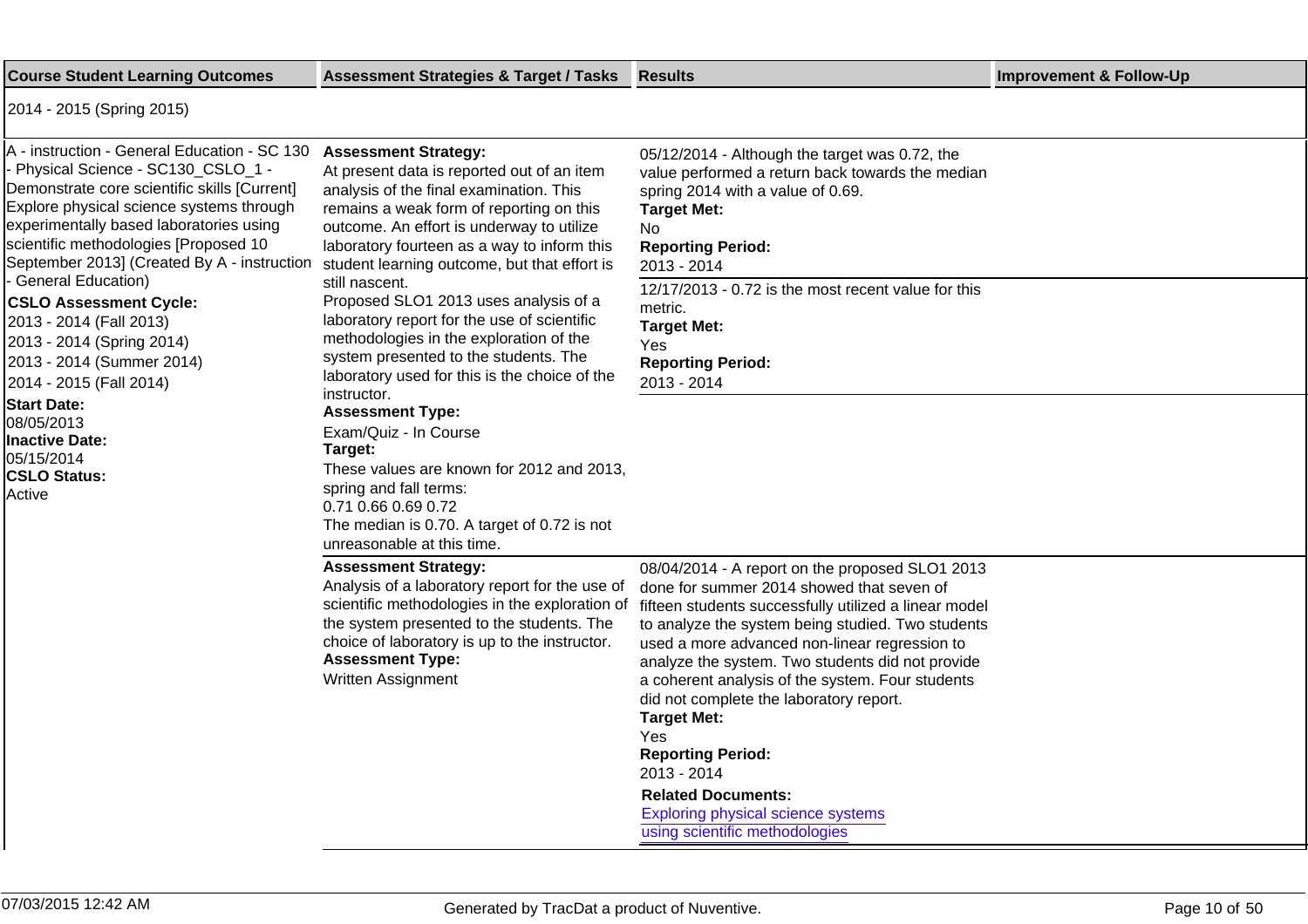| <b>Course Student Learning Outcomes</b>                                                                                                                                                                                                                                                                                                                                                                                                                                                                                                                                                                 | <b>Assessment Strategies &amp; Target / Tasks</b>                                                                                                                                                                                                                                                                                                                                                                                                                                                                                                                                                                                                                                                                                                                                                                    | <b>Results</b>                                                                                                                                                                                                                                                                                                                                                                                                                                                                                                                                                                                     | <b>Improvement &amp; Follow-Up</b> |
|---------------------------------------------------------------------------------------------------------------------------------------------------------------------------------------------------------------------------------------------------------------------------------------------------------------------------------------------------------------------------------------------------------------------------------------------------------------------------------------------------------------------------------------------------------------------------------------------------------|----------------------------------------------------------------------------------------------------------------------------------------------------------------------------------------------------------------------------------------------------------------------------------------------------------------------------------------------------------------------------------------------------------------------------------------------------------------------------------------------------------------------------------------------------------------------------------------------------------------------------------------------------------------------------------------------------------------------------------------------------------------------------------------------------------------------|----------------------------------------------------------------------------------------------------------------------------------------------------------------------------------------------------------------------------------------------------------------------------------------------------------------------------------------------------------------------------------------------------------------------------------------------------------------------------------------------------------------------------------------------------------------------------------------------------|------------------------------------|
| 2014 - 2015 (Spring 2015)                                                                                                                                                                                                                                                                                                                                                                                                                                                                                                                                                                               |                                                                                                                                                                                                                                                                                                                                                                                                                                                                                                                                                                                                                                                                                                                                                                                                                      |                                                                                                                                                                                                                                                                                                                                                                                                                                                                                                                                                                                                    |                                    |
| A - instruction - General Education - SC 130<br>- Physical Science - SC130_CSLO_1 -<br>Demonstrate core scientific skills [Current]<br>Explore physical science systems through<br>experimentally based laboratories using<br>scientific methodologies [Proposed 10<br>September 2013] (Created By A - instruction<br>- General Education)<br><b>CSLO Assessment Cycle:</b><br>2013 - 2014 (Fall 2013)<br>2013 - 2014 (Spring 2014)<br>2013 - 2014 (Summer 2014)<br>2014 - 2015 (Fall 2014)<br><b>Start Date:</b><br>08/05/2013<br><b>Inactive Date:</b><br>05/15/2014<br><b>CSLO Status:</b><br>Active | <b>Assessment Strategy:</b><br>At present data is reported out of an item<br>analysis of the final examination. This<br>remains a weak form of reporting on this<br>outcome. An effort is underway to utilize<br>laboratory fourteen as a way to inform this<br>student learning outcome, but that effort is<br>still nascent.<br>Proposed SLO1 2013 uses analysis of a<br>laboratory report for the use of scientific<br>methodologies in the exploration of the<br>system presented to the students. The<br>laboratory used for this is the choice of the<br>instructor.<br><b>Assessment Type:</b><br>Exam/Quiz - In Course<br>Target:<br>These values are known for 2012 and 2013,<br>spring and fall terms:<br>0.71 0.66 0.69 0.72<br>The median is 0.70. A target of 0.72 is not<br>unreasonable at this time. | 05/12/2014 - Although the target was 0.72, the<br>value performed a return back towards the median<br>spring 2014 with a value of 0.69.<br><b>Target Met:</b><br>No.<br><b>Reporting Period:</b><br>2013 - 2014<br>12/17/2013 - 0.72 is the most recent value for this<br>metric.<br><b>Target Met:</b><br>Yes<br><b>Reporting Period:</b><br>2013 - 2014                                                                                                                                                                                                                                          |                                    |
|                                                                                                                                                                                                                                                                                                                                                                                                                                                                                                                                                                                                         | <b>Assessment Strategy:</b><br>Analysis of a laboratory report for the use of<br>scientific methodologies in the exploration of<br>the system presented to the students. The<br>choice of laboratory is up to the instructor.<br><b>Assessment Type:</b><br>Written Assignment                                                                                                                                                                                                                                                                                                                                                                                                                                                                                                                                       | 08/04/2014 - A report on the proposed SLO1 2013<br>done for summer 2014 showed that seven of<br>fifteen students successfully utilized a linear model<br>to analyze the system being studied. Two students<br>used a more advanced non-linear regression to<br>analyze the system. Two students did not provide<br>a coherent analysis of the system. Four students<br>did not complete the laboratory report.<br><b>Target Met:</b><br>Yes<br><b>Reporting Period:</b><br>2013 - 2014<br><b>Related Documents:</b><br><b>Exploring physical science systems</b><br>using scientific methodologies |                                    |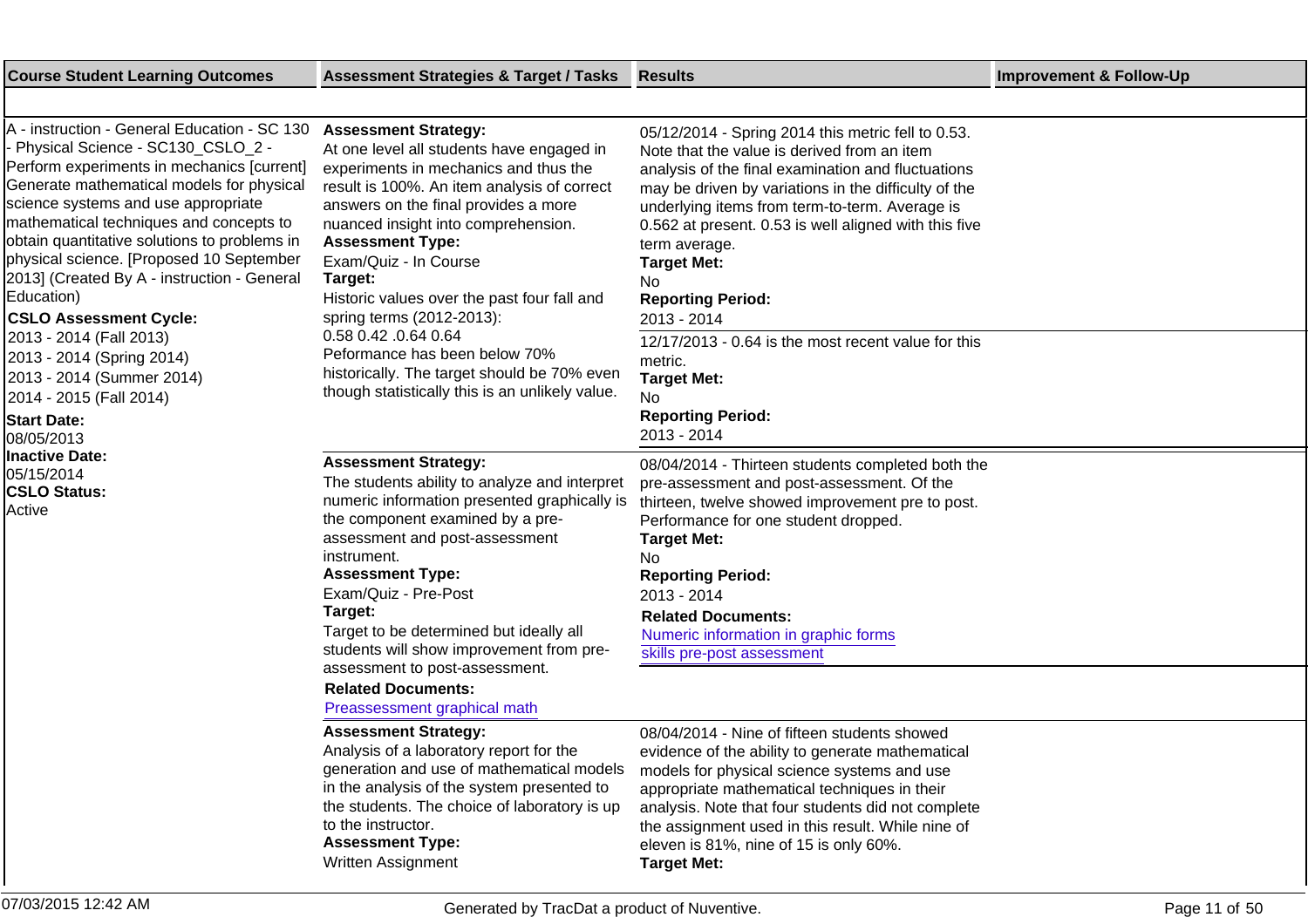| A - instruction - General Education - SC 130<br>Physical Science - SC130_CSLO_2 -<br>Perform experiments in mechanics [current]<br>Generate mathematical models for physical<br>science systems and use appropriate<br>mathematical techniques and concepts to<br>obtain quantitative solutions to problems in<br>physical science. [Proposed 10 September<br>2013] (Created By A - instruction - General<br>Education)<br><b>CSLO Assessment Cycle:</b><br>2013 - 2014 (Fall 2013)<br>2013 - 2014 (Spring 2014)<br>2013 - 2014 (Summer 2014)<br>2014 - 2015 (Fall 2014)<br><b>Start Date:</b><br>08/05/2013<br>lInactive Date:<br>05/15/2014<br><b>CSLO Status:</b><br>Active | <b>Assessment Strategy:</b><br>At one level all students have engaged in<br>experiments in mechanics and thus the<br>result is 100%. An item analysis of correct<br>answers on the final provides a more<br>nuanced insight into comprehension.<br><b>Assessment Type:</b><br>Exam/Quiz - In Course<br>Target:<br>Historic values over the past four fall and<br>spring terms (2012-2013):<br>0.58 0.42 .0.64 0.64<br>Peformance has been below 70%<br>historically. The target should be 70% even<br>though statistically this is an unlikely value. | 05/12/2014 - Spring 2014 this metric fell to 0.53.<br>Note that the value is derived from an item<br>analysis of the final examination and fluctuations<br>may be driven by variations in the difficulty of the<br>underlying items from term-to-term. Average is<br>0.562 at present. 0.53 is well aligned with this five<br>term average.<br><b>Target Met:</b><br>No.<br><b>Reporting Period:</b><br>2013 - 2014<br>12/17/2013 - 0.64 is the most recent value for this<br>metric.<br><b>Target Met:</b><br>No.<br><b>Reporting Period:</b><br>2013 - 2014 |
|--------------------------------------------------------------------------------------------------------------------------------------------------------------------------------------------------------------------------------------------------------------------------------------------------------------------------------------------------------------------------------------------------------------------------------------------------------------------------------------------------------------------------------------------------------------------------------------------------------------------------------------------------------------------------------|-------------------------------------------------------------------------------------------------------------------------------------------------------------------------------------------------------------------------------------------------------------------------------------------------------------------------------------------------------------------------------------------------------------------------------------------------------------------------------------------------------------------------------------------------------|---------------------------------------------------------------------------------------------------------------------------------------------------------------------------------------------------------------------------------------------------------------------------------------------------------------------------------------------------------------------------------------------------------------------------------------------------------------------------------------------------------------------------------------------------------------|
|                                                                                                                                                                                                                                                                                                                                                                                                                                                                                                                                                                                                                                                                                | <b>Assessment Strategy:</b><br>The students ability to analyze and interpret<br>numeric information presented graphically is<br>the component examined by a pre-<br>assessment and post-assessment<br>instrument.<br><b>Assessment Type:</b><br>Exam/Quiz - Pre-Post<br>Target:<br>Target to be determined but ideally all<br>students will show improvement from pre-<br>assessment to post-assessment.<br><b>Related Documents:</b><br>Preassessment graphical math                                                                                 | 08/04/2014 - Thirteen students completed both the<br>pre-assessment and post-assessment. Of the<br>thirteen, twelve showed improvement pre to post.<br>Performance for one student dropped.<br><b>Target Met:</b><br>No.<br><b>Reporting Period:</b><br>2013 - 2014<br><b>Related Documents:</b><br>Numeric information in graphic forms<br>skills pre-post assessment                                                                                                                                                                                        |
|                                                                                                                                                                                                                                                                                                                                                                                                                                                                                                                                                                                                                                                                                | <b>Assessment Strategy:</b><br>Analysis of a laboratory report for the<br>generation and use of mathematical models<br>in the analysis of the system presented to<br>the students. The choice of laboratory is up<br>to the instructor.<br><b>Assessment Type:</b><br>Written Assignment                                                                                                                                                                                                                                                              | 08/04/2014 - Nine of fifteen students showed<br>evidence of the ability to generate mathematical<br>models for physical science systems and use<br>appropriate mathematical techniques in their<br>analysis. Note that four students did not complete<br>the assignment used in this result. While nine of<br>eleven is 81%, nine of 15 is only 60%.<br><b>Target Met:</b>                                                                                                                                                                                    |

**Course Student Learning Outcomes Assessment Strategies & Target / Tasks Results Improvement & Follow-Up**

═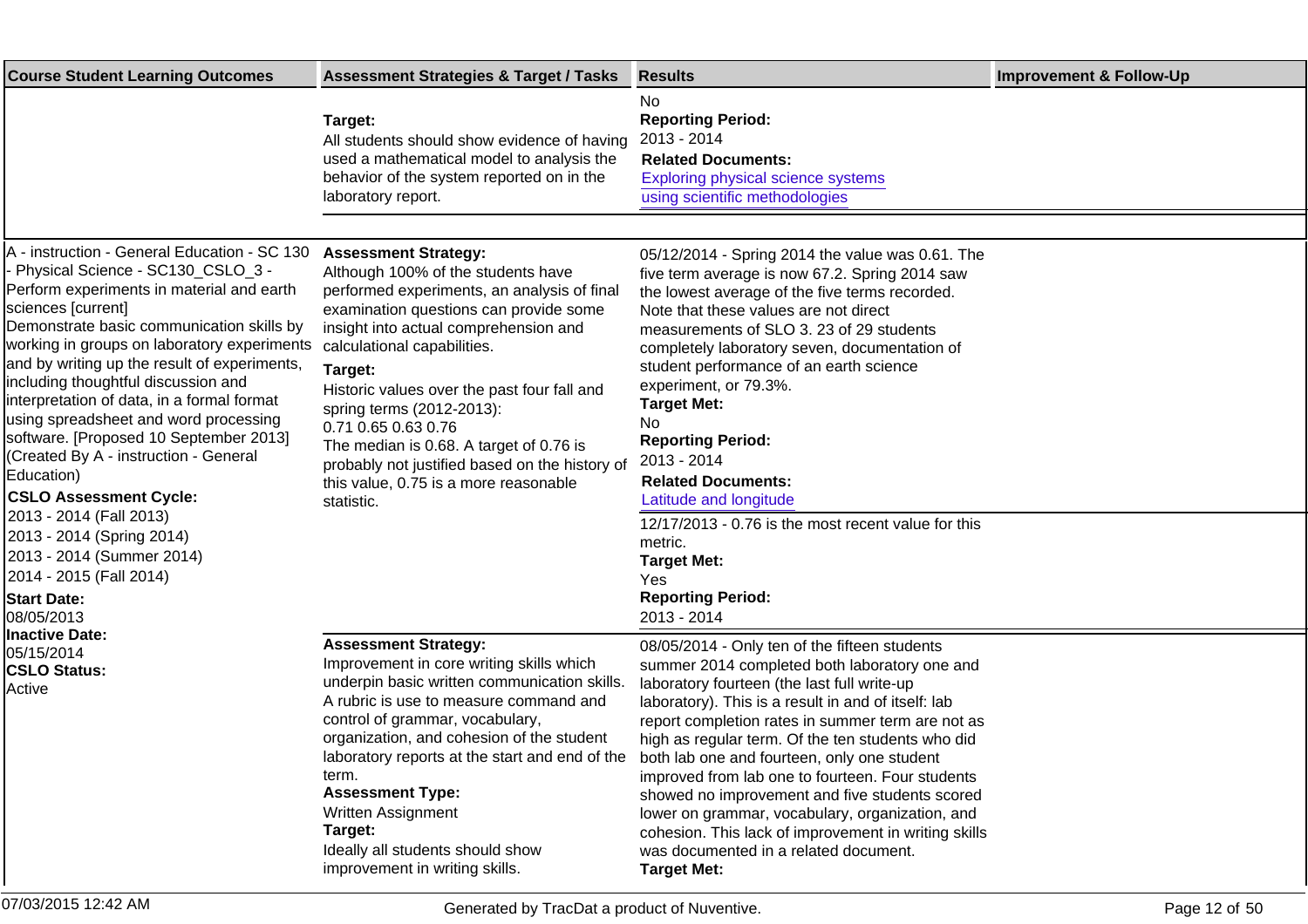| <b>Course Student Learning Outcomes</b>                                                                                                                                                                                                                                                                                                                                                                                                                                                                                                                                                                                                                                                                                                                                                      | <b>Assessment Strategies &amp; Target / Tasks</b>                                                                                                                                                                                                                                                                                                                                                                                                                                                    | <b>Results</b>                                                                                                                                                                                                                                                                                                                                                                                                                                                                                                                                                                                                                                | <b>Improvement &amp; Follow-Up</b> |
|----------------------------------------------------------------------------------------------------------------------------------------------------------------------------------------------------------------------------------------------------------------------------------------------------------------------------------------------------------------------------------------------------------------------------------------------------------------------------------------------------------------------------------------------------------------------------------------------------------------------------------------------------------------------------------------------------------------------------------------------------------------------------------------------|------------------------------------------------------------------------------------------------------------------------------------------------------------------------------------------------------------------------------------------------------------------------------------------------------------------------------------------------------------------------------------------------------------------------------------------------------------------------------------------------------|-----------------------------------------------------------------------------------------------------------------------------------------------------------------------------------------------------------------------------------------------------------------------------------------------------------------------------------------------------------------------------------------------------------------------------------------------------------------------------------------------------------------------------------------------------------------------------------------------------------------------------------------------|------------------------------------|
|                                                                                                                                                                                                                                                                                                                                                                                                                                                                                                                                                                                                                                                                                                                                                                                              | Target:<br>All students should show evidence of having<br>used a mathematical model to analysis the<br>behavior of the system reported on in the<br>laboratory report.                                                                                                                                                                                                                                                                                                                               | No<br><b>Reporting Period:</b><br>2013 - 2014<br><b>Related Documents:</b><br><b>Exploring physical science systems</b><br>using scientific methodologies                                                                                                                                                                                                                                                                                                                                                                                                                                                                                     |                                    |
|                                                                                                                                                                                                                                                                                                                                                                                                                                                                                                                                                                                                                                                                                                                                                                                              |                                                                                                                                                                                                                                                                                                                                                                                                                                                                                                      |                                                                                                                                                                                                                                                                                                                                                                                                                                                                                                                                                                                                                                               |                                    |
| A - instruction - General Education - SC 130<br>Physical Science - SC130_CSLO_3 -<br>Perform experiments in material and earth<br>sciences [current]<br>Demonstrate basic communication skills by<br>working in groups on laboratory experiments<br>and by writing up the result of experiments,<br>including thoughtful discussion and<br>interpretation of data, in a formal format<br>using spreadsheet and word processing<br>software. [Proposed 10 September 2013]<br>(Created By A - instruction - General<br>Education)<br><b>CSLO Assessment Cycle:</b><br>2013 - 2014 (Fall 2013)<br>2013 - 2014 (Spring 2014)<br>2013 - 2014 (Summer 2014)<br>2014 - 2015 (Fall 2014)<br><b>Start Date:</b><br>08/05/2013<br><b>Inactive Date:</b><br>05/15/2014<br><b>CSLO Status:</b><br>Active | <b>Assessment Strategy:</b><br>Although 100% of the students have<br>performed experiments, an analysis of final<br>examination questions can provide some<br>insight into actual comprehension and<br>calculational capabilities.<br>Target:<br>Historic values over the past four fall and<br>spring terms (2012-2013):<br>0.71 0.65 0.63 0.76<br>The median is 0.68. A target of 0.76 is<br>probably not justified based on the history of<br>this value, 0.75 is a more reasonable<br>statistic. | 05/12/2014 - Spring 2014 the value was 0.61. The<br>five term average is now 67.2. Spring 2014 saw<br>the lowest average of the five terms recorded.<br>Note that these values are not direct<br>measurements of SLO 3. 23 of 29 students<br>completely laboratory seven, documentation of<br>student performance of an earth science<br>experiment, or 79.3%.<br><b>Target Met:</b><br>No<br><b>Reporting Period:</b><br>2013 - 2014<br><b>Related Documents:</b><br>Latitude and longitude<br>12/17/2013 - 0.76 is the most recent value for this<br>metric.                                                                                |                                    |
|                                                                                                                                                                                                                                                                                                                                                                                                                                                                                                                                                                                                                                                                                                                                                                                              |                                                                                                                                                                                                                                                                                                                                                                                                                                                                                                      | <b>Target Met:</b><br>Yes<br><b>Reporting Period:</b><br>2013 - 2014                                                                                                                                                                                                                                                                                                                                                                                                                                                                                                                                                                          |                                    |
|                                                                                                                                                                                                                                                                                                                                                                                                                                                                                                                                                                                                                                                                                                                                                                                              | <b>Assessment Strategy:</b><br>Improvement in core writing skills which<br>underpin basic written communication skills.<br>A rubric is use to measure command and<br>control of grammar, vocabulary,<br>organization, and cohesion of the student<br>laboratory reports at the start and end of the<br>term.<br><b>Assessment Type:</b><br><b>Written Assignment</b><br>Target:<br>Ideally all students should show<br>improvement in writing skills.                                                | 08/05/2014 - Only ten of the fifteen students<br>summer 2014 completed both laboratory one and<br>laboratory fourteen (the last full write-up<br>laboratory). This is a result in and of itself: lab<br>report completion rates in summer term are not as<br>high as regular term. Of the ten students who did<br>both lab one and fourteen, only one student<br>improved from lab one to fourteen. Four students<br>showed no improvement and five students scored<br>lower on grammar, vocabulary, organization, and<br>cohesion. This lack of improvement in writing skills<br>was documented in a related document.<br><b>Target Met:</b> |                                    |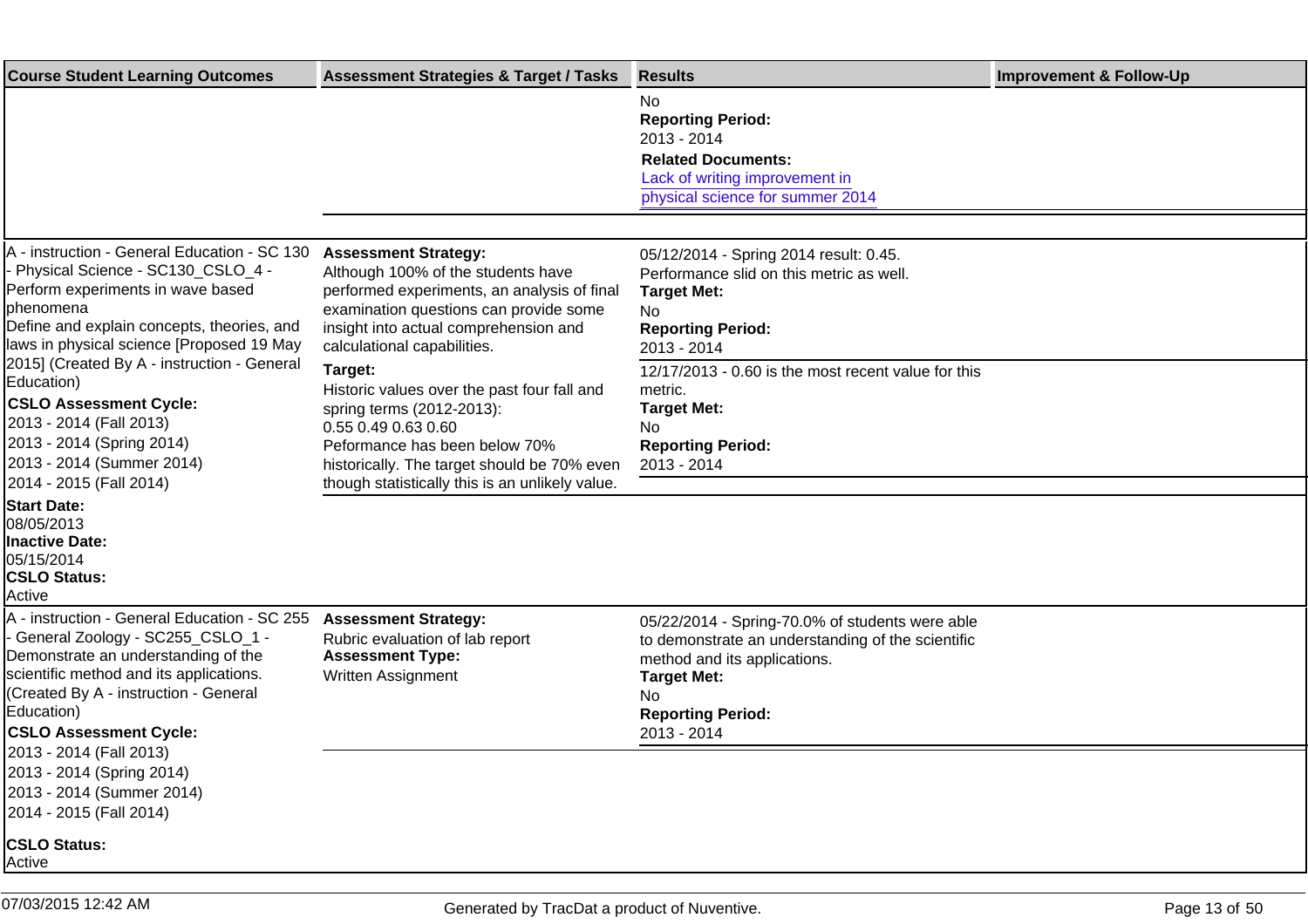| <b>Course Student Learning Outcomes</b>                                                                                                                                                                                                                    | <b>Assessment Strategies &amp; Target / Tasks</b>                                                                                                                                                                                             | <b>Results</b>                                                                                                                                                                                               | <b>Improvement &amp; Follow-Up</b> |
|------------------------------------------------------------------------------------------------------------------------------------------------------------------------------------------------------------------------------------------------------------|-----------------------------------------------------------------------------------------------------------------------------------------------------------------------------------------------------------------------------------------------|--------------------------------------------------------------------------------------------------------------------------------------------------------------------------------------------------------------|------------------------------------|
|                                                                                                                                                                                                                                                            |                                                                                                                                                                                                                                               | No<br><b>Reporting Period:</b><br>2013 - 2014<br><b>Related Documents:</b><br>Lack of writing improvement in<br>physical science for summer 2014                                                             |                                    |
|                                                                                                                                                                                                                                                            |                                                                                                                                                                                                                                               |                                                                                                                                                                                                              |                                    |
| A - instruction - General Education - SC 130<br>Physical Science - SC130_CSLO_4 -<br>Perform experiments in wave based<br> phenomena<br>Define and explain concepts, theories, and<br>laws in physical science [Proposed 19 May                            | <b>Assessment Strategy:</b><br>Although 100% of the students have<br>performed experiments, an analysis of final<br>examination questions can provide some<br>insight into actual comprehension and<br>calculational capabilities.            | 05/12/2014 - Spring 2014 result: 0.45.<br>Performance slid on this metric as well.<br><b>Target Met:</b><br>No<br><b>Reporting Period:</b><br>2013 - 2014                                                    |                                    |
| [2015] (Created By A - instruction - General<br>Education)<br><b>CSLO Assessment Cycle:</b><br>2013 - 2014 (Fall 2013)<br>2013 - 2014 (Spring 2014)<br>2013 - 2014 (Summer 2014)<br>2014 - 2015 (Fall 2014)                                                | Target:<br>Historic values over the past four fall and<br>spring terms (2012-2013):<br>0.55 0.49 0.63 0.60<br>Peformance has been below 70%<br>historically. The target should be 70% even<br>though statistically this is an unlikely value. | 12/17/2013 - 0.60 is the most recent value for this<br>metric.<br><b>Target Met:</b><br>No.<br><b>Reporting Period:</b><br>2013 - 2014                                                                       |                                    |
| <b>Start Date:</b>                                                                                                                                                                                                                                         |                                                                                                                                                                                                                                               |                                                                                                                                                                                                              |                                    |
| 08/05/2013<br><b>Inactive Date:</b><br>05/15/2014<br><b>CSLO Status:</b><br>Active                                                                                                                                                                         |                                                                                                                                                                                                                                               |                                                                                                                                                                                                              |                                    |
| A - instruction - General Education - SC 255<br>General Zoology - SC255_CSLO_1 -<br>Demonstrate an understanding of the<br>scientific method and its applications.<br>(Created By A - instruction - General<br>Education)<br><b>CSLO Assessment Cycle:</b> | <b>Assessment Strategy:</b><br>Rubric evaluation of lab report<br><b>Assessment Type:</b><br>Written Assignment                                                                                                                               | 05/22/2014 - Spring-70.0% of students were able<br>to demonstrate an understanding of the scientific<br>method and its applications.<br><b>Target Met:</b><br>No.<br><b>Reporting Period:</b><br>2013 - 2014 |                                    |
| 2013 - 2014 (Fall 2013)<br>2013 - 2014 (Spring 2014)<br>2013 - 2014 (Summer 2014)<br>2014 - 2015 (Fall 2014)                                                                                                                                               |                                                                                                                                                                                                                                               |                                                                                                                                                                                                              |                                    |
| <b>CSLO Status:</b><br>Active                                                                                                                                                                                                                              |                                                                                                                                                                                                                                               |                                                                                                                                                                                                              |                                    |
| 07/03/2015 12:42 AM                                                                                                                                                                                                                                        |                                                                                                                                                                                                                                               |                                                                                                                                                                                                              |                                    |
|                                                                                                                                                                                                                                                            | Generated by TracDat a product of Nuventive.                                                                                                                                                                                                  |                                                                                                                                                                                                              | Page 13 of 50                      |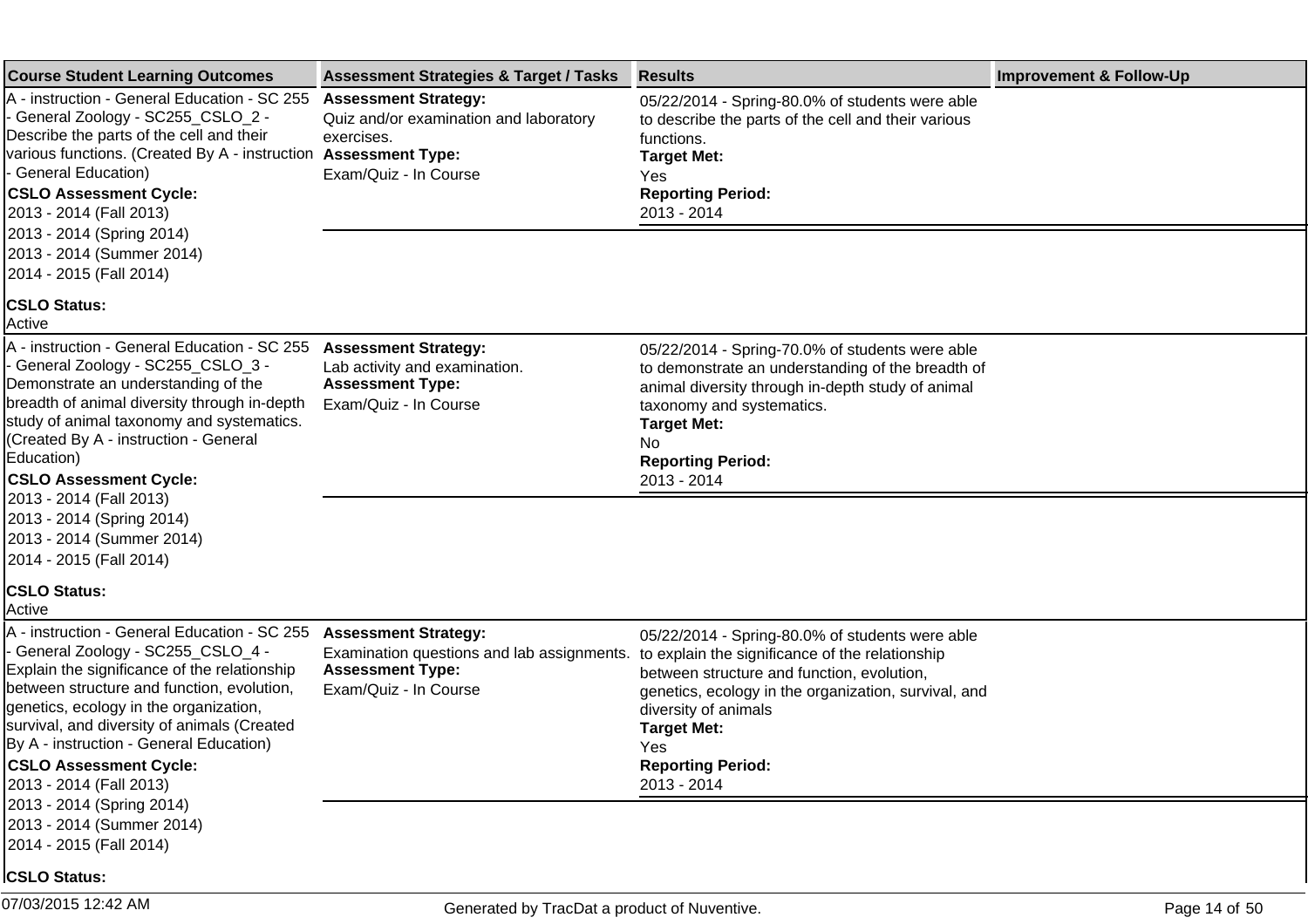| <b>Course Student Learning Outcomes</b>                                                                                                                                                                                                                                                                                                                                                                                                    | <b>Assessment Strategies &amp; Target / Tasks</b>                                                                             | <b>Results</b>                                                                                                                                                                                                                                                                                           | <b>Improvement &amp; Follow-Up</b> |
|--------------------------------------------------------------------------------------------------------------------------------------------------------------------------------------------------------------------------------------------------------------------------------------------------------------------------------------------------------------------------------------------------------------------------------------------|-------------------------------------------------------------------------------------------------------------------------------|----------------------------------------------------------------------------------------------------------------------------------------------------------------------------------------------------------------------------------------------------------------------------------------------------------|------------------------------------|
| A - instruction - General Education - SC 255<br>- General Zoology - SC255_CSLO_2 -<br>Describe the parts of the cell and their<br>various functions. (Created By A - instruction Assessment Type:<br>- General Education)<br><b>CSLO Assessment Cycle:</b><br>2013 - 2014 (Fall 2013)                                                                                                                                                      | <b>Assessment Strategy:</b><br>Quiz and/or examination and laboratory<br>exercises.<br>Exam/Quiz - In Course                  | 05/22/2014 - Spring-80.0% of students were able<br>to describe the parts of the cell and their various<br>functions.<br><b>Target Met:</b><br>Yes<br><b>Reporting Period:</b><br>2013 - 2014                                                                                                             |                                    |
| 2013 - 2014 (Spring 2014)<br>2013 - 2014 (Summer 2014)<br>2014 - 2015 (Fall 2014)<br><b>CSLO Status:</b>                                                                                                                                                                                                                                                                                                                                   |                                                                                                                               |                                                                                                                                                                                                                                                                                                          |                                    |
| Active                                                                                                                                                                                                                                                                                                                                                                                                                                     |                                                                                                                               |                                                                                                                                                                                                                                                                                                          |                                    |
| A - instruction - General Education - SC 255<br>- General Zoology - SC255_CSLO_3 -<br>Demonstrate an understanding of the<br>breadth of animal diversity through in-depth<br>study of animal taxonomy and systematics.<br>(Created By A - instruction - General<br>Education)<br><b>CSLO Assessment Cycle:</b>                                                                                                                             | <b>Assessment Strategy:</b><br>Lab activity and examination.<br><b>Assessment Type:</b><br>Exam/Quiz - In Course              | 05/22/2014 - Spring-70.0% of students were able<br>to demonstrate an understanding of the breadth of<br>animal diversity through in-depth study of animal<br>taxonomy and systematics.<br><b>Target Met:</b><br>No<br><b>Reporting Period:</b><br>2013 - 2014                                            |                                    |
| 2013 - 2014 (Fall 2013)<br>2013 - 2014 (Spring 2014)<br>2013 - 2014 (Summer 2014)<br>2014 - 2015 (Fall 2014)                                                                                                                                                                                                                                                                                                                               |                                                                                                                               |                                                                                                                                                                                                                                                                                                          |                                    |
| <b>CSLO Status:</b><br>Active                                                                                                                                                                                                                                                                                                                                                                                                              |                                                                                                                               |                                                                                                                                                                                                                                                                                                          |                                    |
| A - instruction - General Education - SC 255<br>- General Zoology - SC255_CSLO_4 -<br>Explain the significance of the relationship<br>between structure and function, evolution,<br>genetics, ecology in the organization,<br>survival, and diversity of animals (Created<br>By A - instruction - General Education)<br><b>CSLO Assessment Cycle:</b><br>2013 - 2014 (Fall 2013)<br>2013 - 2014 (Spring 2014)<br>2013 - 2014 (Summer 2014) | <b>Assessment Strategy:</b><br>Examination questions and lab assignments.<br><b>Assessment Type:</b><br>Exam/Quiz - In Course | 05/22/2014 - Spring-80.0% of students were able<br>to explain the significance of the relationship<br>between structure and function, evolution,<br>genetics, ecology in the organization, survival, and<br>diversity of animals<br><b>Target Met:</b><br>Yes<br><b>Reporting Period:</b><br>2013 - 2014 |                                    |
| 2014 - 2015 (Fall 2014)<br><b>CSLO Status:</b>                                                                                                                                                                                                                                                                                                                                                                                             |                                                                                                                               |                                                                                                                                                                                                                                                                                                          |                                    |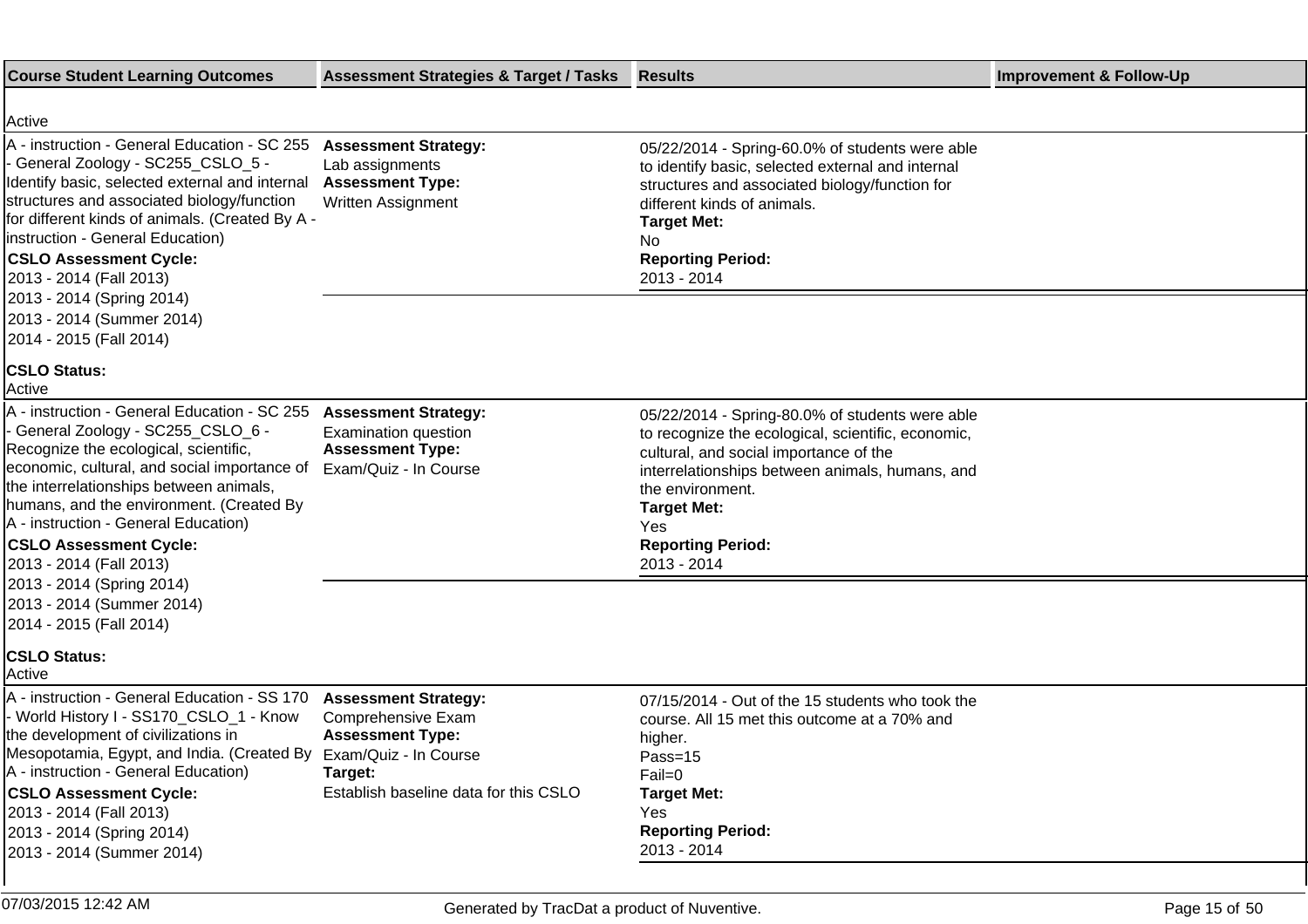| <b>Course Student Learning Outcomes</b>                                                                                                                                                                                                                                                                                                                                                              | <b>Assessment Strategies &amp; Target / Tasks</b>                                                                                | <b>Results</b>                                                                                                                                                                                                                                                                                 | <b>Improvement &amp; Follow-Up</b> |
|------------------------------------------------------------------------------------------------------------------------------------------------------------------------------------------------------------------------------------------------------------------------------------------------------------------------------------------------------------------------------------------------------|----------------------------------------------------------------------------------------------------------------------------------|------------------------------------------------------------------------------------------------------------------------------------------------------------------------------------------------------------------------------------------------------------------------------------------------|------------------------------------|
| Active                                                                                                                                                                                                                                                                                                                                                                                               |                                                                                                                                  |                                                                                                                                                                                                                                                                                                |                                    |
| A - instruction - General Education - SC 255 Assessment Strategy:<br>- General Zoology - SC255_CSLO_5 -<br>Identify basic, selected external and internal<br>structures and associated biology/function<br>for different kinds of animals. (Created By A -<br>linstruction - General Education)<br><b>CSLO Assessment Cycle:</b><br>2013 - 2014 (Fall 2013)<br>2013 - 2014 (Spring 2014)             | Lab assignments<br><b>Assessment Type:</b><br>Written Assignment                                                                 | 05/22/2014 - Spring-60.0% of students were able<br>to identify basic, selected external and internal<br>structures and associated biology/function for<br>different kinds of animals.<br><b>Target Met:</b><br>No.<br><b>Reporting Period:</b><br>2013 - 2014                                  |                                    |
| 2013 - 2014 (Summer 2014)<br>2014 - 2015 (Fall 2014)                                                                                                                                                                                                                                                                                                                                                 |                                                                                                                                  |                                                                                                                                                                                                                                                                                                |                                    |
| <b>CSLO Status:</b><br>Active                                                                                                                                                                                                                                                                                                                                                                        |                                                                                                                                  |                                                                                                                                                                                                                                                                                                |                                    |
| A - instruction - General Education - SC 255<br>- General Zoology - SC255_CSLO_6 [-<br>Recognize the ecological, scientific,<br>economic, cultural, and social importance of<br>the interrelationships between animals,<br>humans, and the environment. (Created By<br>A - instruction - General Education)<br><b>CSLO Assessment Cycle:</b><br>2013 - 2014 (Fall 2013)<br>2013 - 2014 (Spring 2014) | <b>Assessment Strategy:</b><br><b>Examination question</b><br><b>Assessment Type:</b><br>Exam/Quiz - In Course                   | 05/22/2014 - Spring-80.0% of students were able<br>to recognize the ecological, scientific, economic,<br>cultural, and social importance of the<br>interrelationships between animals, humans, and<br>the environment.<br><b>Target Met:</b><br>Yes<br><b>Reporting Period:</b><br>2013 - 2014 |                                    |
| 2013 - 2014 (Summer 2014)<br>2014 - 2015 (Fall 2014)<br><b>CSLO Status:</b>                                                                                                                                                                                                                                                                                                                          |                                                                                                                                  |                                                                                                                                                                                                                                                                                                |                                    |
| Active                                                                                                                                                                                                                                                                                                                                                                                               |                                                                                                                                  |                                                                                                                                                                                                                                                                                                |                                    |
| A - instruction - General Education - SS 170<br>- World History I - SS170_CSLO_1 - Know<br>the development of civilizations in<br>Mesopotamia, Egypt, and India. (Created By Exam/Quiz - In Course<br>A - instruction - General Education)<br><b>CSLO Assessment Cycle:</b><br>2013 - 2014 (Fall 2013)<br>2013 - 2014 (Spring 2014)<br>2013 - 2014 (Summer 2014)                                     | <b>Assessment Strategy:</b><br>Comprehensive Exam<br><b>Assessment Type:</b><br>Target:<br>Establish baseline data for this CSLO | 07/15/2014 - Out of the 15 students who took the<br>course. All 15 met this outcome at a 70% and<br>higher.<br>Pass=15<br>Fail=0<br><b>Target Met:</b><br>Yes<br><b>Reporting Period:</b><br>2013 - 2014                                                                                       |                                    |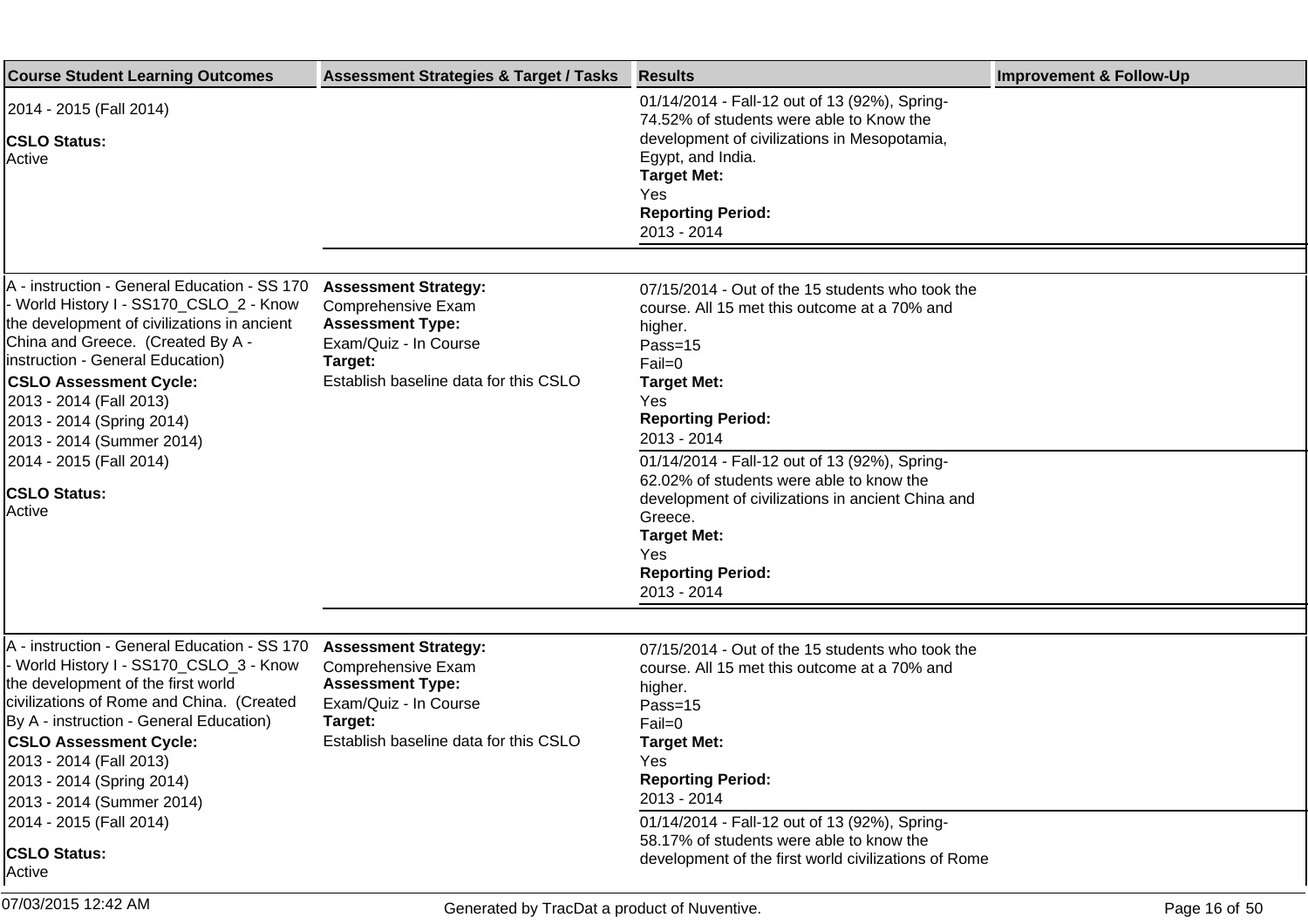| <b>Course Student Learning Outcomes</b>                                                                                                                                                                                                                                                                                                                                                                 | <b>Assessment Strategies &amp; Target / Tasks</b>                                                                                                         | <b>Results</b>                                                                                                                                                                                                                                                                                                                                                                                                                                | <b>Improvement &amp; Follow-Up</b> |
|---------------------------------------------------------------------------------------------------------------------------------------------------------------------------------------------------------------------------------------------------------------------------------------------------------------------------------------------------------------------------------------------------------|-----------------------------------------------------------------------------------------------------------------------------------------------------------|-----------------------------------------------------------------------------------------------------------------------------------------------------------------------------------------------------------------------------------------------------------------------------------------------------------------------------------------------------------------------------------------------------------------------------------------------|------------------------------------|
| 2014 - 2015 (Fall 2014)<br><b>CSLO Status:</b><br><b>Active</b>                                                                                                                                                                                                                                                                                                                                         |                                                                                                                                                           | 01/14/2014 - Fall-12 out of 13 (92%), Spring-<br>74.52% of students were able to Know the<br>development of civilizations in Mesopotamia,<br>Egypt, and India.<br><b>Target Met:</b><br>Yes<br><b>Reporting Period:</b><br>2013 - 2014                                                                                                                                                                                                        |                                    |
|                                                                                                                                                                                                                                                                                                                                                                                                         |                                                                                                                                                           |                                                                                                                                                                                                                                                                                                                                                                                                                                               |                                    |
| A - instruction - General Education - SS 170<br>World History I - SS170_CSLO_2 - Know<br>the development of civilizations in ancient<br>China and Greece. (Created By A -<br>Instruction - General Education)<br><b>CSLO Assessment Cycle:</b><br>2013 - 2014 (Fall 2013)<br>2013 - 2014 (Spring 2014)<br>2013 - 2014 (Summer 2014)<br>2014 - 2015 (Fall 2014)<br><b>CSLO Status:</b><br>Active         | <b>Assessment Strategy:</b><br>Comprehensive Exam<br><b>Assessment Type:</b><br>Exam/Quiz - In Course<br>Target:<br>Establish baseline data for this CSLO | 07/15/2014 - Out of the 15 students who took the<br>course. All 15 met this outcome at a 70% and<br>higher.<br>Pass=15<br>Fail=0<br><b>Target Met:</b><br>Yes<br><b>Reporting Period:</b><br>2013 - 2014<br>01/14/2014 - Fall-12 out of 13 (92%), Spring-<br>62.02% of students were able to know the<br>development of civilizations in ancient China and<br>Greece.<br><b>Target Met:</b><br>Yes<br><b>Reporting Period:</b><br>2013 - 2014 |                                    |
|                                                                                                                                                                                                                                                                                                                                                                                                         |                                                                                                                                                           |                                                                                                                                                                                                                                                                                                                                                                                                                                               |                                    |
| A - instruction - General Education - SS 170<br>- World History I - SS170_CSLO_3 - Know<br>the development of the first world<br>civilizations of Rome and China. (Created<br>By A - instruction - General Education)<br><b>CSLO Assessment Cycle:</b><br>2013 - 2014 (Fall 2013)<br>2013 - 2014 (Spring 2014)<br>2013 - 2014 (Summer 2014)<br>2014 - 2015 (Fall 2014)<br><b>CSLO Status:</b><br>Active | <b>Assessment Strategy:</b><br>Comprehensive Exam<br><b>Assessment Type:</b><br>Exam/Quiz - In Course<br>Target:<br>Establish baseline data for this CSLO | 07/15/2014 - Out of the 15 students who took the<br>course. All 15 met this outcome at a 70% and<br>higher.<br>Pass=15<br>Fail=0<br><b>Target Met:</b><br>Yes<br><b>Reporting Period:</b><br>2013 - 2014<br>01/14/2014 - Fall-12 out of 13 (92%), Spring-<br>58.17% of students were able to know the<br>development of the first world civilizations of Rome                                                                                 |                                    |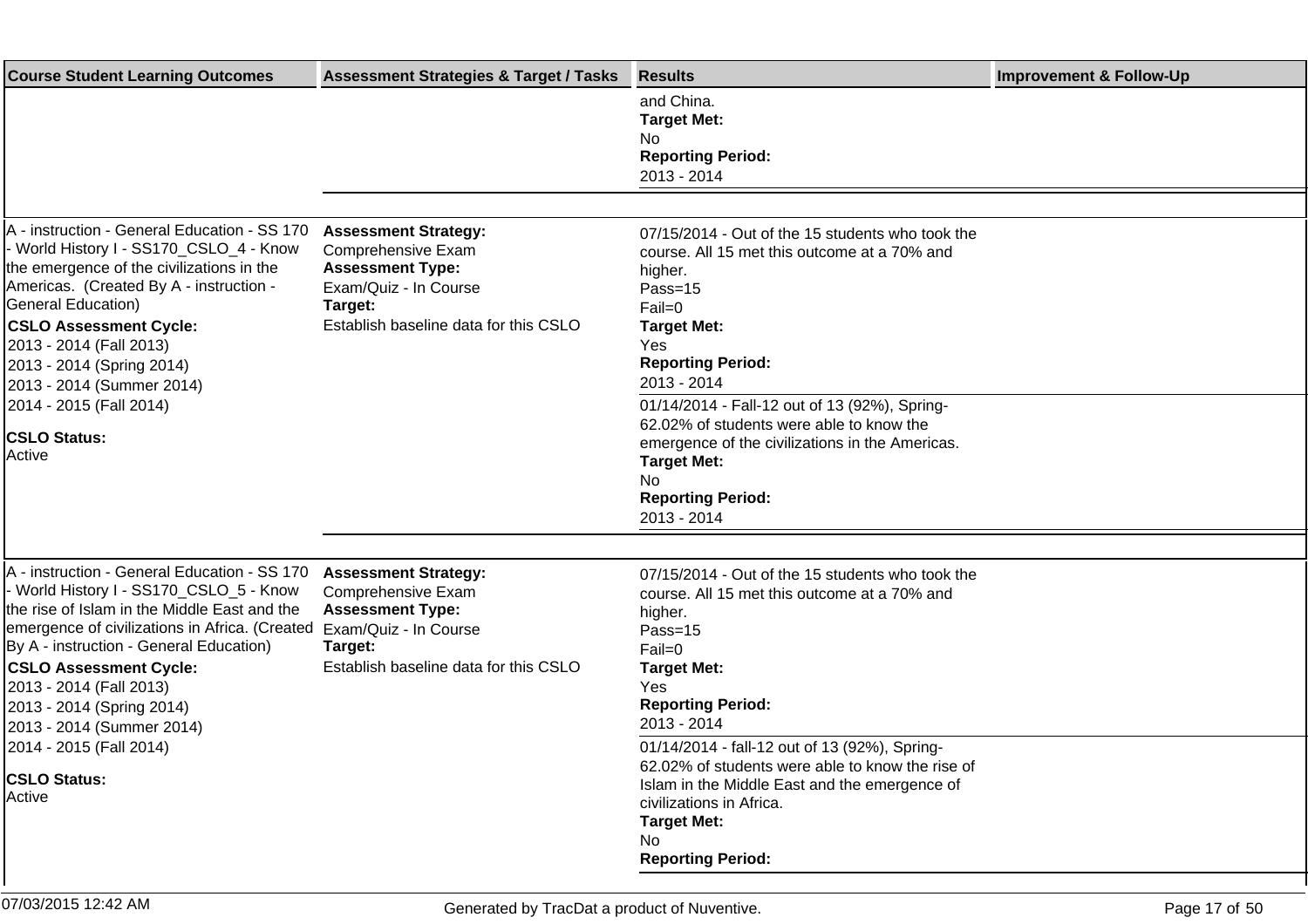| <b>Course Student Learning Outcomes</b>                                                                                                                                                                                                                                                                                                                    | <b>Assessment Strategies &amp; Target / Tasks</b>                                                                                                         | <b>Results</b>                                                                                                                                                                                                                          | <b>Improvement &amp; Follow-Up</b> |
|------------------------------------------------------------------------------------------------------------------------------------------------------------------------------------------------------------------------------------------------------------------------------------------------------------------------------------------------------------|-----------------------------------------------------------------------------------------------------------------------------------------------------------|-----------------------------------------------------------------------------------------------------------------------------------------------------------------------------------------------------------------------------------------|------------------------------------|
|                                                                                                                                                                                                                                                                                                                                                            |                                                                                                                                                           | and China.<br><b>Target Met:</b><br>No<br><b>Reporting Period:</b><br>2013 - 2014                                                                                                                                                       |                                    |
|                                                                                                                                                                                                                                                                                                                                                            |                                                                                                                                                           |                                                                                                                                                                                                                                         |                                    |
| A - instruction - General Education - SS 170<br>- World History I - SS170_CSLO_4 - Know<br>the emergence of the civilizations in the<br>Americas. (Created By A - instruction -<br>General Education)<br><b>CSLO Assessment Cycle:</b><br>2013 - 2014 (Fall 2013)<br>2013 - 2014 (Spring 2014)<br>2013 - 2014 (Summer 2014)                                | <b>Assessment Strategy:</b><br>Comprehensive Exam<br><b>Assessment Type:</b><br>Exam/Quiz - In Course<br>Target:<br>Establish baseline data for this CSLO | 07/15/2014 - Out of the 15 students who took the<br>course. All 15 met this outcome at a 70% and<br>higher.<br>Pass=15<br>Fail=0<br><b>Target Met:</b><br>Yes<br><b>Reporting Period:</b><br>2013 - 2014                                |                                    |
| 2014 - 2015 (Fall 2014)<br><b>CSLO Status:</b><br>Active                                                                                                                                                                                                                                                                                                   |                                                                                                                                                           | 01/14/2014 - Fall-12 out of 13 (92%), Spring-<br>62.02% of students were able to know the<br>emergence of the civilizations in the Americas.<br><b>Target Met:</b><br>No<br><b>Reporting Period:</b><br>2013 - 2014                     |                                    |
|                                                                                                                                                                                                                                                                                                                                                            |                                                                                                                                                           |                                                                                                                                                                                                                                         |                                    |
| A - instruction - General Education - SS 170<br>- World History I - SS170_CSLO_5 - Know<br>the rise of Islam in the Middle East and the<br>emergence of civilizations in Africa. (Created<br>By A - instruction - General Education)<br><b>CSLO Assessment Cycle:</b><br>2013 - 2014 (Fall 2013)<br>2013 - 2014 (Spring 2014)<br>2013 - 2014 (Summer 2014) | <b>Assessment Strategy:</b><br>Comprehensive Exam<br><b>Assessment Type:</b><br>Exam/Quiz - In Course<br>Target:<br>Establish baseline data for this CSLO | 07/15/2014 - Out of the 15 students who took the<br>course. All 15 met this outcome at a 70% and<br>higher.<br>Pass=15<br>Fail=0<br><b>Target Met:</b><br>Yes<br><b>Reporting Period:</b><br>2013 - 2014                                |                                    |
| 2014 - 2015 (Fall 2014)<br><b>CSLO Status:</b><br>Active                                                                                                                                                                                                                                                                                                   |                                                                                                                                                           | 01/14/2014 - fall-12 out of 13 (92%), Spring-<br>62.02% of students were able to know the rise of<br>Islam in the Middle East and the emergence of<br>civilizations in Africa.<br><b>Target Met:</b><br>No.<br><b>Reporting Period:</b> |                                    |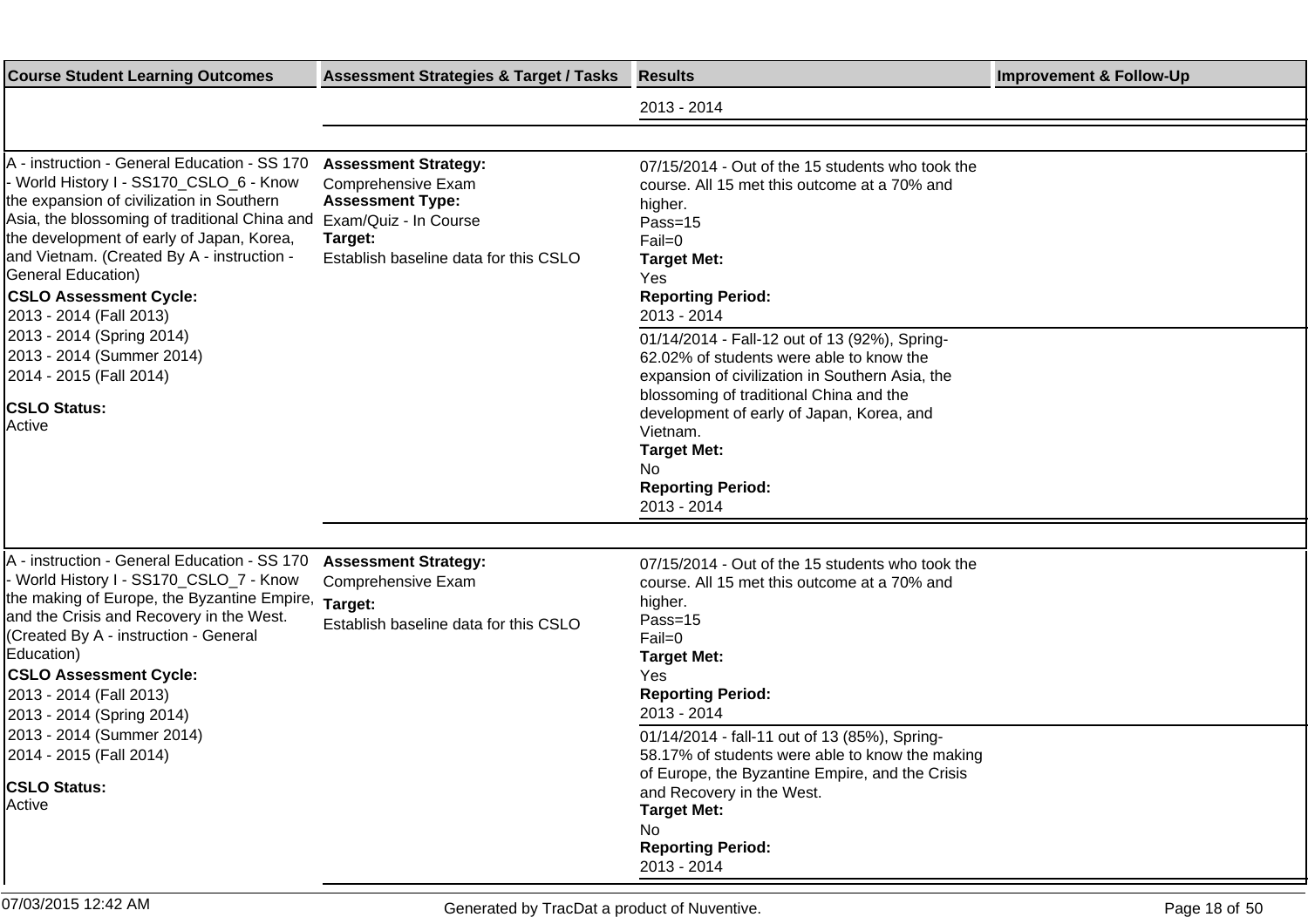| <b>Course Student Learning Outcomes</b>                                                                                                                                                                                                                                                                                                                                                                                     | <b>Assessment Strategies &amp; Target / Tasks</b>                                                                                                         | <b>Results</b>                                                                                                                                                                                                                                                                                                                                                                                                     | <b>Improvement &amp; Follow-Up</b> |
|-----------------------------------------------------------------------------------------------------------------------------------------------------------------------------------------------------------------------------------------------------------------------------------------------------------------------------------------------------------------------------------------------------------------------------|-----------------------------------------------------------------------------------------------------------------------------------------------------------|--------------------------------------------------------------------------------------------------------------------------------------------------------------------------------------------------------------------------------------------------------------------------------------------------------------------------------------------------------------------------------------------------------------------|------------------------------------|
|                                                                                                                                                                                                                                                                                                                                                                                                                             |                                                                                                                                                           | 2013 - 2014                                                                                                                                                                                                                                                                                                                                                                                                        |                                    |
|                                                                                                                                                                                                                                                                                                                                                                                                                             |                                                                                                                                                           |                                                                                                                                                                                                                                                                                                                                                                                                                    |                                    |
| A - instruction - General Education - SS 170<br>- World History I - SS170_CSLO_6 - Know<br>the expansion of civilization in Southern<br>Asia, the blossoming of traditional China and<br>the development of early of Japan, Korea,<br>and Vietnam. (Created By A - instruction -<br>General Education)<br><b>CSLO Assessment Cycle:</b><br>2013 - 2014 (Fall 2013)<br>2013 - 2014 (Spring 2014)                             | <b>Assessment Strategy:</b><br>Comprehensive Exam<br><b>Assessment Type:</b><br>Exam/Quiz - In Course<br>Target:<br>Establish baseline data for this CSLO | 07/15/2014 - Out of the 15 students who took the<br>course. All 15 met this outcome at a 70% and<br>higher.<br>Pass=15<br>Fail=0<br><b>Target Met:</b><br><b>Yes</b><br><b>Reporting Period:</b><br>2013 - 2014<br>01/14/2014 - Fall-12 out of 13 (92%), Spring-                                                                                                                                                   |                                    |
| 2013 - 2014 (Summer 2014)<br>2014 - 2015 (Fall 2014)<br><b>CSLO Status:</b><br>Active                                                                                                                                                                                                                                                                                                                                       |                                                                                                                                                           | 62.02% of students were able to know the<br>expansion of civilization in Southern Asia, the<br>blossoming of traditional China and the<br>development of early of Japan, Korea, and<br>Vietnam.<br><b>Target Met:</b><br>No.<br><b>Reporting Period:</b><br>2013 - 2014                                                                                                                                            |                                    |
| A - instruction - General Education - SS 170<br>- World History I - SS170_CSLO_7 - Know<br>the making of Europe, the Byzantine Empire,<br>and the Crisis and Recovery in the West.<br>(Created By A - instruction - General<br>Education)<br><b>CSLO Assessment Cycle:</b><br>2013 - 2014 (Fall 2013)<br>2013 - 2014 (Spring 2014)<br>2013 - 2014 (Summer 2014)<br>2014 - 2015 (Fall 2014)<br><b>CSLO Status:</b><br>Active | <b>Assessment Strategy:</b><br>Comprehensive Exam<br>Target:<br>Establish baseline data for this CSLO                                                     | 07/15/2014 - Out of the 15 students who took the<br>course. All 15 met this outcome at a 70% and<br>higher.<br>Pass=15<br>Fail=0<br><b>Target Met:</b><br>Yes<br><b>Reporting Period:</b><br>2013 - 2014<br>01/14/2014 - fall-11 out of 13 (85%), Spring-<br>58.17% of students were able to know the making<br>of Europe, the Byzantine Empire, and the Crisis<br>and Recovery in the West.<br><b>Target Met:</b> |                                    |
|                                                                                                                                                                                                                                                                                                                                                                                                                             |                                                                                                                                                           | No.<br><b>Reporting Period:</b><br>2013 - 2014                                                                                                                                                                                                                                                                                                                                                                     |                                    |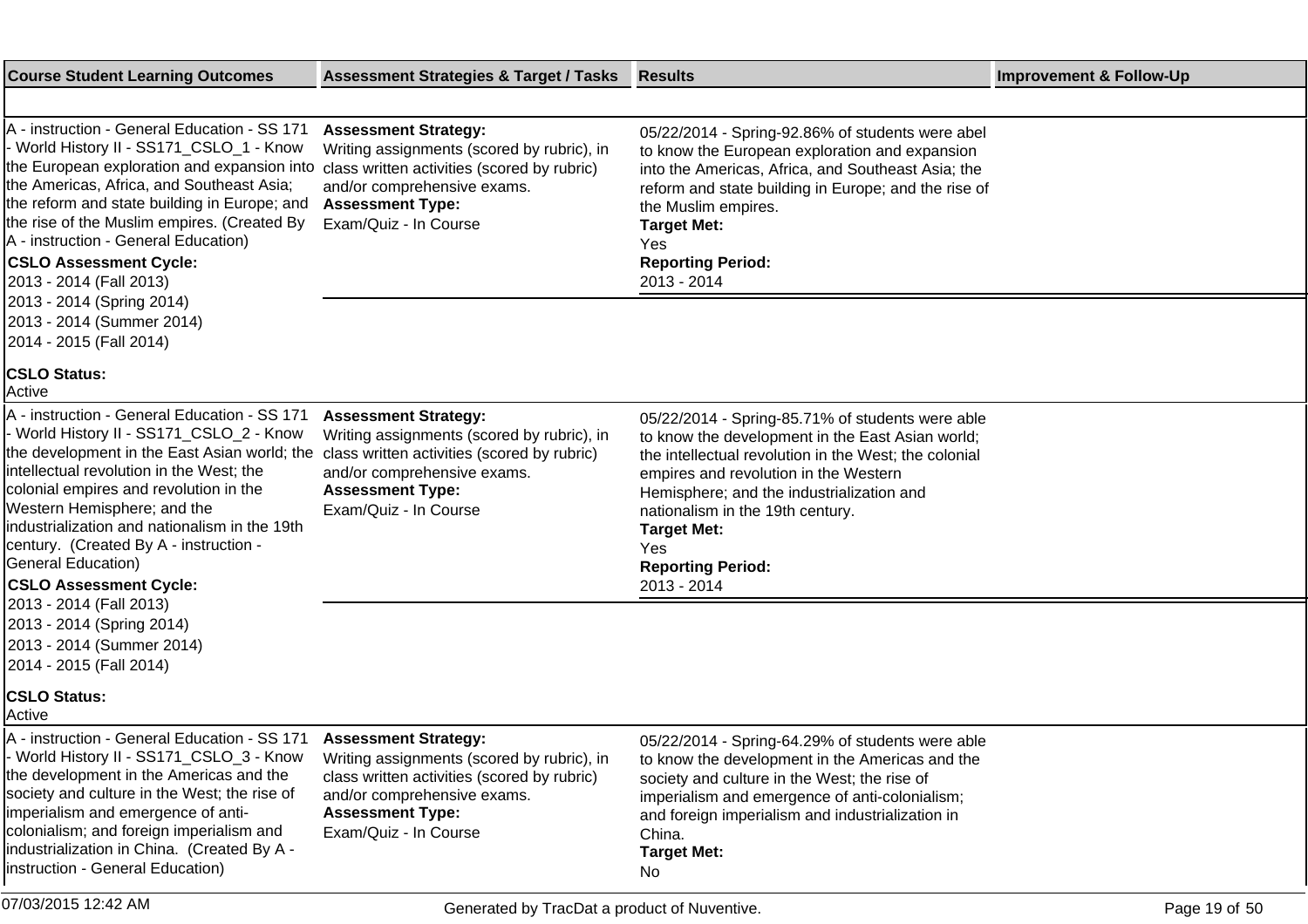| <b>Course Student Learning Outcomes</b>                                                                                                                                                                                                                                                                                                                                                                              | <b>Assessment Strategies &amp; Target / Tasks</b>                                                                                                                                                           | <b>Results</b>                                                                                                                                                                                                                                                                                                                                                  | <b>Improvement &amp; Follow-Up</b> |
|----------------------------------------------------------------------------------------------------------------------------------------------------------------------------------------------------------------------------------------------------------------------------------------------------------------------------------------------------------------------------------------------------------------------|-------------------------------------------------------------------------------------------------------------------------------------------------------------------------------------------------------------|-----------------------------------------------------------------------------------------------------------------------------------------------------------------------------------------------------------------------------------------------------------------------------------------------------------------------------------------------------------------|------------------------------------|
|                                                                                                                                                                                                                                                                                                                                                                                                                      |                                                                                                                                                                                                             |                                                                                                                                                                                                                                                                                                                                                                 |                                    |
| A - instruction - General Education - SS 171<br>- World History II - SS171_CSLO_1 - Know<br>the European exploration and expansion into<br>the Americas, Africa, and Southeast Asia;<br>the reform and state building in Europe; and<br>the rise of the Muslim empires. (Created By<br>A - instruction - General Education)<br><b>CSLO Assessment Cycle:</b><br>2013 - 2014 (Fall 2013)<br>2013 - 2014 (Spring 2014) | <b>Assessment Strategy:</b><br>Writing assignments (scored by rubric), in<br>class written activities (scored by rubric)<br>and/or comprehensive exams.<br><b>Assessment Type:</b><br>Exam/Quiz - In Course | 05/22/2014 - Spring-92.86% of students were abel<br>to know the European exploration and expansion<br>into the Americas, Africa, and Southeast Asia; the<br>reform and state building in Europe; and the rise of<br>the Muslim empires.<br><b>Target Met:</b><br>Yes<br><b>Reporting Period:</b><br>2013 - 2014                                                 |                                    |
| 2013 - 2014 (Summer 2014)<br>2014 - 2015 (Fall 2014)                                                                                                                                                                                                                                                                                                                                                                 |                                                                                                                                                                                                             |                                                                                                                                                                                                                                                                                                                                                                 |                                    |
| <b>CSLO Status:</b><br>Active                                                                                                                                                                                                                                                                                                                                                                                        |                                                                                                                                                                                                             |                                                                                                                                                                                                                                                                                                                                                                 |                                    |
| A - instruction - General Education - SS 171<br>- World History II - SS171_CSLO_2 - Know<br>the development in the East Asian world; the<br>intellectual revolution in the West; the<br>colonial empires and revolution in the<br>Western Hemisphere; and the<br>industrialization and nationalism in the 19th<br>century. (Created By A - instruction -<br>General Education)<br><b>CSLO Assessment Cycle:</b>      | <b>Assessment Strategy:</b><br>Writing assignments (scored by rubric), in<br>class written activities (scored by rubric)<br>and/or comprehensive exams.<br><b>Assessment Type:</b><br>Exam/Quiz - In Course | 05/22/2014 - Spring-85.71% of students were able<br>to know the development in the East Asian world;<br>the intellectual revolution in the West; the colonial<br>empires and revolution in the Western<br>Hemisphere; and the industrialization and<br>nationalism in the 19th century.<br><b>Target Met:</b><br>Yes<br><b>Reporting Period:</b><br>2013 - 2014 |                                    |
| 2013 - 2014 (Fall 2013)<br>2013 - 2014 (Spring 2014)<br>2013 - 2014 (Summer 2014)<br>2014 - 2015 (Fall 2014)                                                                                                                                                                                                                                                                                                         |                                                                                                                                                                                                             |                                                                                                                                                                                                                                                                                                                                                                 |                                    |
| <b>CSLO Status:</b><br>Active                                                                                                                                                                                                                                                                                                                                                                                        |                                                                                                                                                                                                             |                                                                                                                                                                                                                                                                                                                                                                 |                                    |
| A - instruction - General Education - SS 171 Assessment Strategy:<br>World History II - SS171_CSLO_3 - Know<br>the development in the Americas and the<br>society and culture in the West; the rise of<br>imperialism and emergence of anti-<br>colonialism; and foreign imperialism and<br>industrialization in China. (Created By A -<br>Instruction - General Education)                                          | Writing assignments (scored by rubric), in<br>class written activities (scored by rubric)<br>and/or comprehensive exams.<br><b>Assessment Type:</b><br>Exam/Quiz - In Course                                | 05/22/2014 - Spring-64.29% of students were able<br>to know the development in the Americas and the<br>society and culture in the West; the rise of<br>imperialism and emergence of anti-colonialism;<br>and foreign imperialism and industrialization in<br>China.<br><b>Target Met:</b><br>No                                                                 |                                    |
| 07/03/2015 12:42 AM                                                                                                                                                                                                                                                                                                                                                                                                  | Generated by TracDat a product of Nuventive.                                                                                                                                                                |                                                                                                                                                                                                                                                                                                                                                                 | Page 19 of 50                      |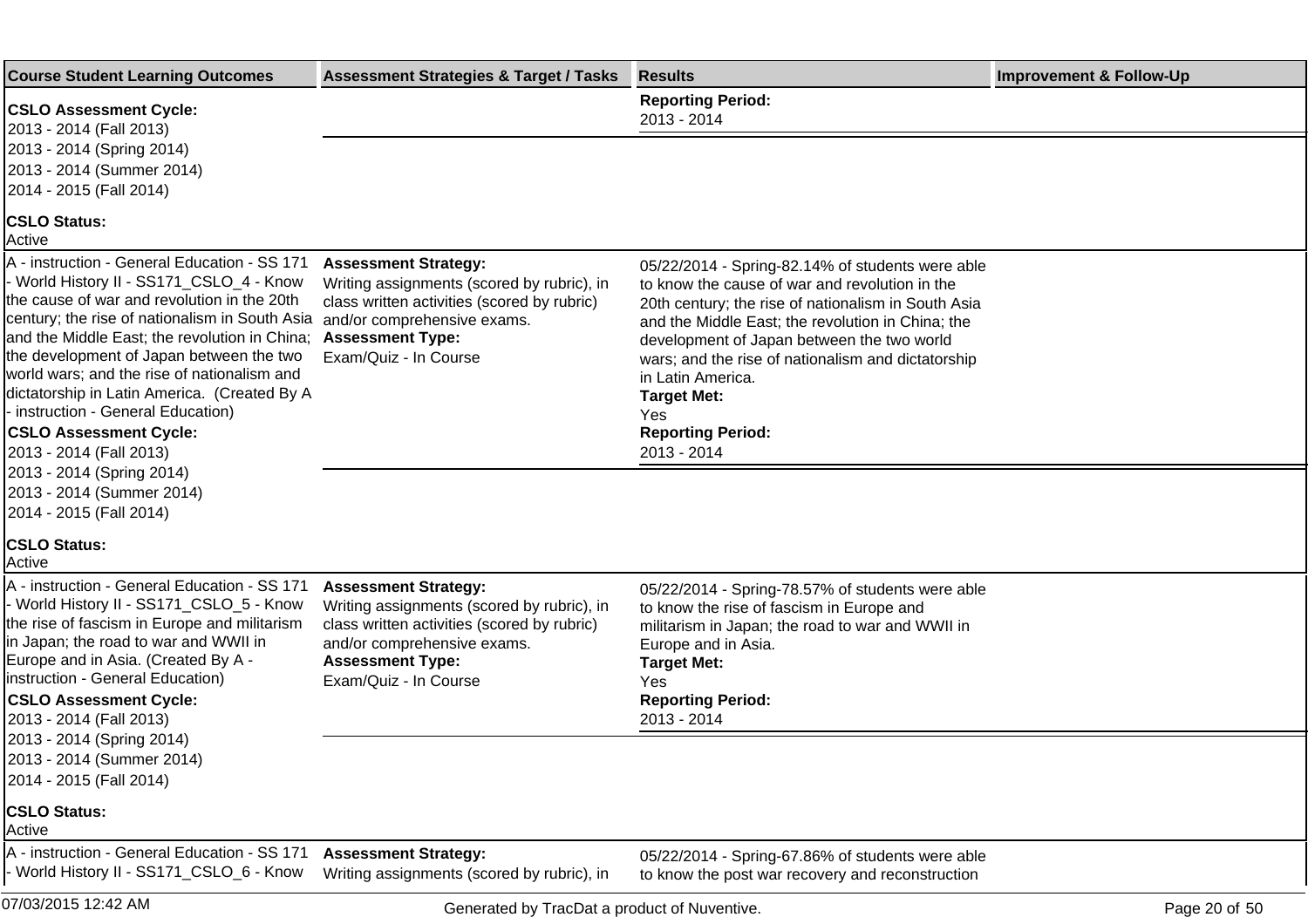| <b>Course Student Learning Outcomes</b>                                                                                                                                                                                                                                                                                                                                                                                                                                                                              | <b>Assessment Strategies &amp; Target / Tasks</b>                                                                                                                                                           | <b>Results</b>                                                                                                                                                                                                                                                                                                                                                                                                  | <b>Improvement &amp; Follow-Up</b> |
|----------------------------------------------------------------------------------------------------------------------------------------------------------------------------------------------------------------------------------------------------------------------------------------------------------------------------------------------------------------------------------------------------------------------------------------------------------------------------------------------------------------------|-------------------------------------------------------------------------------------------------------------------------------------------------------------------------------------------------------------|-----------------------------------------------------------------------------------------------------------------------------------------------------------------------------------------------------------------------------------------------------------------------------------------------------------------------------------------------------------------------------------------------------------------|------------------------------------|
| <b>CSLO Assessment Cycle:</b><br>2013 - 2014 (Fall 2013)                                                                                                                                                                                                                                                                                                                                                                                                                                                             |                                                                                                                                                                                                             | <b>Reporting Period:</b><br>2013 - 2014                                                                                                                                                                                                                                                                                                                                                                         |                                    |
| 2013 - 2014 (Spring 2014)<br>2013 - 2014 (Summer 2014)<br>2014 - 2015 (Fall 2014)                                                                                                                                                                                                                                                                                                                                                                                                                                    |                                                                                                                                                                                                             |                                                                                                                                                                                                                                                                                                                                                                                                                 |                                    |
| <b>CSLO Status:</b><br>Active                                                                                                                                                                                                                                                                                                                                                                                                                                                                                        |                                                                                                                                                                                                             |                                                                                                                                                                                                                                                                                                                                                                                                                 |                                    |
| A - instruction - General Education - SS 171<br>- World History II - SS171_CSLO_4 - Know<br>the cause of war and revolution in the 20th<br>century; the rise of nationalism in South Asia<br>and the Middle East; the revolution in China;<br>the development of Japan between the two<br>world wars; and the rise of nationalism and<br>dictatorship in Latin America. (Created By A<br>- instruction - General Education)<br><b>CSLO Assessment Cycle:</b><br>2013 - 2014 (Fall 2013)<br>2013 - 2014 (Spring 2014) | <b>Assessment Strategy:</b><br>Writing assignments (scored by rubric), in<br>class written activities (scored by rubric)<br>and/or comprehensive exams.<br><b>Assessment Type:</b><br>Exam/Quiz - In Course | 05/22/2014 - Spring-82.14% of students were able<br>to know the cause of war and revolution in the<br>20th century; the rise of nationalism in South Asia<br>and the Middle East; the revolution in China; the<br>development of Japan between the two world<br>wars; and the rise of nationalism and dictatorship<br>in Latin America.<br><b>Target Met:</b><br>Yes<br><b>Reporting Period:</b><br>2013 - 2014 |                                    |
| 2013 - 2014 (Summer 2014)<br>2014 - 2015 (Fall 2014)                                                                                                                                                                                                                                                                                                                                                                                                                                                                 |                                                                                                                                                                                                             |                                                                                                                                                                                                                                                                                                                                                                                                                 |                                    |
| <b>CSLO Status:</b><br>Active                                                                                                                                                                                                                                                                                                                                                                                                                                                                                        |                                                                                                                                                                                                             |                                                                                                                                                                                                                                                                                                                                                                                                                 |                                    |
| A - instruction - General Education - SS 171<br>- World History II - SS171_CSLO_5 - Know<br>the rise of fascism in Europe and militarism<br>in Japan; the road to war and WWII in<br>Europe and in Asia. (Created By A -<br>Instruction - General Education)<br><b>CSLO Assessment Cycle:</b><br>2013 - 2014 (Fall 2013)                                                                                                                                                                                             | <b>Assessment Strategy:</b><br>Writing assignments (scored by rubric), in<br>class written activities (scored by rubric)<br>and/or comprehensive exams.<br><b>Assessment Type:</b><br>Exam/Quiz - In Course | 05/22/2014 - Spring-78.57% of students were able<br>to know the rise of fascism in Europe and<br>militarism in Japan; the road to war and WWII in<br>Europe and in Asia.<br><b>Target Met:</b><br>Yes<br><b>Reporting Period:</b><br>2013 - 2014                                                                                                                                                                |                                    |
| 2013 - 2014 (Spring 2014)<br>2013 - 2014 (Summer 2014)<br>2014 - 2015 (Fall 2014)                                                                                                                                                                                                                                                                                                                                                                                                                                    |                                                                                                                                                                                                             |                                                                                                                                                                                                                                                                                                                                                                                                                 |                                    |
| <b>CSLO Status:</b><br>Active                                                                                                                                                                                                                                                                                                                                                                                                                                                                                        |                                                                                                                                                                                                             |                                                                                                                                                                                                                                                                                                                                                                                                                 |                                    |
| A - instruction - General Education - SS 171<br>World History II - SS171_CSLO_6 - Know                                                                                                                                                                                                                                                                                                                                                                                                                               | <b>Assessment Strategy:</b><br>Writing assignments (scored by rubric), in                                                                                                                                   | 05/22/2014 - Spring-67.86% of students were able<br>to know the post war recovery and reconstruction                                                                                                                                                                                                                                                                                                            |                                    |
| 07/03/2015 12:42 AM                                                                                                                                                                                                                                                                                                                                                                                                                                                                                                  | Generated by TracDat a product of Nuventive.                                                                                                                                                                |                                                                                                                                                                                                                                                                                                                                                                                                                 | Page 20 of 50                      |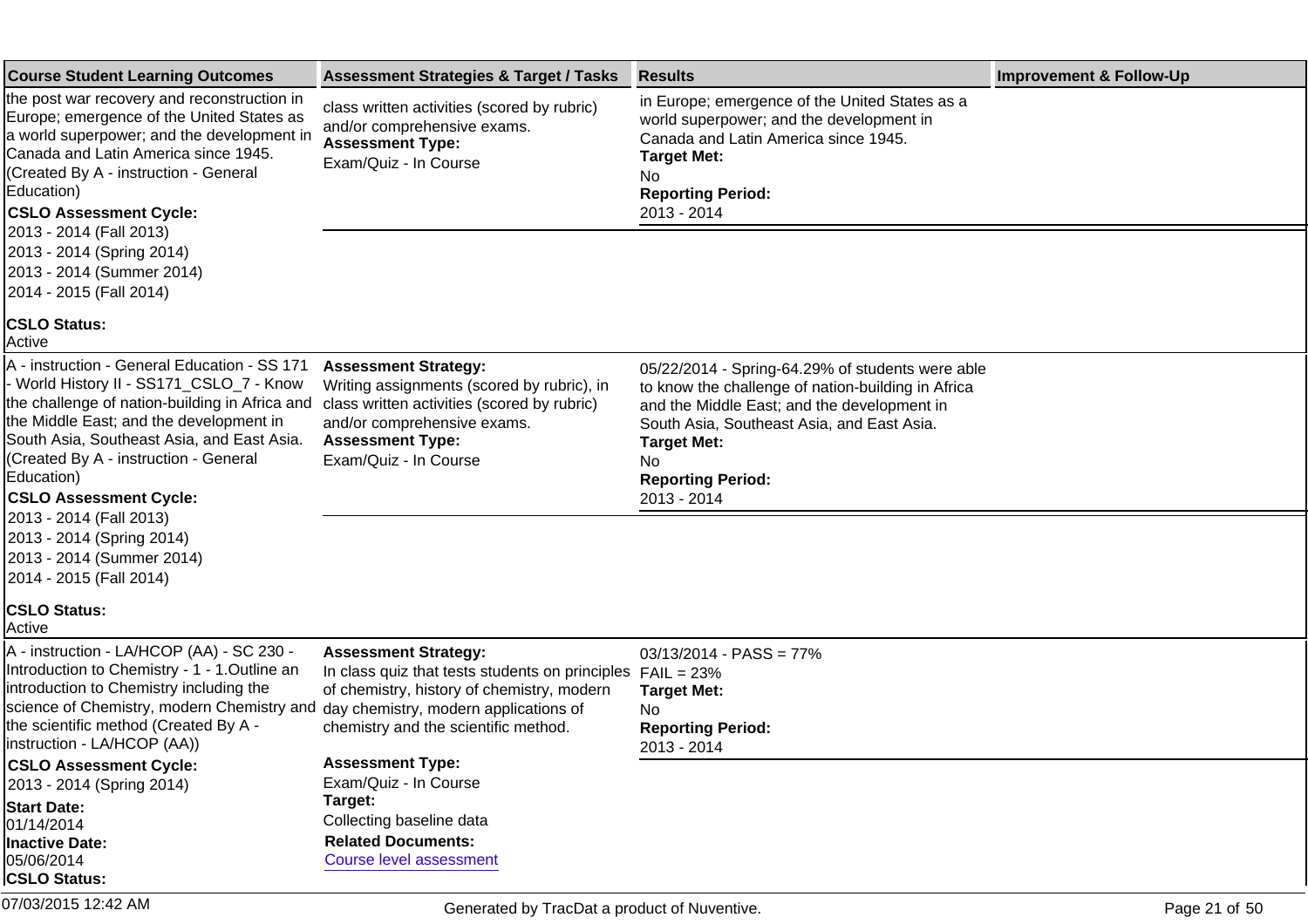| <b>Course Student Learning Outcomes</b>                                                                                                                                                                                                                                                                                                                                                                                                     | <b>Assessment Strategies &amp; Target / Tasks</b>                                                                                                                                                                           | <b>Results</b>                                                                                                                                                                                                                                                              | <b>Improvement &amp; Follow-Up</b> |
|---------------------------------------------------------------------------------------------------------------------------------------------------------------------------------------------------------------------------------------------------------------------------------------------------------------------------------------------------------------------------------------------------------------------------------------------|-----------------------------------------------------------------------------------------------------------------------------------------------------------------------------------------------------------------------------|-----------------------------------------------------------------------------------------------------------------------------------------------------------------------------------------------------------------------------------------------------------------------------|------------------------------------|
| the post war recovery and reconstruction in<br>Europe; emergence of the United States as<br>a world superpower; and the development in<br>Canada and Latin America since 1945.<br>(Created By A - instruction - General<br>Education)<br><b>CSLO Assessment Cycle:</b><br>2013 - 2014 (Fall 2013)                                                                                                                                           | class written activities (scored by rubric)<br>and/or comprehensive exams.<br><b>Assessment Type:</b><br>Exam/Quiz - In Course                                                                                              | in Europe; emergence of the United States as a<br>world superpower; and the development in<br>Canada and Latin America since 1945.<br><b>Target Met:</b><br>No.<br><b>Reporting Period:</b><br>2013 - 2014                                                                  |                                    |
| 2013 - 2014 (Spring 2014)<br>2013 - 2014 (Summer 2014)<br>2014 - 2015 (Fall 2014)                                                                                                                                                                                                                                                                                                                                                           |                                                                                                                                                                                                                             |                                                                                                                                                                                                                                                                             |                                    |
| <b>CSLO Status:</b><br>Active                                                                                                                                                                                                                                                                                                                                                                                                               |                                                                                                                                                                                                                             |                                                                                                                                                                                                                                                                             |                                    |
| A - instruction - General Education - SS 171<br>- World History II - SS171_CSLO_7 - Know<br>the challenge of nation-building in Africa and<br>the Middle East; and the development in<br>South Asia, Southeast Asia, and East Asia.<br>(Created By A - instruction - General<br>Education)<br><b>CSLO Assessment Cycle:</b><br>2013 - 2014 (Fall 2013)<br>2013 - 2014 (Spring 2014)<br>2013 - 2014 (Summer 2014)<br>2014 - 2015 (Fall 2014) | <b>Assessment Strategy:</b><br>Writing assignments (scored by rubric), in<br>class written activities (scored by rubric)<br>and/or comprehensive exams.<br><b>Assessment Type:</b><br>Exam/Quiz - In Course                 | 05/22/2014 - Spring-64.29% of students were able<br>to know the challenge of nation-building in Africa<br>and the Middle East; and the development in<br>South Asia, Southeast Asia, and East Asia.<br><b>Target Met:</b><br>No.<br><b>Reporting Period:</b><br>2013 - 2014 |                                    |
| <b>CSLO Status:</b><br>Active                                                                                                                                                                                                                                                                                                                                                                                                               |                                                                                                                                                                                                                             |                                                                                                                                                                                                                                                                             |                                    |
| A - instruction - LA/HCOP (AA) - SC 230 -<br>Introduction to Chemistry - 1 - 1. Outline an<br>introduction to Chemistry including the<br>science of Chemistry, modern Chemistry and<br>the scientific method (Created By A -<br>linstruction - LA/HCOP (AA))                                                                                                                                                                                | <b>Assessment Strategy:</b><br>In class quiz that tests students on principles $FAIL = 23\%$<br>of chemistry, history of chemistry, modern<br>day chemistry, modern applications of<br>chemistry and the scientific method. | $03/13/2014 - PASS = 77%$<br><b>Target Met:</b><br>No.<br><b>Reporting Period:</b><br>2013 - 2014                                                                                                                                                                           |                                    |
| <b>CSLO Assessment Cycle:</b>                                                                                                                                                                                                                                                                                                                                                                                                               | <b>Assessment Type:</b>                                                                                                                                                                                                     |                                                                                                                                                                                                                                                                             |                                    |
| 2013 - 2014 (Spring 2014)                                                                                                                                                                                                                                                                                                                                                                                                                   | Exam/Quiz - In Course<br>Target:                                                                                                                                                                                            |                                                                                                                                                                                                                                                                             |                                    |
| <b>Start Date:</b><br>01/14/2014                                                                                                                                                                                                                                                                                                                                                                                                            | Collecting baseline data                                                                                                                                                                                                    |                                                                                                                                                                                                                                                                             |                                    |
| <b>Inactive Date:</b>                                                                                                                                                                                                                                                                                                                                                                                                                       | <b>Related Documents:</b>                                                                                                                                                                                                   |                                                                                                                                                                                                                                                                             |                                    |
| 05/06/2014<br><b>CSLO Status:</b>                                                                                                                                                                                                                                                                                                                                                                                                           | <b>Course level assessment</b>                                                                                                                                                                                              |                                                                                                                                                                                                                                                                             |                                    |
| 07/03/2015 12:42 AM                                                                                                                                                                                                                                                                                                                                                                                                                         | Generated by TracDat a product of Nuventive.                                                                                                                                                                                |                                                                                                                                                                                                                                                                             | Page 21 of 50                      |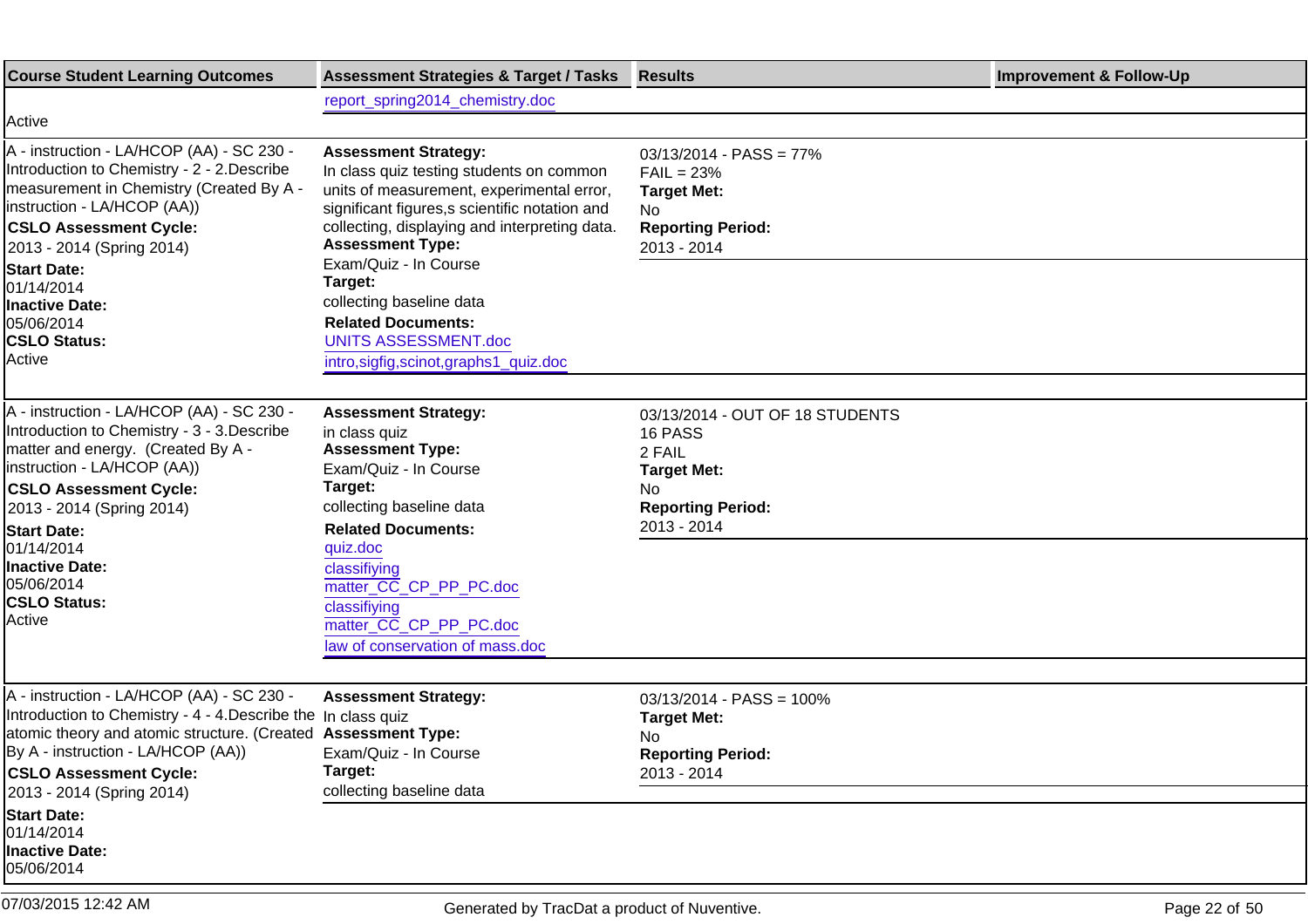| <b>Course Student Learning Outcomes</b>                                                                                                                                                                                                                                                                                                 | <b>Assessment Strategies &amp; Target / Tasks</b>                                                                                                                                                                                                                                                                                                                                                                         | <b>Results</b>                                                                                                    | <b>Improvement &amp; Follow-Up</b> |
|-----------------------------------------------------------------------------------------------------------------------------------------------------------------------------------------------------------------------------------------------------------------------------------------------------------------------------------------|---------------------------------------------------------------------------------------------------------------------------------------------------------------------------------------------------------------------------------------------------------------------------------------------------------------------------------------------------------------------------------------------------------------------------|-------------------------------------------------------------------------------------------------------------------|------------------------------------|
|                                                                                                                                                                                                                                                                                                                                         | report_spring2014_chemistry.doc                                                                                                                                                                                                                                                                                                                                                                                           |                                                                                                                   |                                    |
| Active                                                                                                                                                                                                                                                                                                                                  |                                                                                                                                                                                                                                                                                                                                                                                                                           |                                                                                                                   |                                    |
| A - instruction - LA/HCOP (AA) - SC 230 -<br>Introduction to Chemistry - 2 - 2. Describe<br>measurement in Chemistry (Created By A -<br>linstruction - LA/HCOP (AA))<br><b>CSLO Assessment Cycle:</b><br>2013 - 2014 (Spring 2014)<br><b>Start Date:</b><br>01/14/2014<br>Inactive Date:<br>05/06/2014<br><b>CSLO Status:</b><br>Active | <b>Assessment Strategy:</b><br>In class quiz testing students on common<br>units of measurement, experimental error,<br>significant figures, s scientific notation and<br>collecting, displaying and interpreting data.<br><b>Assessment Type:</b><br>Exam/Quiz - In Course<br>Target:<br>collecting baseline data<br><b>Related Documents:</b><br><b>UNITS ASSESSMENT.doc</b><br>intro, sigfig, scinot, graphs1_quiz.doc | $03/13/2014 - PASS = 77%$<br>$FAIL = 23%$<br><b>Target Met:</b><br>No.<br><b>Reporting Period:</b><br>2013 - 2014 |                                    |
| A - instruction - LA/HCOP (AA) - SC 230 -<br>Introduction to Chemistry - 3 - 3. Describe<br>matter and energy. (Created By A -<br>(instruction - LA/HCOP (AA))                                                                                                                                                                          | <b>Assessment Strategy:</b><br>in class quiz<br><b>Assessment Type:</b><br>Exam/Quiz - In Course                                                                                                                                                                                                                                                                                                                          | 03/13/2014 - OUT OF 18 STUDENTS<br>16 PASS<br>2 FAIL<br><b>Target Met:</b>                                        |                                    |
| <b>CSLO Assessment Cycle:</b><br>2013 - 2014 (Spring 2014)                                                                                                                                                                                                                                                                              | Target:<br>collecting baseline data                                                                                                                                                                                                                                                                                                                                                                                       | No.<br><b>Reporting Period:</b>                                                                                   |                                    |
| <b>Start Date:</b><br>01/14/2014<br>Inactive Date:<br>05/06/2014<br><b>CSLO Status:</b><br>Active                                                                                                                                                                                                                                       | <b>Related Documents:</b><br>quiz.doc<br>classifiying<br>matter_CC_CP_PP_PC.doc<br>classifiying<br>matter_CC_CP_PP_PC.doc<br>law of conservation of mass.doc                                                                                                                                                                                                                                                              | 2013 - 2014                                                                                                       |                                    |
|                                                                                                                                                                                                                                                                                                                                         |                                                                                                                                                                                                                                                                                                                                                                                                                           |                                                                                                                   |                                    |
| A - instruction - LA/HCOP (AA) - SC 230 -<br>Introduction to Chemistry - 4 - 4. Describe the In class quiz<br>atomic theory and atomic structure. (Created Assessment Type:<br>By A - instruction - LA/HCOP (AA))<br><b>CSLO Assessment Cycle:</b><br>2013 - 2014 (Spring 2014)                                                         | <b>Assessment Strategy:</b><br>Exam/Quiz - In Course<br>Target:<br>collecting baseline data                                                                                                                                                                                                                                                                                                                               | $03/13/2014 - PASS = 100%$<br><b>Target Met:</b><br>No.<br><b>Reporting Period:</b><br>2013 - 2014                |                                    |
| <b>Start Date:</b><br>01/14/2014<br>Inactive Date:<br>05/06/2014                                                                                                                                                                                                                                                                        |                                                                                                                                                                                                                                                                                                                                                                                                                           |                                                                                                                   |                                    |
| 07/03/2015 12:42 AM                                                                                                                                                                                                                                                                                                                     | Generated by TracDat a product of Nuventive.                                                                                                                                                                                                                                                                                                                                                                              |                                                                                                                   | Page 22 of 50                      |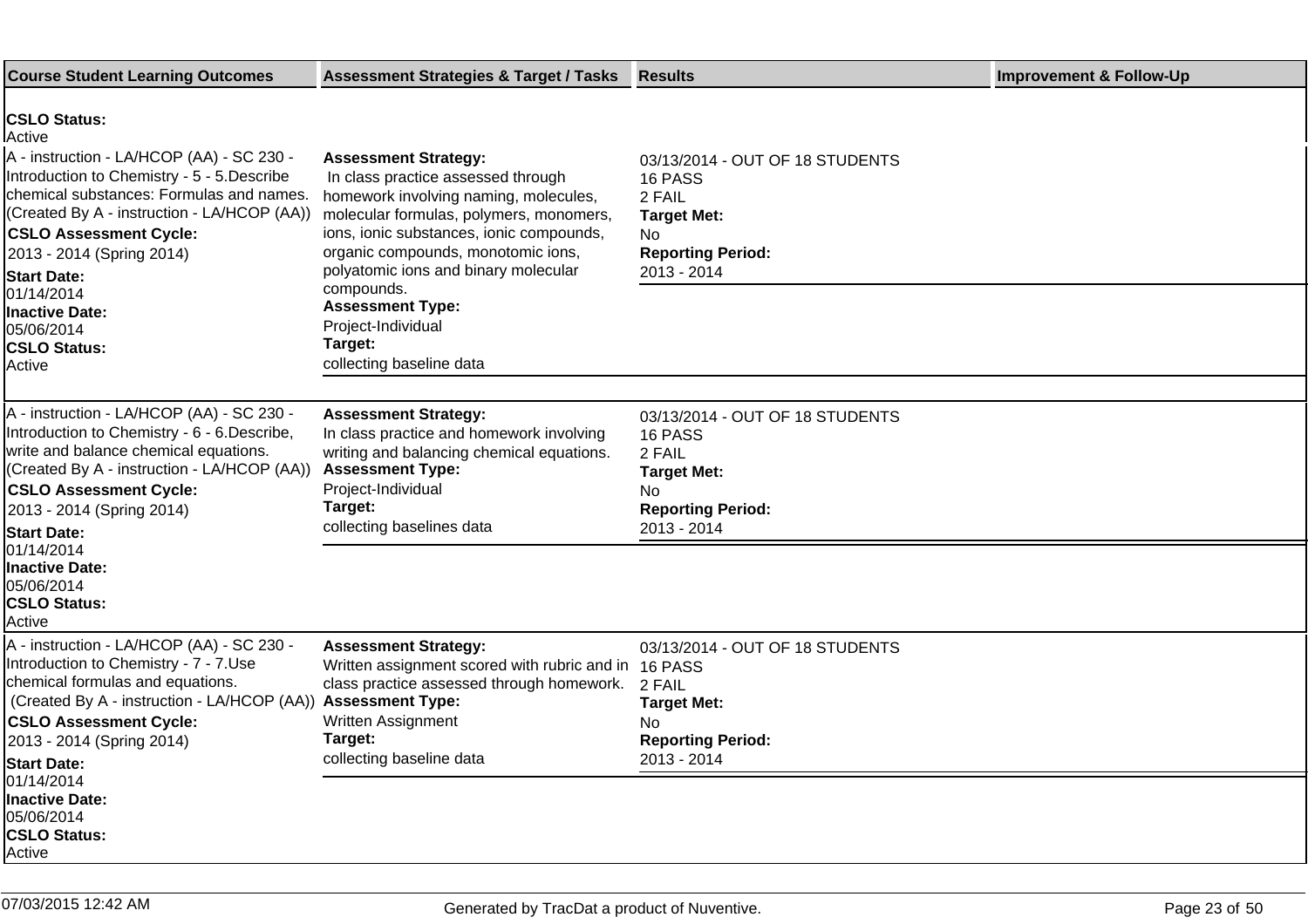| <b>Course Student Learning Outcomes</b>                                                                                                                                                                                                                                                                                                                                               | <b>Assessment Strategies &amp; Target / Tasks</b>                                                                                                                                                                                                                                                                                                         | <b>Results</b>                                                                                                              | <b>Improvement &amp; Follow-Up</b> |
|---------------------------------------------------------------------------------------------------------------------------------------------------------------------------------------------------------------------------------------------------------------------------------------------------------------------------------------------------------------------------------------|-----------------------------------------------------------------------------------------------------------------------------------------------------------------------------------------------------------------------------------------------------------------------------------------------------------------------------------------------------------|-----------------------------------------------------------------------------------------------------------------------------|------------------------------------|
| <b>CSLO Status:</b><br>lActive<br>A - instruction - LA/HCOP (AA) - SC 230 -<br>Introduction to Chemistry - 5 - 5. Describe<br>chemical substances: Formulas and names.<br>(Created By A - instruction - LA/HCOP (AA))<br><b>CSLO Assessment Cycle:</b><br>2013 - 2014 (Spring 2014)<br><b>Start Date:</b><br>01/14/2014<br><b>Inactive Date:</b><br>05/06/2014<br><b>CSLO Status:</b> | <b>Assessment Strategy:</b><br>In class practice assessed through<br>homework involving naming, molecules,<br>molecular formulas, polymers, monomers,<br>ions, ionic substances, ionic compounds,<br>organic compounds, monotomic ions,<br>polyatomic ions and binary molecular<br>compounds.<br><b>Assessment Type:</b><br>Project-Individual<br>Target: | 03/13/2014 - OUT OF 18 STUDENTS<br>16 PASS<br>2 FAIL<br><b>Target Met:</b><br>No<br><b>Reporting Period:</b><br>2013 - 2014 |                                    |
| Active                                                                                                                                                                                                                                                                                                                                                                                | collecting baseline data                                                                                                                                                                                                                                                                                                                                  |                                                                                                                             |                                    |
| A - instruction - LA/HCOP (AA) - SC 230 -<br>Introduction to Chemistry - 6 - 6. Describe,<br>write and balance chemical equations.<br>(Created By A - instruction - LA/HCOP (AA))<br><b>CSLO Assessment Cycle:</b><br>2013 - 2014 (Spring 2014)<br><b>Start Date:</b><br>01/14/2014<br><b>Inactive Date:</b><br>05/06/2014<br><b>CSLO Status:</b><br>Active                           | <b>Assessment Strategy:</b><br>In class practice and homework involving<br>writing and balancing chemical equations.<br><b>Assessment Type:</b><br>Project-Individual<br>Target:<br>collecting baselines data                                                                                                                                             | 03/13/2014 - OUT OF 18 STUDENTS<br>16 PASS<br>2 FAIL<br><b>Target Met:</b><br>No<br><b>Reporting Period:</b><br>2013 - 2014 |                                    |
| A - instruction - LA/HCOP (AA) - SC 230 -<br>Introduction to Chemistry - 7 - 7. Use<br>chemical formulas and equations.<br>(Created By A - instruction - LA/HCOP (AA))<br><b>CSLO Assessment Cycle:</b><br>2013 - 2014 (Spring 2014)<br><b>Start Date:</b><br>01/14/2014<br><b>Inactive Date:</b><br>05/06/2014<br><b>CSLO Status:</b><br>Active                                      | <b>Assessment Strategy:</b><br>Written assignment scored with rubric and in 16 PASS<br>class practice assessed through homework.<br><b>Assessment Type:</b><br>Written Assignment<br>Target:<br>collecting baseline data                                                                                                                                  | 03/13/2014 - OUT OF 18 STUDENTS<br>2 FAIL<br><b>Target Met:</b><br>No<br><b>Reporting Period:</b><br>2013 - 2014            |                                    |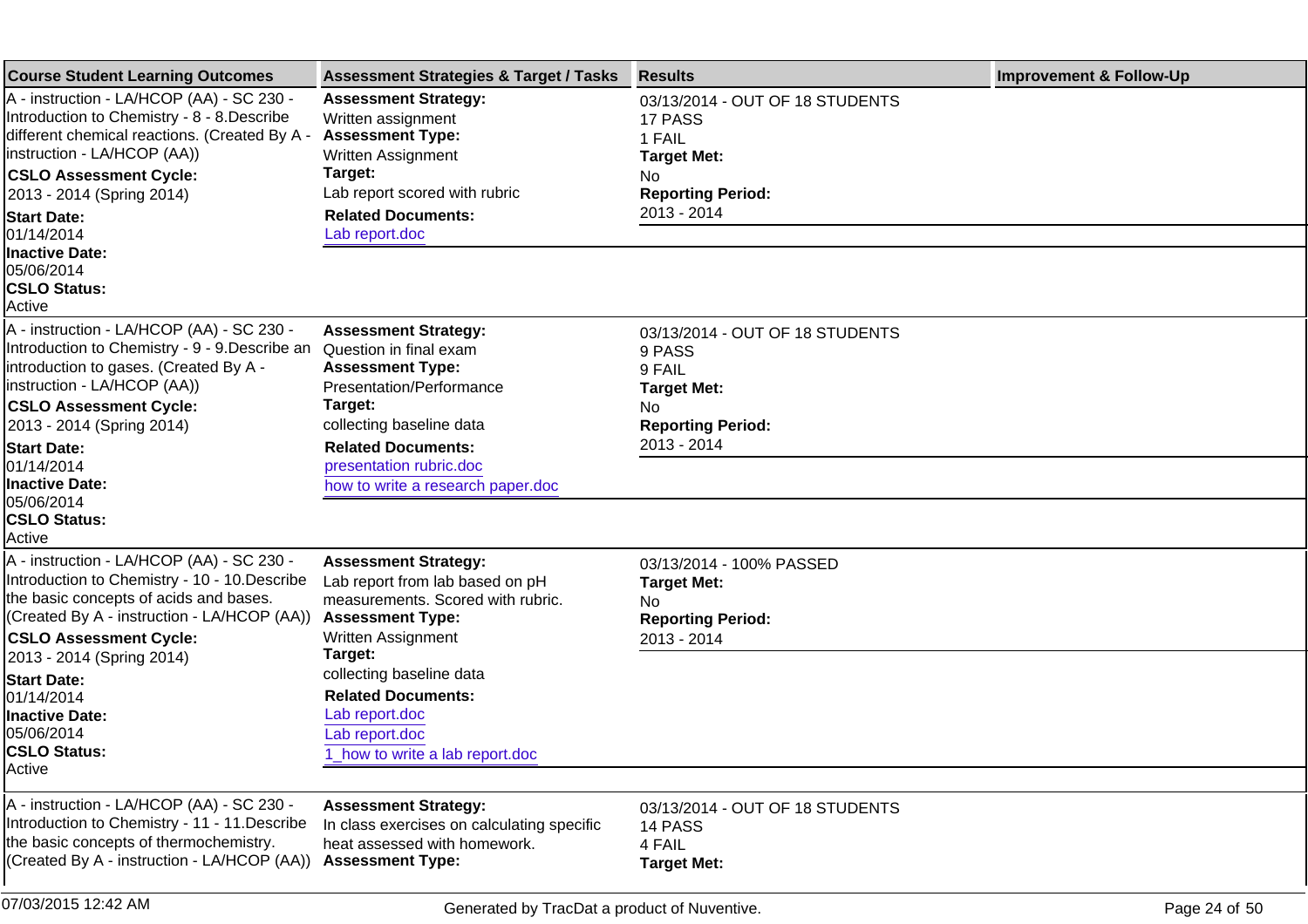| <b>Course Student Learning Outcomes</b>                                                                                                                                                                              | <b>Assessment Strategies &amp; Target / Tasks</b>                                                                                                               | <b>Results</b>                                                                                   | <b>Improvement &amp; Follow-Up</b> |
|----------------------------------------------------------------------------------------------------------------------------------------------------------------------------------------------------------------------|-----------------------------------------------------------------------------------------------------------------------------------------------------------------|--------------------------------------------------------------------------------------------------|------------------------------------|
| A - instruction - LA/HCOP (AA) - SC 230 -<br>Introduction to Chemistry - 8 - 8. Describe<br>different chemical reactions. (Created By A -<br>instruction - LA/HCOP (AA))                                             | <b>Assessment Strategy:</b><br>Written assignment<br><b>Assessment Type:</b><br>Written Assignment                                                              | 03/13/2014 - OUT OF 18 STUDENTS<br>17 PASS<br>1 FAIL<br><b>Target Met:</b>                       |                                    |
| <b>CSLO Assessment Cycle:</b><br>2013 - 2014 (Spring 2014)                                                                                                                                                           | Target:<br>Lab report scored with rubric                                                                                                                        | No.<br><b>Reporting Period:</b>                                                                  |                                    |
| <b>Start Date:</b><br>01/14/2014                                                                                                                                                                                     | <b>Related Documents:</b><br>Lab report.doc                                                                                                                     | 2013 - 2014                                                                                      |                                    |
| <b>Inactive Date:</b><br>05/06/2014<br><b>CSLO Status:</b><br>Active                                                                                                                                                 |                                                                                                                                                                 |                                                                                                  |                                    |
| A - instruction - LA/HCOP (AA) - SC 230 -<br>Introduction to Chemistry - 9 - 9. Describe an<br>Introduction to gases. (Created By A -<br>instruction - LA/HCOP (AA))                                                 | <b>Assessment Strategy:</b><br>Question in final exam<br><b>Assessment Type:</b><br>Presentation/Performance                                                    | 03/13/2014 - OUT OF 18 STUDENTS<br>9 PASS<br>9 FAIL<br><b>Target Met:</b>                        |                                    |
| <b>CSLO Assessment Cycle:</b>                                                                                                                                                                                        | Target:                                                                                                                                                         | No.                                                                                              |                                    |
| 2013 - 2014 (Spring 2014)<br><b>Start Date:</b>                                                                                                                                                                      | collecting baseline data<br><b>Related Documents:</b>                                                                                                           | <b>Reporting Period:</b><br>2013 - 2014                                                          |                                    |
| 01/14/2014<br><b>Inactive Date:</b><br>05/06/2014                                                                                                                                                                    | presentation rubric.doc<br>how to write a research paper.doc                                                                                                    |                                                                                                  |                                    |
| <b>CSLO Status:</b><br>Active                                                                                                                                                                                        |                                                                                                                                                                 |                                                                                                  |                                    |
| A - instruction - LA/HCOP (AA) - SC 230 -<br>Introduction to Chemistry - 10 - 10. Describe<br>the basic concepts of acids and bases.<br>(Created By A - instruction - LA/HCOP (AA))<br><b>CSLO Assessment Cycle:</b> | <b>Assessment Strategy:</b><br>Lab report from lab based on pH<br>measurements. Scored with rubric.<br><b>Assessment Type:</b><br>Written Assignment<br>Target: | 03/13/2014 - 100% PASSED<br><b>Target Met:</b><br>No.<br><b>Reporting Period:</b><br>2013 - 2014 |                                    |
| 2013 - 2014 (Spring 2014)<br><b>Start Date:</b><br>01/14/2014<br><b>Inactive Date:</b><br>05/06/2014<br><b>CSLO Status:</b><br>Active                                                                                | collecting baseline data<br><b>Related Documents:</b><br>Lab report.doc<br>Lab report.doc<br>1_how to write a lab report.doc                                    |                                                                                                  |                                    |
|                                                                                                                                                                                                                      |                                                                                                                                                                 |                                                                                                  |                                    |
| A - instruction - LA/HCOP (AA) - SC 230 -<br>Introduction to Chemistry - 11 - 11. Describe<br>the basic concepts of thermochemistry.<br>(Created By A - instruction - LA/HCOP (AA))                                  | <b>Assessment Strategy:</b><br>In class exercises on calculating specific<br>heat assessed with homework.<br><b>Assessment Type:</b>                            | 03/13/2014 - OUT OF 18 STUDENTS<br>14 PASS<br>4 FAIL<br><b>Target Met:</b>                       |                                    |
| 07/03/2015 12:42 AM                                                                                                                                                                                                  | Generated by TracDat a product of Nuventive.                                                                                                                    |                                                                                                  | Page 24 of 50                      |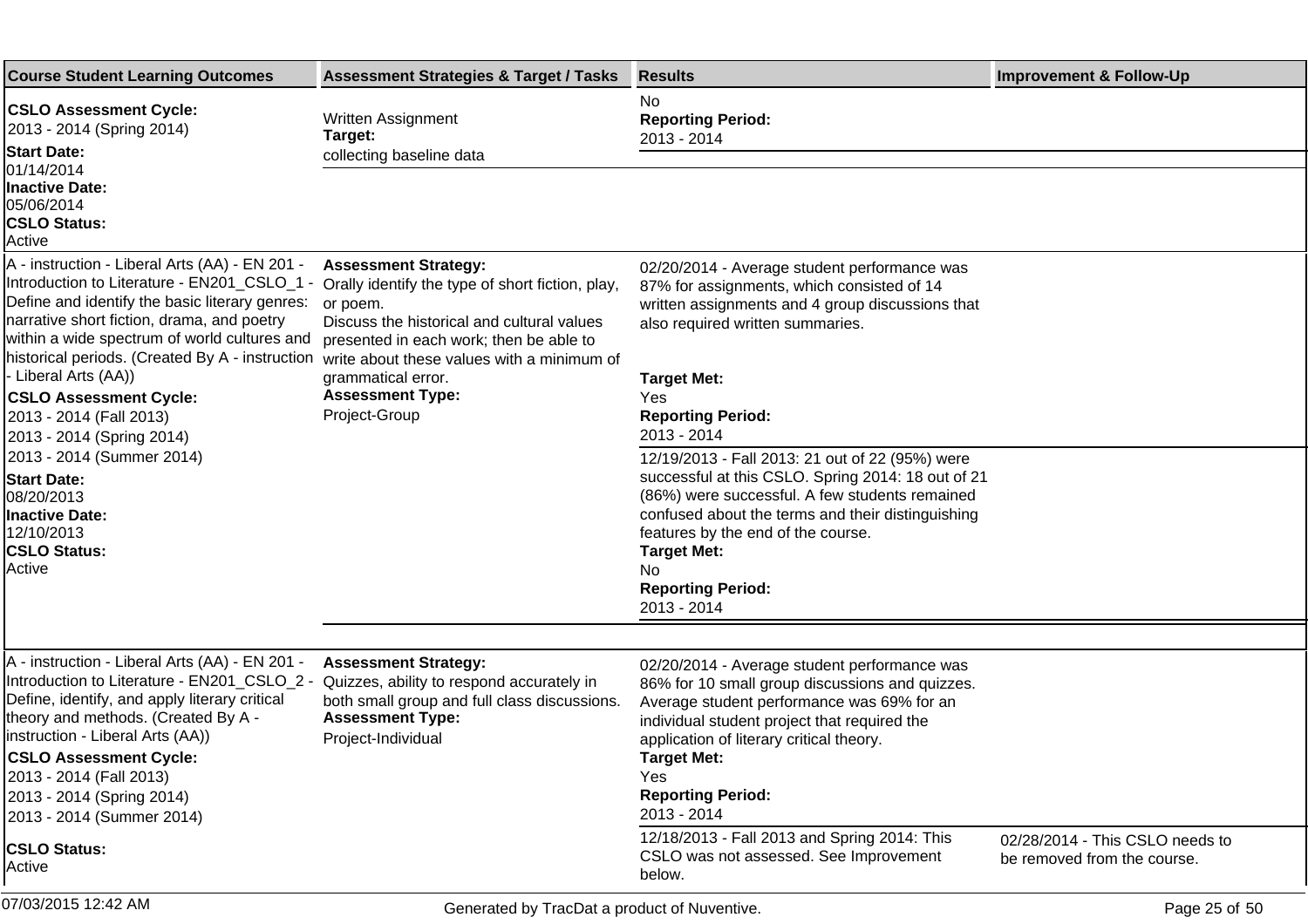| <b>Course Student Learning Outcomes</b>                                                                                                                                                                                                                                                                                                         | <b>Assessment Strategies &amp; Target / Tasks</b>                                                                                                                                                                                  | <b>Results</b>                                                                                                                                                                                                                                                                                                             | <b>Improvement &amp; Follow-Up</b>                             |
|-------------------------------------------------------------------------------------------------------------------------------------------------------------------------------------------------------------------------------------------------------------------------------------------------------------------------------------------------|------------------------------------------------------------------------------------------------------------------------------------------------------------------------------------------------------------------------------------|----------------------------------------------------------------------------------------------------------------------------------------------------------------------------------------------------------------------------------------------------------------------------------------------------------------------------|----------------------------------------------------------------|
| <b>CSLO Assessment Cycle:</b><br>2013 - 2014 (Spring 2014)<br><b>Start Date:</b><br>01/14/2014                                                                                                                                                                                                                                                  | Written Assignment<br>Target:<br>collecting baseline data                                                                                                                                                                          | No<br><b>Reporting Period:</b><br>2013 - 2014                                                                                                                                                                                                                                                                              |                                                                |
| <b>Inactive Date:</b><br>05/06/2014<br><b>CSLO Status:</b><br>Active                                                                                                                                                                                                                                                                            |                                                                                                                                                                                                                                    |                                                                                                                                                                                                                                                                                                                            |                                                                |
| A - instruction - Liberal Arts (AA) - EN 201 -<br>Introduction to Literature - EN201_CSLO_1 -<br>Define and identify the basic literary genres:<br>narrative short fiction, drama, and poetry<br>within a wide spectrum of world cultures and<br>historical periods. (Created By A - instruction                                                | <b>Assessment Strategy:</b><br>Orally identify the type of short fiction, play,<br>or poem.<br>Discuss the historical and cultural values<br>presented in each work; then be able to<br>write about these values with a minimum of | 02/20/2014 - Average student performance was<br>87% for assignments, which consisted of 14<br>written assignments and 4 group discussions that<br>also required written summaries.                                                                                                                                         |                                                                |
| - Liberal Arts (AA))<br><b>CSLO Assessment Cycle:</b><br>2013 - 2014 (Fall 2013)<br>2013 - 2014 (Spring 2014)                                                                                                                                                                                                                                   | grammatical error.<br><b>Assessment Type:</b><br>Project-Group                                                                                                                                                                     | <b>Target Met:</b><br>Yes<br><b>Reporting Period:</b><br>2013 - 2014                                                                                                                                                                                                                                                       |                                                                |
| 2013 - 2014 (Summer 2014)<br><b>Start Date:</b><br>08/20/2013<br><b>Inactive Date:</b><br>12/10/2013<br><b>CSLO Status:</b><br><b>Active</b>                                                                                                                                                                                                    |                                                                                                                                                                                                                                    | 12/19/2013 - Fall 2013: 21 out of 22 (95%) were<br>successful at this CSLO. Spring 2014: 18 out of 21<br>(86%) were successful. A few students remained<br>confused about the terms and their distinguishing<br>features by the end of the course.<br><b>Target Met:</b><br>No.<br><b>Reporting Period:</b><br>2013 - 2014 |                                                                |
|                                                                                                                                                                                                                                                                                                                                                 |                                                                                                                                                                                                                                    |                                                                                                                                                                                                                                                                                                                            |                                                                |
| A - instruction - Liberal Arts (AA) - EN 201 -<br>Introduction to Literature - EN201_CSLO_2 -<br>Define, identify, and apply literary critical<br>theory and methods. (Created By A -<br>Instruction - Liberal Arts (AA))<br><b>CSLO Assessment Cycle:</b><br>2013 - 2014 (Fall 2013)<br>2013 - 2014 (Spring 2014)<br>2013 - 2014 (Summer 2014) | <b>Assessment Strategy:</b><br>Quizzes, ability to respond accurately in<br>both small group and full class discussions.<br><b>Assessment Type:</b><br>Project-Individual                                                          | 02/20/2014 - Average student performance was<br>86% for 10 small group discussions and quizzes.<br>Average student performance was 69% for an<br>individual student project that required the<br>application of literary critical theory.<br><b>Target Met:</b><br>Yes<br><b>Reporting Period:</b><br>2013 - 2014          |                                                                |
| <b>CSLO Status:</b><br>Active                                                                                                                                                                                                                                                                                                                   |                                                                                                                                                                                                                                    | 12/18/2013 - Fall 2013 and Spring 2014: This<br>CSLO was not assessed. See Improvement<br>below.                                                                                                                                                                                                                           | 02/28/2014 - This CSLO needs to<br>be removed from the course. |
| 07/03/2015 12:42 AM                                                                                                                                                                                                                                                                                                                             | Generated by TracDat a product of Nuventive.                                                                                                                                                                                       |                                                                                                                                                                                                                                                                                                                            | Page 25 of 50                                                  |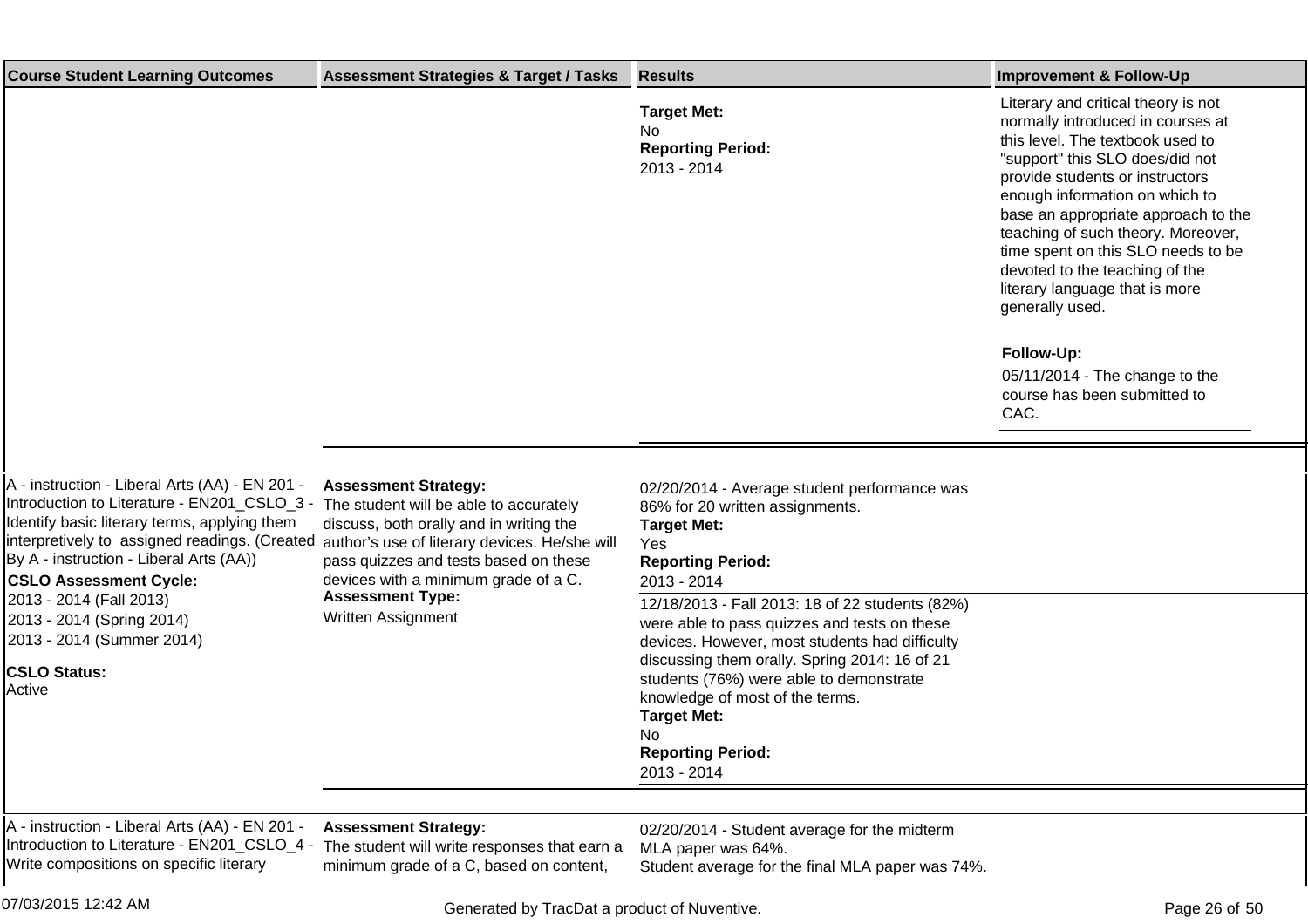| <b>Course Student Learning Outcomes</b>                                                                                                                                                                                                                                                                                                                                                          | <b>Assessment Strategies &amp; Target / Tasks</b>                                                                                                                                                                                                                                                   | <b>Results</b>                                                                                                                                                                                                                                                                                                                                                                                                                                                                                                      | <b>Improvement &amp; Follow-Up</b>                                                                                                                                                                                                                                                                                                                                                                                                                                                                                     |
|--------------------------------------------------------------------------------------------------------------------------------------------------------------------------------------------------------------------------------------------------------------------------------------------------------------------------------------------------------------------------------------------------|-----------------------------------------------------------------------------------------------------------------------------------------------------------------------------------------------------------------------------------------------------------------------------------------------------|---------------------------------------------------------------------------------------------------------------------------------------------------------------------------------------------------------------------------------------------------------------------------------------------------------------------------------------------------------------------------------------------------------------------------------------------------------------------------------------------------------------------|------------------------------------------------------------------------------------------------------------------------------------------------------------------------------------------------------------------------------------------------------------------------------------------------------------------------------------------------------------------------------------------------------------------------------------------------------------------------------------------------------------------------|
|                                                                                                                                                                                                                                                                                                                                                                                                  |                                                                                                                                                                                                                                                                                                     | <b>Target Met:</b><br>No<br><b>Reporting Period:</b><br>2013 - 2014                                                                                                                                                                                                                                                                                                                                                                                                                                                 | Literary and critical theory is not<br>normally introduced in courses at<br>this level. The textbook used to<br>"support" this SLO does/did not<br>provide students or instructors<br>enough information on which to<br>base an appropriate approach to the<br>teaching of such theory. Moreover,<br>time spent on this SLO needs to be<br>devoted to the teaching of the<br>literary language that is more<br>generally used.<br>Follow-Up:<br>05/11/2014 - The change to the<br>course has been submitted to<br>CAC. |
|                                                                                                                                                                                                                                                                                                                                                                                                  |                                                                                                                                                                                                                                                                                                     |                                                                                                                                                                                                                                                                                                                                                                                                                                                                                                                     |                                                                                                                                                                                                                                                                                                                                                                                                                                                                                                                        |
| A - instruction - Liberal Arts (AA) - EN 201 -<br>Introduction to Literature - EN201 CSLO 3 -<br>Identify basic literary terms, applying them<br>interpretively to assigned readings. (Created<br>By A - instruction - Liberal Arts (AA))<br><b>CSLO Assessment Cycle:</b><br>2013 - 2014 (Fall 2013)<br>2013 - 2014 (Spring 2014)<br>2013 - 2014 (Summer 2014)<br><b>CSLO Status:</b><br>Active | <b>Assessment Strategy:</b><br>The student will be able to accurately<br>discuss, both orally and in writing the<br>author's use of literary devices. He/she will<br>pass quizzes and tests based on these<br>devices with a minimum grade of a C.<br><b>Assessment Type:</b><br>Written Assignment | 02/20/2014 - Average student performance was<br>86% for 20 written assignments.<br><b>Target Met:</b><br>Yes<br><b>Reporting Period:</b><br>2013 - 2014<br>12/18/2013 - Fall 2013: 18 of 22 students (82%)<br>were able to pass quizzes and tests on these<br>devices. However, most students had difficulty<br>discussing them orally. Spring 2014: 16 of 21<br>students (76%) were able to demonstrate<br>knowledge of most of the terms.<br><b>Target Met:</b><br>No.<br><b>Reporting Period:</b><br>2013 - 2014 |                                                                                                                                                                                                                                                                                                                                                                                                                                                                                                                        |
| A - instruction - Liberal Arts (AA) - EN 201 -                                                                                                                                                                                                                                                                                                                                                   | <b>Assessment Strategy:</b>                                                                                                                                                                                                                                                                         | 02/20/2014 - Student average for the midterm                                                                                                                                                                                                                                                                                                                                                                                                                                                                        |                                                                                                                                                                                                                                                                                                                                                                                                                                                                                                                        |
| Introduction to Literature - EN201_CSLO_4 -<br>Write compositions on specific literary                                                                                                                                                                                                                                                                                                           | The student will write responses that earn a<br>minimum grade of a C, based on content,                                                                                                                                                                                                             | MLA paper was 64%.<br>Student average for the final MLA paper was 74%.                                                                                                                                                                                                                                                                                                                                                                                                                                              |                                                                                                                                                                                                                                                                                                                                                                                                                                                                                                                        |
| 07/03/2015 12:42 AM                                                                                                                                                                                                                                                                                                                                                                              | Generated by TracDat a product of Nuventive.                                                                                                                                                                                                                                                        |                                                                                                                                                                                                                                                                                                                                                                                                                                                                                                                     | Page 26 of 50                                                                                                                                                                                                                                                                                                                                                                                                                                                                                                          |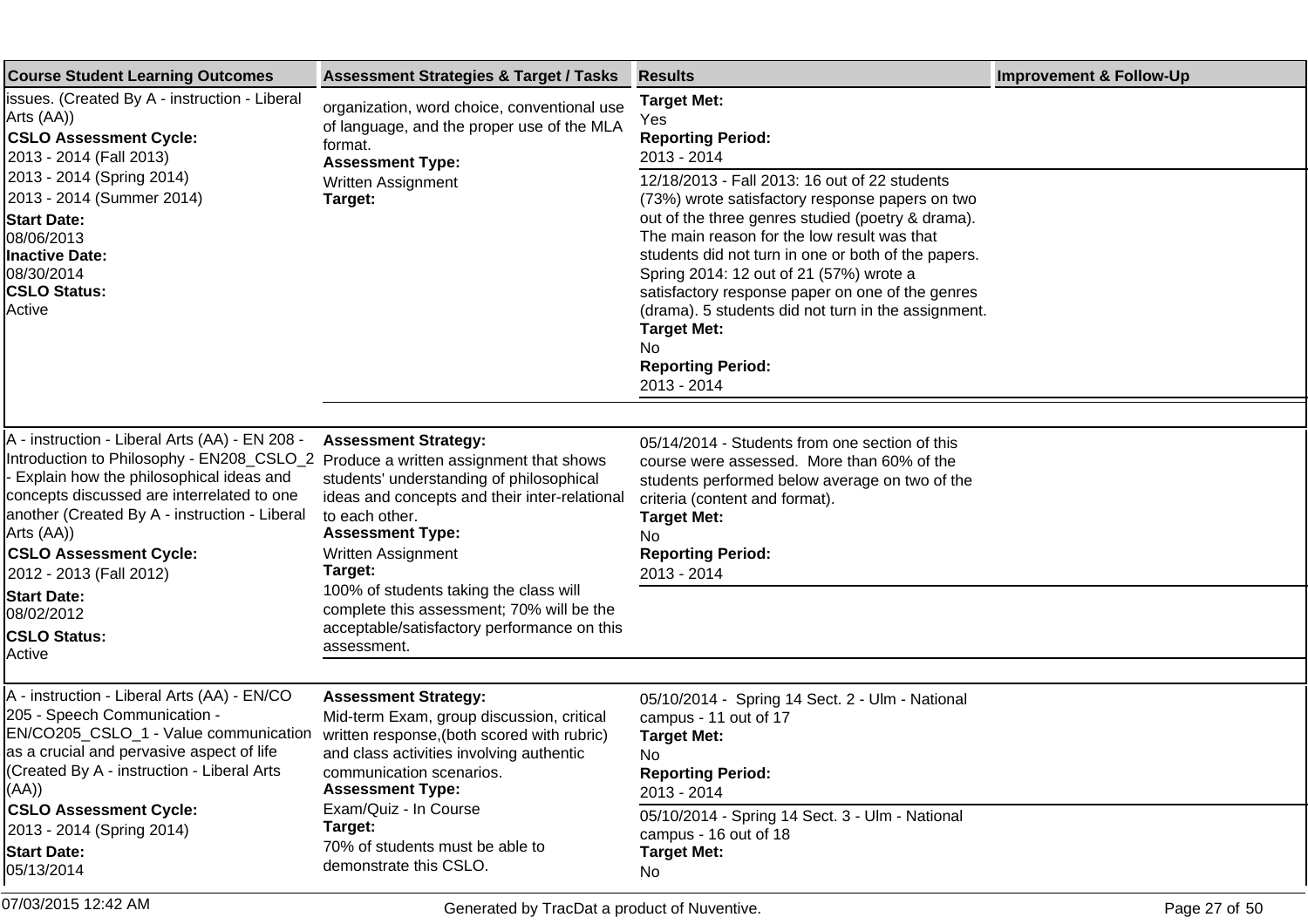| <b>Course Student Learning Outcomes</b>                                                                                                                                                                                                                                                                                                                                                                                        | <b>Assessment Strategies &amp; Target / Tasks</b>                                                                                                                                                                                                                                                                                                           | <b>Results</b>                                                                                                                                                                                                                                                                                                                                                                                                                                                                                                                                                    | <b>Improvement &amp; Follow-Up</b> |
|--------------------------------------------------------------------------------------------------------------------------------------------------------------------------------------------------------------------------------------------------------------------------------------------------------------------------------------------------------------------------------------------------------------------------------|-------------------------------------------------------------------------------------------------------------------------------------------------------------------------------------------------------------------------------------------------------------------------------------------------------------------------------------------------------------|-------------------------------------------------------------------------------------------------------------------------------------------------------------------------------------------------------------------------------------------------------------------------------------------------------------------------------------------------------------------------------------------------------------------------------------------------------------------------------------------------------------------------------------------------------------------|------------------------------------|
| lissues. (Created By A - instruction - Liberal<br>Arts (AA))<br><b>CSLO Assessment Cycle:</b><br>2013 - 2014 (Fall 2013)<br>2013 - 2014 (Spring 2014)<br>2013 - 2014 (Summer 2014)<br><b>Start Date:</b><br>08/06/2013<br>Inactive Date:<br>08/30/2014<br><b>CSLO Status:</b><br>Active                                                                                                                                        | organization, word choice, conventional use<br>of language, and the proper use of the MLA<br>format.<br><b>Assessment Type:</b><br>Written Assignment<br>Target:                                                                                                                                                                                            | <b>Target Met:</b><br>Yes<br><b>Reporting Period:</b><br>2013 - 2014<br>12/18/2013 - Fall 2013: 16 out of 22 students<br>(73%) wrote satisfactory response papers on two<br>out of the three genres studied (poetry & drama).<br>The main reason for the low result was that<br>students did not turn in one or both of the papers.<br>Spring 2014: 12 out of 21 (57%) wrote a<br>satisfactory response paper on one of the genres<br>(drama). 5 students did not turn in the assignment.<br><b>Target Met:</b><br>No.<br><b>Reporting Period:</b><br>2013 - 2014 |                                    |
| A - instruction - Liberal Arts (AA) - EN 208 -<br>Introduction to Philosophy - EN208_CSLO_2 Produce a written assignment that shows<br>- Explain how the philosophical ideas and<br>concepts discussed are interrelated to one<br>another (Created By A - instruction - Liberal<br>Arts (AA))<br><b>CSLO Assessment Cycle:</b><br>2012 - 2013 (Fall 2012)<br><b>Start Date:</b><br>08/02/2012<br><b>CSLO Status:</b><br>Active | <b>Assessment Strategy:</b><br>students' understanding of philosophical<br>ideas and concepts and their inter-relational<br>to each other.<br><b>Assessment Type:</b><br>Written Assignment<br>Target:<br>100% of students taking the class will<br>complete this assessment; 70% will be the<br>acceptable/satisfactory performance on this<br>assessment. | 05/14/2014 - Students from one section of this<br>course were assessed. More than 60% of the<br>students performed below average on two of the<br>criteria (content and format).<br><b>Target Met:</b><br>No.<br><b>Reporting Period:</b><br>2013 - 2014                                                                                                                                                                                                                                                                                                          |                                    |
| A - instruction - Liberal Arts (AA) - EN/CO<br>205 - Speech Communication -<br>EN/CO205_CSLO_1 - Value communication<br>as a crucial and pervasive aspect of life<br>(Created By A - instruction - Liberal Arts<br>((AA)<br><b>CSLO Assessment Cycle:</b><br>2013 - 2014 (Spring 2014)<br><b>Start Date:</b><br>05/13/2014                                                                                                     | <b>Assessment Strategy:</b><br>Mid-term Exam, group discussion, critical<br>written response, (both scored with rubric)<br>and class activities involving authentic<br>communication scenarios.<br><b>Assessment Type:</b><br>Exam/Quiz - In Course<br>Target:<br>70% of students must be able to<br>demonstrate this CSLO.                                 | 05/10/2014 - Spring 14 Sect. 2 - Ulm - National<br>campus - 11 out of 17<br><b>Target Met:</b><br><b>No</b><br><b>Reporting Period:</b><br>2013 - 2014<br>05/10/2014 - Spring 14 Sect. 3 - Ulm - National<br>campus - 16 out of 18<br><b>Target Met:</b><br>No                                                                                                                                                                                                                                                                                                    |                                    |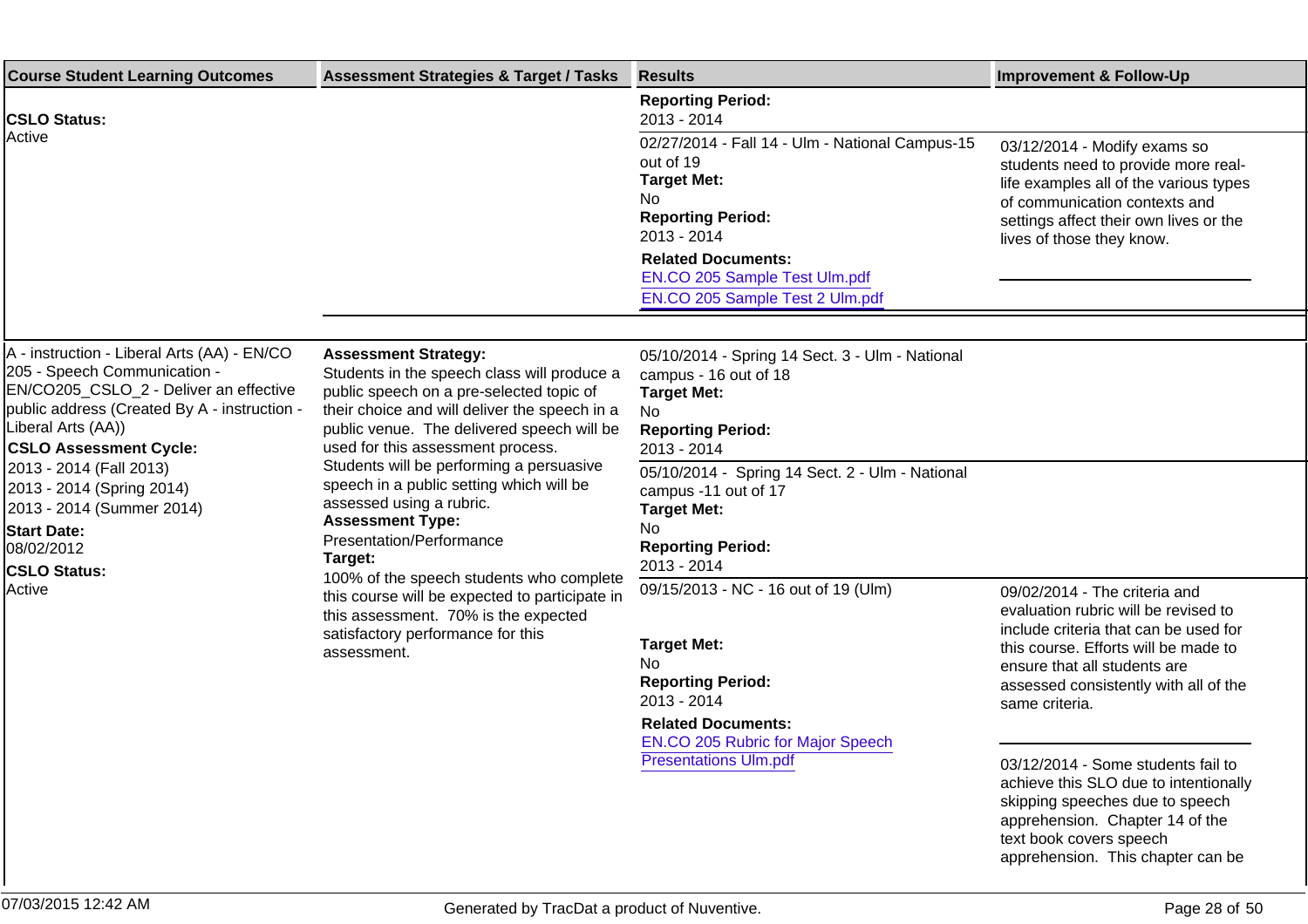| <b>Course Student Learning Outcomes</b>                                                                                                                                                                                                                                                                                                 | <b>Assessment Strategies &amp; Target / Tasks</b>                                                                                                                                                                                                                                                                                                                                                         | <b>Results</b>                                                                                                                                                                                                                                         | <b>Improvement &amp; Follow-Up</b>                                                                                                                                                                                    |
|-----------------------------------------------------------------------------------------------------------------------------------------------------------------------------------------------------------------------------------------------------------------------------------------------------------------------------------------|-----------------------------------------------------------------------------------------------------------------------------------------------------------------------------------------------------------------------------------------------------------------------------------------------------------------------------------------------------------------------------------------------------------|--------------------------------------------------------------------------------------------------------------------------------------------------------------------------------------------------------------------------------------------------------|-----------------------------------------------------------------------------------------------------------------------------------------------------------------------------------------------------------------------|
| <b>CSLO Status:</b>                                                                                                                                                                                                                                                                                                                     |                                                                                                                                                                                                                                                                                                                                                                                                           | <b>Reporting Period:</b><br>2013 - 2014                                                                                                                                                                                                                |                                                                                                                                                                                                                       |
| Active                                                                                                                                                                                                                                                                                                                                  |                                                                                                                                                                                                                                                                                                                                                                                                           | 02/27/2014 - Fall 14 - Ulm - National Campus-15<br>out of 19<br><b>Target Met:</b><br>No<br><b>Reporting Period:</b><br>2013 - 2014<br><b>Related Documents:</b><br>EN.CO 205 Sample Test Ulm.pdf<br>EN.CO 205 Sample Test 2 Ulm.pdf                   | 03/12/2014 - Modify exams so<br>students need to provide more real-<br>life examples all of the various types<br>of communication contexts and<br>settings affect their own lives or the<br>lives of those they know. |
|                                                                                                                                                                                                                                                                                                                                         |                                                                                                                                                                                                                                                                                                                                                                                                           |                                                                                                                                                                                                                                                        |                                                                                                                                                                                                                       |
| A - instruction - Liberal Arts (AA) - EN/CO<br>205 - Speech Communication -<br>EN/CO205_CSLO_2 - Deliver an effective<br>public address (Created By A - instruction -<br>Liberal Arts (AA))<br><b>CSLO Assessment Cycle:</b><br>2013 - 2014 (Fall 2013)<br>2013 - 2014 (Spring 2014)<br>2013 - 2014 (Summer 2014)<br><b>Start Date:</b> | <b>Assessment Strategy:</b><br>Students in the speech class will produce a<br>public speech on a pre-selected topic of<br>their choice and will deliver the speech in a<br>public venue. The delivered speech will be<br>used for this assessment process.<br>Students will be performing a persuasive<br>speech in a public setting which will be<br>assessed using a rubric.<br><b>Assessment Type:</b> | 05/10/2014 - Spring 14 Sect. 3 - Ulm - National<br>campus - 16 out of 18<br><b>Target Met:</b><br>No<br><b>Reporting Period:</b><br>2013 - 2014<br>05/10/2014 - Spring 14 Sect. 2 - Ulm - National<br>campus -11 out of 17<br><b>Target Met:</b><br>No |                                                                                                                                                                                                                       |
| 08/02/2012                                                                                                                                                                                                                                                                                                                              | Presentation/Performance<br>Target:                                                                                                                                                                                                                                                                                                                                                                       | <b>Reporting Period:</b><br>2013 - 2014                                                                                                                                                                                                                |                                                                                                                                                                                                                       |
| <b>CSLO Status:</b><br>Active                                                                                                                                                                                                                                                                                                           | 100% of the speech students who complete<br>this course will be expected to participate in<br>this assessment. 70% is the expected                                                                                                                                                                                                                                                                        | 09/15/2013 - NC - 16 out of 19 (Ulm)                                                                                                                                                                                                                   | 09/02/2014 - The criteria and<br>evaluation rubric will be revised to                                                                                                                                                 |
|                                                                                                                                                                                                                                                                                                                                         | satisfactory performance for this<br>assessment.                                                                                                                                                                                                                                                                                                                                                          | <b>Target Met:</b><br><b>No</b><br><b>Reporting Period:</b><br>2013 - 2014<br><b>Related Documents:</b><br>EN.CO 205 Rubric for Major Speech<br><b>Presentations Ulm.pdf</b>                                                                           | include criteria that can be used for<br>this course. Efforts will be made to<br>ensure that all students are<br>assessed consistently with all of the<br>same criteria.                                              |
|                                                                                                                                                                                                                                                                                                                                         |                                                                                                                                                                                                                                                                                                                                                                                                           |                                                                                                                                                                                                                                                        | 03/12/2014 - Some students fail to<br>achieve this SLO due to intentionally<br>skipping speeches due to speech<br>apprehension. Chapter 14 of the<br>text book covers speech<br>apprehension. This chapter can be     |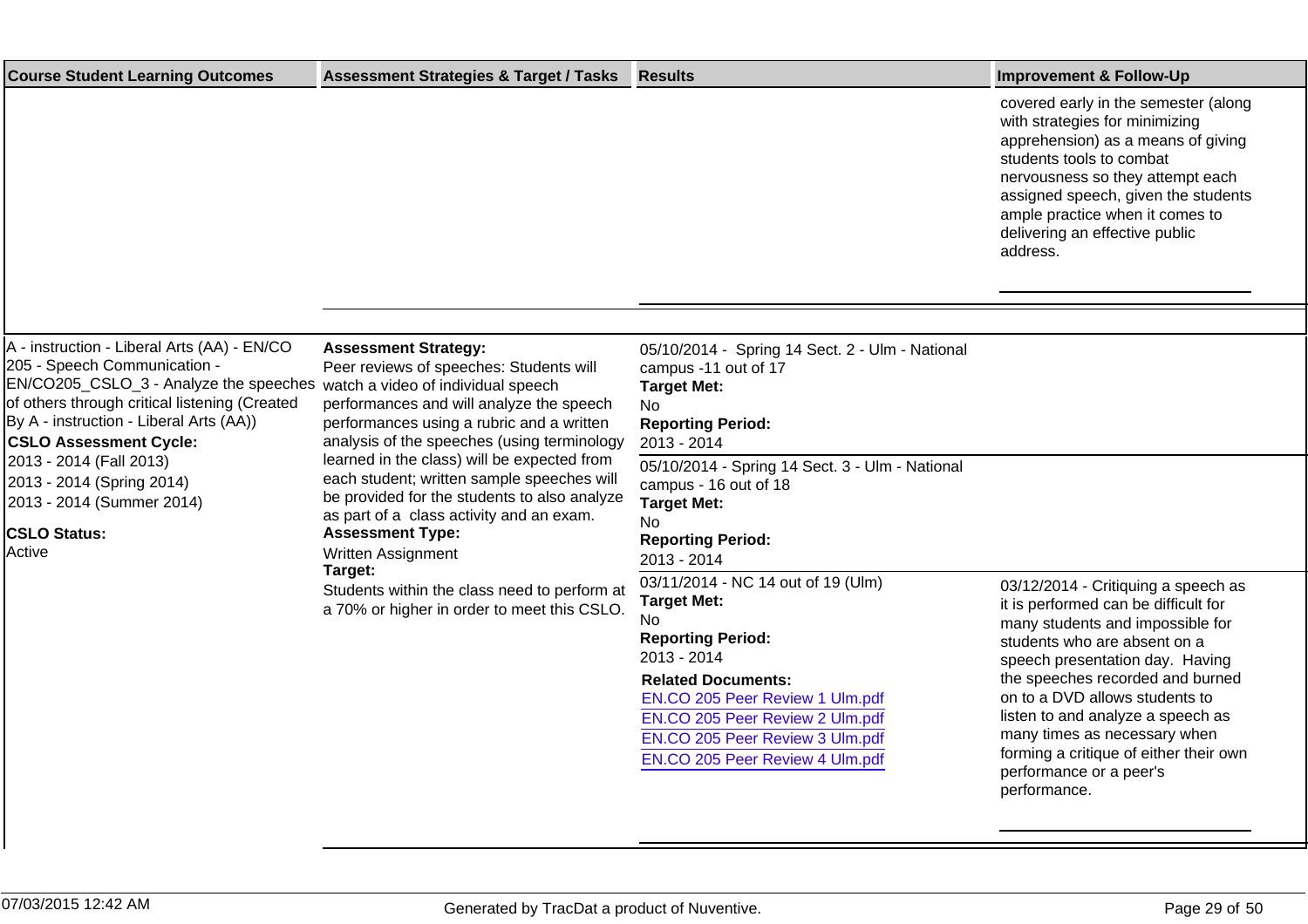| <b>Course Student Learning Outcomes</b>                                                                                                                                                                                                                                                                                                                                  | <b>Assessment Strategies &amp; Target / Tasks</b>                                                                                                                                                                                                                                                                                                                                                                                                                                                                                                                                                               | <b>Results</b>                                                                                                                                                                                                                                                                                                                                                                                                                                                                                                            | <b>Improvement &amp; Follow-Up</b>                                                                                                                                                                                                                                                                   |
|--------------------------------------------------------------------------------------------------------------------------------------------------------------------------------------------------------------------------------------------------------------------------------------------------------------------------------------------------------------------------|-----------------------------------------------------------------------------------------------------------------------------------------------------------------------------------------------------------------------------------------------------------------------------------------------------------------------------------------------------------------------------------------------------------------------------------------------------------------------------------------------------------------------------------------------------------------------------------------------------------------|---------------------------------------------------------------------------------------------------------------------------------------------------------------------------------------------------------------------------------------------------------------------------------------------------------------------------------------------------------------------------------------------------------------------------------------------------------------------------------------------------------------------------|------------------------------------------------------------------------------------------------------------------------------------------------------------------------------------------------------------------------------------------------------------------------------------------------------|
|                                                                                                                                                                                                                                                                                                                                                                          |                                                                                                                                                                                                                                                                                                                                                                                                                                                                                                                                                                                                                 |                                                                                                                                                                                                                                                                                                                                                                                                                                                                                                                           | covered early in the semester (along<br>with strategies for minimizing<br>apprehension) as a means of giving<br>students tools to combat<br>nervousness so they attempt each<br>assigned speech, given the students<br>ample practice when it comes to<br>delivering an effective public<br>address. |
|                                                                                                                                                                                                                                                                                                                                                                          |                                                                                                                                                                                                                                                                                                                                                                                                                                                                                                                                                                                                                 |                                                                                                                                                                                                                                                                                                                                                                                                                                                                                                                           |                                                                                                                                                                                                                                                                                                      |
| A - instruction - Liberal Arts (AA) - EN/CO<br>205 - Speech Communication -<br>EN/CO205_CSLO_3 - Analyze the speeches<br>of others through critical listening (Created<br>By A - instruction - Liberal Arts (AA))<br><b>CSLO Assessment Cycle:</b><br>2013 - 2014 (Fall 2013)<br>2013 - 2014 (Spring 2014)<br>2013 - 2014 (Summer 2014)<br><b>CSLO Status:</b><br>Active | <b>Assessment Strategy:</b><br>Peer reviews of speeches: Students will<br>watch a video of individual speech<br>performances and will analyze the speech<br>performances using a rubric and a written<br>analysis of the speeches (using terminology<br>learned in the class) will be expected from<br>each student; written sample speeches will<br>be provided for the students to also analyze<br>as part of a class activity and an exam.<br><b>Assessment Type:</b><br><b>Written Assignment</b><br>Target:<br>Students within the class need to perform at<br>a 70% or higher in order to meet this CSLO. | 05/10/2014 - Spring 14 Sect. 2 - Ulm - National<br>campus -11 out of 17<br><b>Target Met:</b><br>No.<br><b>Reporting Period:</b><br>2013 - 2014<br>05/10/2014 - Spring 14 Sect. 3 - Ulm - National<br>campus - 16 out of 18<br><b>Target Met:</b><br>No<br><b>Reporting Period:</b><br>2013 - 2014<br>03/11/2014 - NC 14 out of 19 (Ulm)<br><b>Target Met:</b><br><b>No</b><br><b>Reporting Period:</b><br>2013 - 2014<br><b>Related Documents:</b><br>EN.CO 205 Peer Review 1 Ulm.pdf<br>EN.CO 205 Peer Review 2 Ulm.pdf | 03/12/2014 - Critiquing a speech as<br>it is performed can be difficult for<br>many students and impossible for<br>students who are absent on a<br>speech presentation day. Having<br>the speeches recorded and burned<br>on to a DVD allows students to<br>listen to and analyze a speech as        |
|                                                                                                                                                                                                                                                                                                                                                                          |                                                                                                                                                                                                                                                                                                                                                                                                                                                                                                                                                                                                                 | EN.CO 205 Peer Review 3 Ulm.pdf<br>EN.CO 205 Peer Review 4 Ulm.pdf                                                                                                                                                                                                                                                                                                                                                                                                                                                        | many times as necessary when<br>forming a critique of either their own<br>performance or a peer's<br>performance.                                                                                                                                                                                    |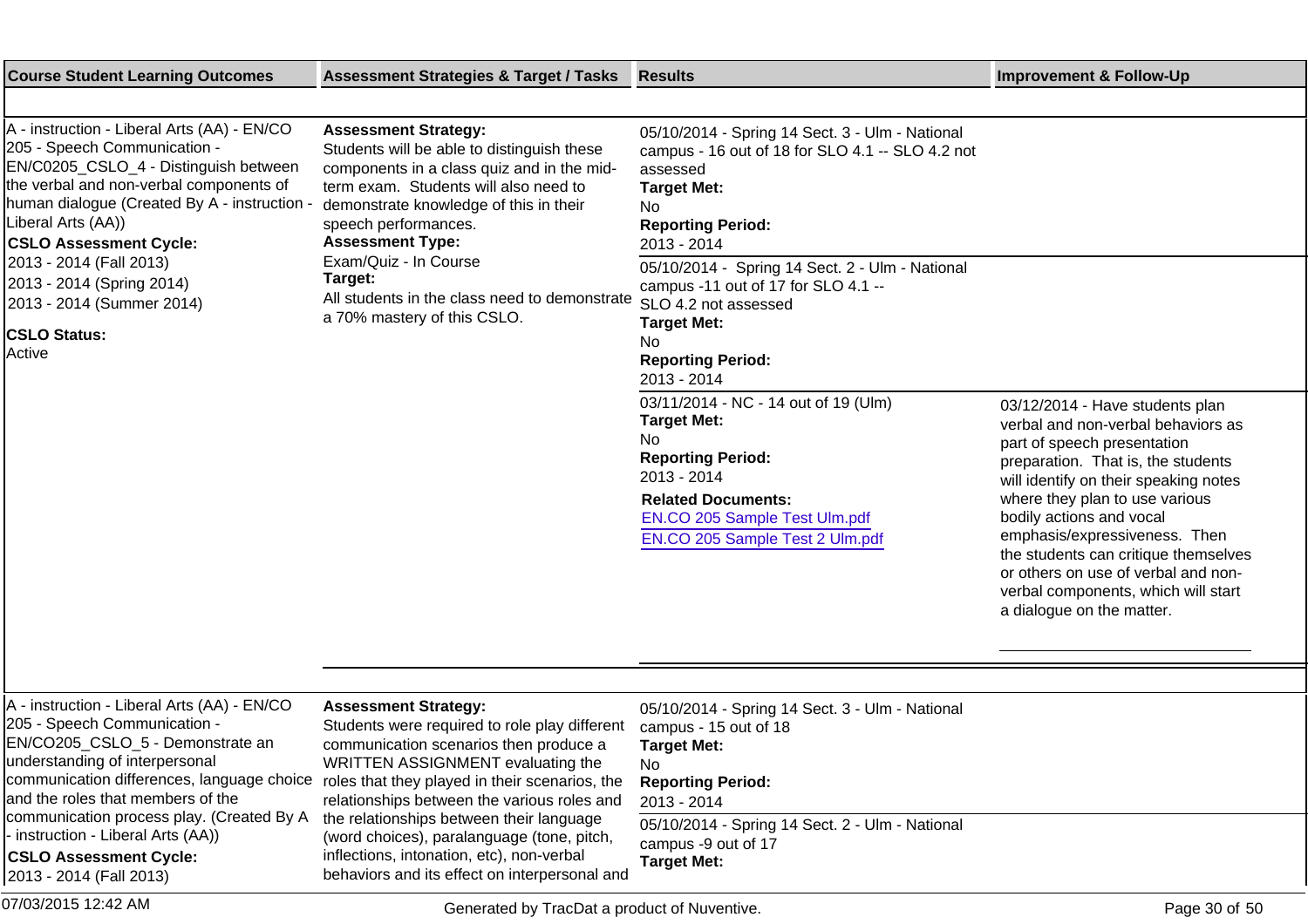| <b>Course Student Learning Outcomes</b>                                                                                                                                                                                                                                           | <b>Assessment Strategies &amp; Target / Tasks</b>                                                                                                                                                                                                                                                        | <b>Results</b>                                                                                                                                                                                     | <b>Improvement &amp; Follow-Up</b>                                                                                                                                                                                                                                                      |
|-----------------------------------------------------------------------------------------------------------------------------------------------------------------------------------------------------------------------------------------------------------------------------------|----------------------------------------------------------------------------------------------------------------------------------------------------------------------------------------------------------------------------------------------------------------------------------------------------------|----------------------------------------------------------------------------------------------------------------------------------------------------------------------------------------------------|-----------------------------------------------------------------------------------------------------------------------------------------------------------------------------------------------------------------------------------------------------------------------------------------|
|                                                                                                                                                                                                                                                                                   |                                                                                                                                                                                                                                                                                                          |                                                                                                                                                                                                    |                                                                                                                                                                                                                                                                                         |
| A - instruction - Liberal Arts (AA) - EN/CO<br>205 - Speech Communication -<br>EN/C0205_CSLO_4 - Distinguish between<br>the verbal and non-verbal components of<br>human dialogue (Created By A - instruction -<br>Liberal Arts (AA))<br><b>CSLO Assessment Cycle:</b>            | <b>Assessment Strategy:</b><br>Students will be able to distinguish these<br>components in a class quiz and in the mid-<br>term exam. Students will also need to<br>demonstrate knowledge of this in their<br>speech performances.<br><b>Assessment Type:</b>                                            | 05/10/2014 - Spring 14 Sect. 3 - Ulm - National<br>campus - 16 out of 18 for SLO 4.1 -- SLO 4.2 not<br>assessed<br><b>Target Met:</b><br>No.<br><b>Reporting Period:</b><br>2013 - 2014            |                                                                                                                                                                                                                                                                                         |
| 2013 - 2014 (Fall 2013)<br>2013 - 2014 (Spring 2014)<br>2013 - 2014 (Summer 2014)<br><b>CSLO Status:</b><br>Active                                                                                                                                                                | Exam/Quiz - In Course<br>Target:<br>All students in the class need to demonstrate<br>a 70% mastery of this CSLO.                                                                                                                                                                                         | 05/10/2014 - Spring 14 Sect. 2 - Ulm - National<br>campus -11 out of 17 for SLO 4.1 --<br>SLO 4.2 not assessed<br><b>Target Met:</b><br>No.<br><b>Reporting Period:</b>                            |                                                                                                                                                                                                                                                                                         |
|                                                                                                                                                                                                                                                                                   |                                                                                                                                                                                                                                                                                                          | 2013 - 2014<br>03/11/2014 - NC - 14 out of 19 (Ulm)<br><b>Target Met:</b><br>No.<br><b>Reporting Period:</b><br>2013 - 2014                                                                        | 03/12/2014 - Have students plan<br>verbal and non-verbal behaviors as<br>part of speech presentation<br>preparation. That is, the students                                                                                                                                              |
|                                                                                                                                                                                                                                                                                   |                                                                                                                                                                                                                                                                                                          | <b>Related Documents:</b><br>EN.CO 205 Sample Test Ulm.pdf<br>EN.CO 205 Sample Test 2 Ulm.pdf                                                                                                      | will identify on their speaking notes<br>where they plan to use various<br>bodily actions and vocal<br>emphasis/expressiveness. Then<br>the students can critique themselves<br>or others on use of verbal and non-<br>verbal components, which will start<br>a dialogue on the matter. |
|                                                                                                                                                                                                                                                                                   |                                                                                                                                                                                                                                                                                                          |                                                                                                                                                                                                    |                                                                                                                                                                                                                                                                                         |
| A - instruction - Liberal Arts (AA) - EN/CO<br>205 - Speech Communication -<br>EN/CO205_CSLO_5 - Demonstrate an<br>understanding of interpersonal<br>communication differences, language choice<br>and the roles that members of the<br>communication process play. (Created By A | <b>Assessment Strategy:</b><br>Students were required to role play different<br>communication scenarios then produce a<br>WRITTEN ASSIGNMENT evaluating the<br>roles that they played in their scenarios, the<br>relationships between the various roles and<br>the relationships between their language | 05/10/2014 - Spring 14 Sect. 3 - Ulm - National<br>campus - 15 out of 18<br><b>Target Met:</b><br>No<br><b>Reporting Period:</b><br>2013 - 2014<br>05/10/2014 - Spring 14 Sect. 2 - Ulm - National |                                                                                                                                                                                                                                                                                         |
| - instruction - Liberal Arts (AA))<br><b>CSLO Assessment Cycle:</b><br>2013 - 2014 (Fall 2013)                                                                                                                                                                                    | (word choices), paralanguage (tone, pitch,<br>inflections, intonation, etc), non-verbal<br>behaviors and its effect on interpersonal and                                                                                                                                                                 | campus -9 out of 17<br><b>Target Met:</b>                                                                                                                                                          |                                                                                                                                                                                                                                                                                         |
| 07/03/2015 12:42 AM                                                                                                                                                                                                                                                               | Generated by TracDat a product of Nuventive.                                                                                                                                                                                                                                                             |                                                                                                                                                                                                    | Page 30 of 50                                                                                                                                                                                                                                                                           |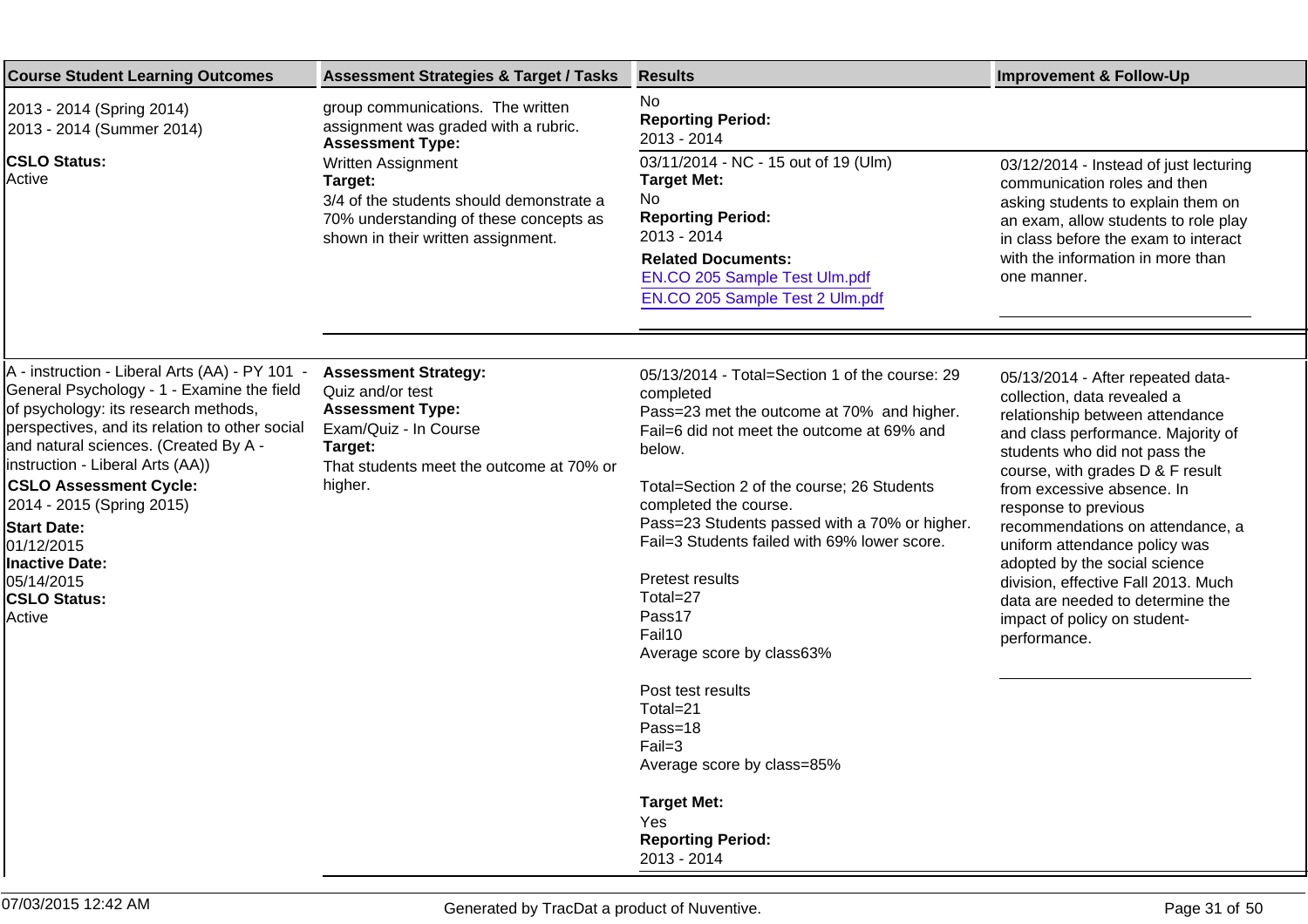| <b>Course Student Learning Outcomes</b>                                                                                                                                                                                                                                                                                                                                                                                                       | <b>Assessment Strategies &amp; Target / Tasks</b>                                                                                                                     | <b>Results</b>                                                                                                                                                                                                                                                                                                                                                                                                                                                                                                     | <b>Improvement &amp; Follow-Up</b>                                                                                                                                                                                                                                                                                                                                                                                                                                                                    |
|-----------------------------------------------------------------------------------------------------------------------------------------------------------------------------------------------------------------------------------------------------------------------------------------------------------------------------------------------------------------------------------------------------------------------------------------------|-----------------------------------------------------------------------------------------------------------------------------------------------------------------------|--------------------------------------------------------------------------------------------------------------------------------------------------------------------------------------------------------------------------------------------------------------------------------------------------------------------------------------------------------------------------------------------------------------------------------------------------------------------------------------------------------------------|-------------------------------------------------------------------------------------------------------------------------------------------------------------------------------------------------------------------------------------------------------------------------------------------------------------------------------------------------------------------------------------------------------------------------------------------------------------------------------------------------------|
| 2013 - 2014 (Spring 2014)<br>2013 - 2014 (Summer 2014)                                                                                                                                                                                                                                                                                                                                                                                        | group communications. The written<br>assignment was graded with a rubric.<br><b>Assessment Type:</b>                                                                  | <b>No</b><br><b>Reporting Period:</b><br>2013 - 2014                                                                                                                                                                                                                                                                                                                                                                                                                                                               |                                                                                                                                                                                                                                                                                                                                                                                                                                                                                                       |
| <b>CSLO Status:</b><br>Active                                                                                                                                                                                                                                                                                                                                                                                                                 | Written Assignment<br>Target:<br>3/4 of the students should demonstrate a<br>70% understanding of these concepts as<br>shown in their written assignment.             | 03/11/2014 - NC - 15 out of 19 (Ulm)<br><b>Target Met:</b><br>No<br><b>Reporting Period:</b><br>2013 - 2014<br><b>Related Documents:</b><br>EN.CO 205 Sample Test Ulm.pdf<br>EN.CO 205 Sample Test 2 Ulm.pdf                                                                                                                                                                                                                                                                                                       | 03/12/2014 - Instead of just lecturing<br>communication roles and then<br>asking students to explain them on<br>an exam, allow students to role play<br>in class before the exam to interact<br>with the information in more than<br>one manner.                                                                                                                                                                                                                                                      |
|                                                                                                                                                                                                                                                                                                                                                                                                                                               |                                                                                                                                                                       |                                                                                                                                                                                                                                                                                                                                                                                                                                                                                                                    |                                                                                                                                                                                                                                                                                                                                                                                                                                                                                                       |
| A - instruction - Liberal Arts (AA) - PY 101 -<br>General Psychology - 1 - Examine the field<br>of psychology: its research methods,<br>perspectives, and its relation to other social<br>and natural sciences. (Created By A -<br>instruction - Liberal Arts (AA))<br><b>CSLO Assessment Cycle:</b><br>2014 - 2015 (Spring 2015)<br><b>Start Date:</b><br>01/12/2015<br><b>Inactive Date:</b><br>05/14/2015<br><b>CSLO Status:</b><br>Active | <b>Assessment Strategy:</b><br>Quiz and/or test<br><b>Assessment Type:</b><br>Exam/Quiz - In Course<br>Target:<br>That students meet the outcome at 70% or<br>higher. | 05/13/2014 - Total=Section 1 of the course: 29<br>completed<br>Pass=23 met the outcome at 70% and higher.<br>Fail=6 did not meet the outcome at 69% and<br>below.<br>Total=Section 2 of the course; 26 Students<br>completed the course.<br>Pass=23 Students passed with a 70% or higher.<br>Fail=3 Students failed with 69% lower score.<br>Pretest results<br>Total=27<br>Pass 17<br>Fail 10<br>Average score by class 63%<br>Post test results<br>Total=21<br>Pass=18<br>$Fail=3$<br>Average score by class=85% | 05/13/2014 - After repeated data-<br>collection, data revealed a<br>relationship between attendance<br>and class performance. Majority of<br>students who did not pass the<br>course, with grades D & F result<br>from excessive absence. In<br>response to previous<br>recommendations on attendance, a<br>uniform attendance policy was<br>adopted by the social science<br>division, effective Fall 2013. Much<br>data are needed to determine the<br>impact of policy on student-<br>performance. |
|                                                                                                                                                                                                                                                                                                                                                                                                                                               |                                                                                                                                                                       | <b>Target Met:</b><br>Yes<br><b>Reporting Period:</b><br>2013 - 2014                                                                                                                                                                                                                                                                                                                                                                                                                                               |                                                                                                                                                                                                                                                                                                                                                                                                                                                                                                       |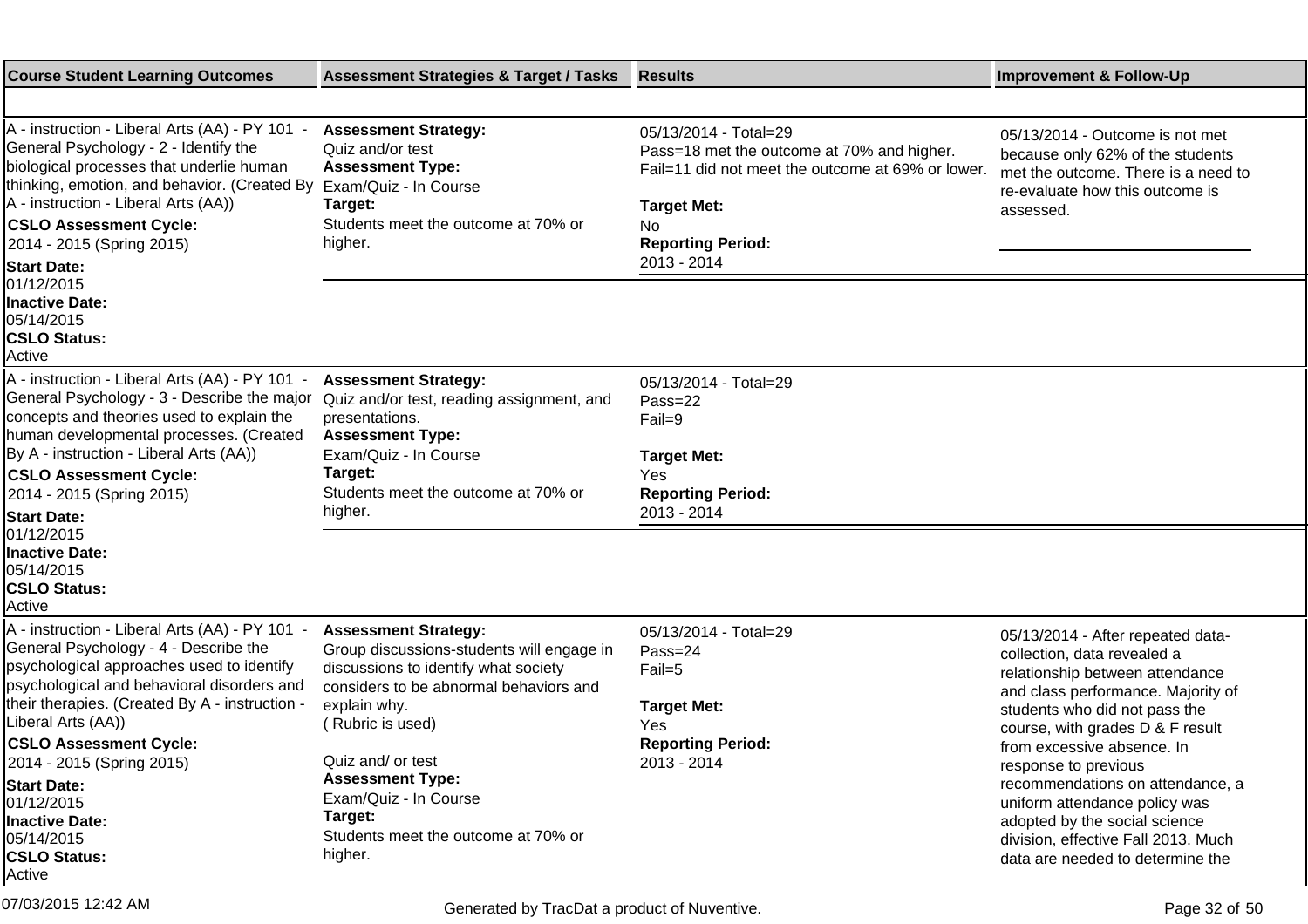| <b>Course Student Learning Outcomes</b>                                                                                                                                                                                                                                                                                                                                                                                       | <b>Assessment Strategies &amp; Target / Tasks</b>                                                                                                                                                                                                                                                                                   | <b>Results</b>                                                                                                                                                                                  | <b>Improvement &amp; Follow-Up</b>                                                                                                                                                                                                                                                                                                                                                                                                                    |
|-------------------------------------------------------------------------------------------------------------------------------------------------------------------------------------------------------------------------------------------------------------------------------------------------------------------------------------------------------------------------------------------------------------------------------|-------------------------------------------------------------------------------------------------------------------------------------------------------------------------------------------------------------------------------------------------------------------------------------------------------------------------------------|-------------------------------------------------------------------------------------------------------------------------------------------------------------------------------------------------|-------------------------------------------------------------------------------------------------------------------------------------------------------------------------------------------------------------------------------------------------------------------------------------------------------------------------------------------------------------------------------------------------------------------------------------------------------|
|                                                                                                                                                                                                                                                                                                                                                                                                                               |                                                                                                                                                                                                                                                                                                                                     |                                                                                                                                                                                                 |                                                                                                                                                                                                                                                                                                                                                                                                                                                       |
| A - instruction - Liberal Arts (AA) - PY 101 -<br>General Psychology - 2 - Identify the<br>biological processes that underlie human<br>thinking, emotion, and behavior. (Created By<br>A - instruction - Liberal Arts (AA))<br><b>CSLO Assessment Cycle:</b><br>2014 - 2015 (Spring 2015)<br><b>Start Date:</b><br>01/12/2015<br><b>Inactive Date:</b><br>05/14/2015<br><b>CSLO Status:</b><br>Active                         | <b>Assessment Strategy:</b><br>Quiz and/or test<br><b>Assessment Type:</b><br>Exam/Quiz - In Course<br>Target:<br>Students meet the outcome at 70% or<br>higher.                                                                                                                                                                    | 05/13/2014 - Total=29<br>Pass=18 met the outcome at 70% and higher.<br>Fail=11 did not meet the outcome at 69% or lower.<br><b>Target Met:</b><br>No<br><b>Reporting Period:</b><br>2013 - 2014 | 05/13/2014 - Outcome is not met<br>because only 62% of the students<br>met the outcome. There is a need to<br>re-evaluate how this outcome is<br>assessed.                                                                                                                                                                                                                                                                                            |
| A - instruction - Liberal Arts (AA) - PY 101 -<br>General Psychology - 3 - Describe the major<br>concepts and theories used to explain the<br>human developmental processes. (Created<br>By A - instruction - Liberal Arts (AA))<br><b>CSLO Assessment Cycle:</b><br>2014 - 2015 (Spring 2015)<br><b>Start Date:</b><br>01/12/2015                                                                                            | <b>Assessment Strategy:</b><br>Quiz and/or test, reading assignment, and<br>presentations.<br><b>Assessment Type:</b><br>Exam/Quiz - In Course<br>Target:<br>Students meet the outcome at 70% or<br>higher.                                                                                                                         | 05/13/2014 - Total=29<br>Pass=22<br>Fail=9<br><b>Target Met:</b><br>Yes<br><b>Reporting Period:</b><br>2013 - 2014                                                                              |                                                                                                                                                                                                                                                                                                                                                                                                                                                       |
| <b>Inactive Date:</b><br>05/14/2015<br><b>CSLO Status:</b><br>Active                                                                                                                                                                                                                                                                                                                                                          |                                                                                                                                                                                                                                                                                                                                     |                                                                                                                                                                                                 |                                                                                                                                                                                                                                                                                                                                                                                                                                                       |
| A - instruction - Liberal Arts (AA) - PY 101 -<br>General Psychology - 4 - Describe the<br>psychological approaches used to identify<br>psychological and behavioral disorders and<br>their therapies. (Created By A - instruction -<br>Liberal Arts (AA))<br><b>CSLO Assessment Cycle:</b><br>2014 - 2015 (Spring 2015)<br><b>Start Date:</b><br>01/12/2015<br>Inactive Date:<br>05/14/2015<br><b>CSLO Status:</b><br>Active | <b>Assessment Strategy:</b><br>Group discussions-students will engage in<br>discussions to identify what society<br>considers to be abnormal behaviors and<br>explain why.<br>Rubric is used)<br>Quiz and/ or test<br><b>Assessment Type:</b><br>Exam/Quiz - In Course<br>Target:<br>Students meet the outcome at 70% or<br>higher. | 05/13/2014 - Total=29<br>Pass=24<br>Fail=5<br><b>Target Met:</b><br>Yes<br><b>Reporting Period:</b><br>2013 - 2014                                                                              | 05/13/2014 - After repeated data-<br>collection, data revealed a<br>relationship between attendance<br>and class performance. Majority of<br>students who did not pass the<br>course, with grades D & F result<br>from excessive absence. In<br>response to previous<br>recommendations on attendance, a<br>uniform attendance policy was<br>adopted by the social science<br>division, effective Fall 2013. Much<br>data are needed to determine the |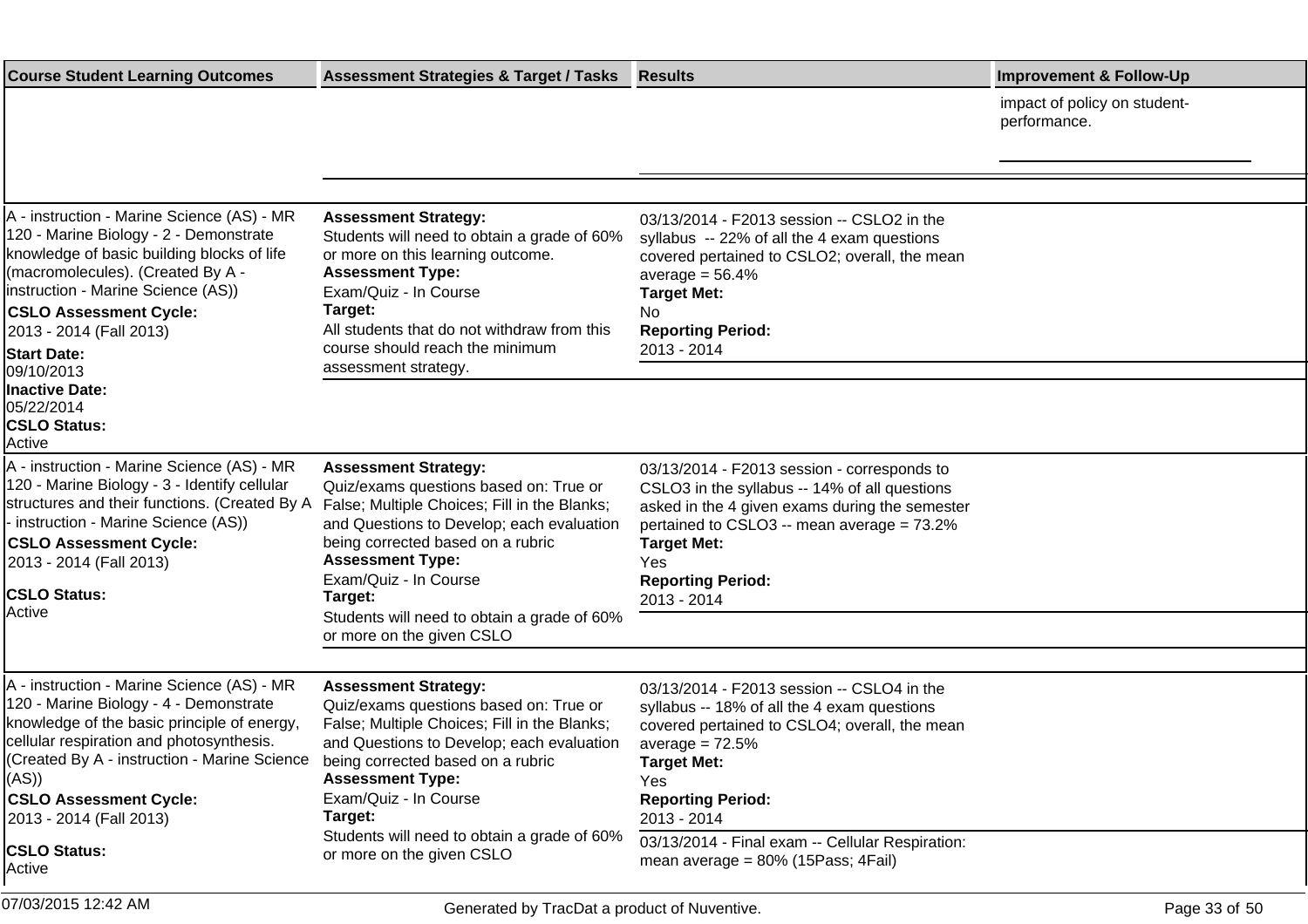| <b>Course Student Learning Outcomes</b>                                                                                                                                                                                                                                                         | <b>Assessment Strategies &amp; Target / Tasks</b>                                                                                                                                                                                                                                        | <b>Results</b>                                                                                                                                                                                                                                                       | <b>Improvement &amp; Follow-Up</b>           |
|-------------------------------------------------------------------------------------------------------------------------------------------------------------------------------------------------------------------------------------------------------------------------------------------------|------------------------------------------------------------------------------------------------------------------------------------------------------------------------------------------------------------------------------------------------------------------------------------------|----------------------------------------------------------------------------------------------------------------------------------------------------------------------------------------------------------------------------------------------------------------------|----------------------------------------------|
|                                                                                                                                                                                                                                                                                                 |                                                                                                                                                                                                                                                                                          |                                                                                                                                                                                                                                                                      | impact of policy on student-<br>performance. |
|                                                                                                                                                                                                                                                                                                 |                                                                                                                                                                                                                                                                                          |                                                                                                                                                                                                                                                                      |                                              |
| A - instruction - Marine Science (AS) - MR<br>120 - Marine Biology - 2 - Demonstrate<br>knowledge of basic building blocks of life<br>(macromolecules). (Created By A -<br>Instruction - Marine Science (AS))<br><b>CSLO Assessment Cycle:</b><br>2013 - 2014 (Fall 2013)<br><b>Start Date:</b> | <b>Assessment Strategy:</b><br>Students will need to obtain a grade of 60%<br>or more on this learning outcome.<br><b>Assessment Type:</b><br>Exam/Quiz - In Course<br>Target:<br>All students that do not withdraw from this<br>course should reach the minimum<br>assessment strategy. | 03/13/2014 - F2013 session -- CSLO2 in the<br>syllabus -- 22% of all the 4 exam questions<br>covered pertained to CSLO2; overall, the mean<br>average $= 56.4%$<br><b>Target Met:</b><br>No.<br><b>Reporting Period:</b><br>2013 - 2014                              |                                              |
| 09/10/2013<br><b>Inactive Date:</b><br>05/22/2014<br><b>CSLO Status:</b><br>Active                                                                                                                                                                                                              |                                                                                                                                                                                                                                                                                          |                                                                                                                                                                                                                                                                      |                                              |
| A - instruction - Marine Science (AS) - MR<br>120 - Marine Biology - 3 - Identify cellular<br>structures and their functions. (Created By A<br>- instruction - Marine Science (AS))<br><b>CSLO Assessment Cycle:</b><br>2013 - 2014 (Fall 2013)<br><b>CSLO Status:</b><br>Active                | <b>Assessment Strategy:</b><br>Quiz/exams questions based on: True or<br>False; Multiple Choices; Fill in the Blanks;<br>and Questions to Develop; each evaluation<br>being corrected based on a rubric<br><b>Assessment Type:</b><br>Exam/Quiz - In Course<br>Target:                   | 03/13/2014 - F2013 session - corresponds to<br>CSLO3 in the syllabus -- 14% of all questions<br>asked in the 4 given exams during the semester<br>pertained to CSLO3 -- mean average = 73.2%<br><b>Target Met:</b><br>Yes<br><b>Reporting Period:</b><br>2013 - 2014 |                                              |
|                                                                                                                                                                                                                                                                                                 | Students will need to obtain a grade of 60%<br>or more on the given CSLO                                                                                                                                                                                                                 |                                                                                                                                                                                                                                                                      |                                              |
|                                                                                                                                                                                                                                                                                                 |                                                                                                                                                                                                                                                                                          |                                                                                                                                                                                                                                                                      |                                              |
| A - instruction - Marine Science (AS) - MR<br>120 - Marine Biology - 4 - Demonstrate<br>knowledge of the basic principle of energy,<br>cellular respiration and photosynthesis.<br>(Created By A - instruction - Marine Science<br>((AS)                                                        | <b>Assessment Strategy:</b><br>Quiz/exams questions based on: True or<br>False; Multiple Choices; Fill in the Blanks;<br>and Questions to Develop; each evaluation<br>being corrected based on a rubric<br><b>Assessment Type:</b>                                                       | 03/13/2014 - F2013 session -- CSLO4 in the<br>syllabus -- 18% of all the 4 exam questions<br>covered pertained to CSLO4; overall, the mean<br>average = $72.5%$<br><b>Target Met:</b><br>Yes                                                                         |                                              |
| <b>CSLO Assessment Cycle:</b>                                                                                                                                                                                                                                                                   | Exam/Quiz - In Course                                                                                                                                                                                                                                                                    | <b>Reporting Period:</b>                                                                                                                                                                                                                                             |                                              |
| 2013 - 2014 (Fall 2013)<br><b>CSLO Status:</b><br>Active                                                                                                                                                                                                                                        | Target:<br>Students will need to obtain a grade of 60%<br>or more on the given CSLO                                                                                                                                                                                                      | 2013 - 2014<br>03/13/2014 - Final exam -- Cellular Respiration:<br>mean average = $80\%$ (15Pass; 4Fail)                                                                                                                                                             |                                              |
| 07/03/2015 12:42 AM                                                                                                                                                                                                                                                                             | Generated by TracDat a product of Nuventive.                                                                                                                                                                                                                                             |                                                                                                                                                                                                                                                                      | Page 33 of 50                                |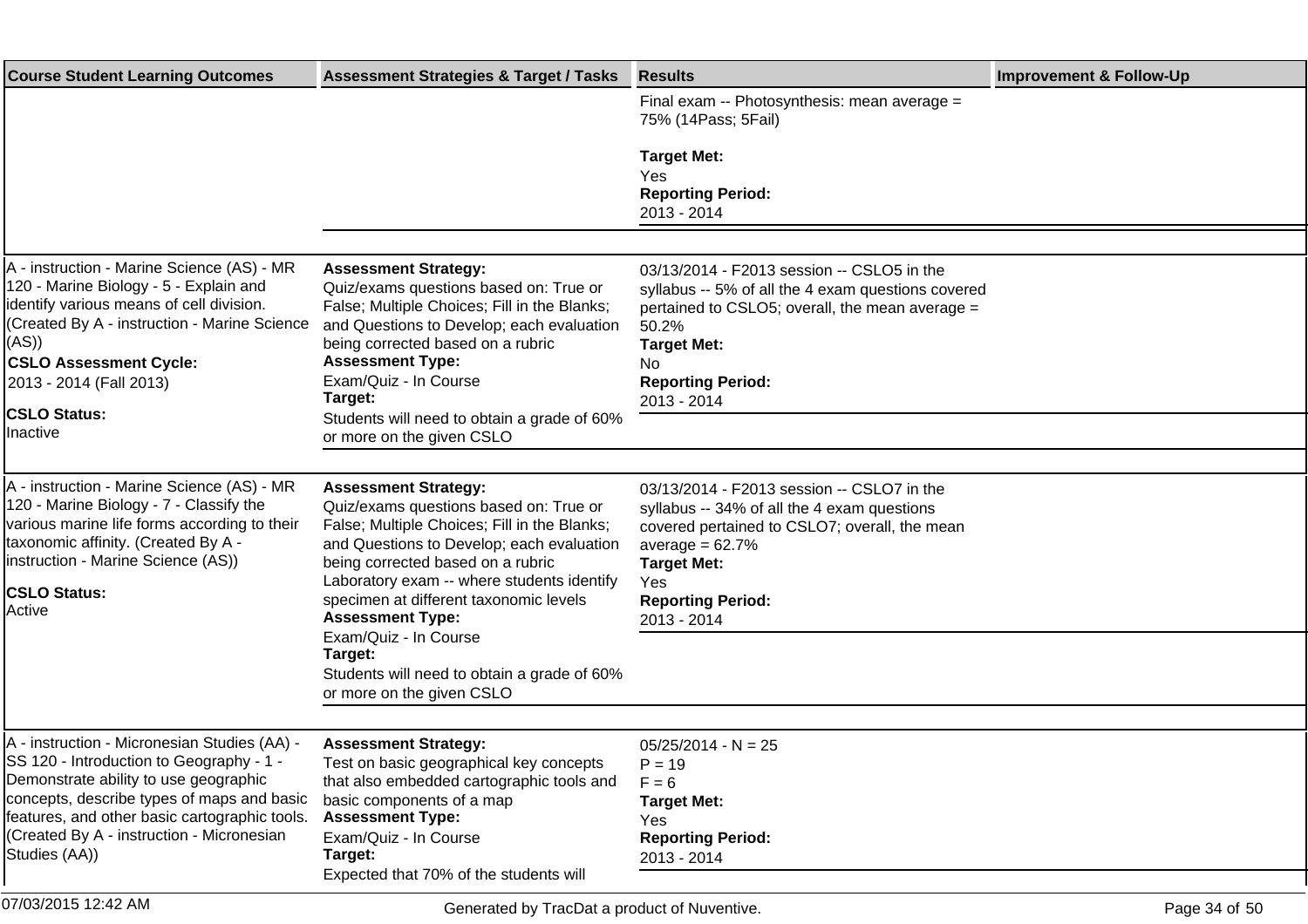| <b>Course Student Learning Outcomes</b>                                                                                                                                                                                                                                                        | <b>Assessment Strategies &amp; Target / Tasks</b>                                                                                                                                                                                                                                                                                                                                                                                          | <b>Results</b>                                                                                                                                                                                                                          | <b>Improvement &amp; Follow-Up</b> |
|------------------------------------------------------------------------------------------------------------------------------------------------------------------------------------------------------------------------------------------------------------------------------------------------|--------------------------------------------------------------------------------------------------------------------------------------------------------------------------------------------------------------------------------------------------------------------------------------------------------------------------------------------------------------------------------------------------------------------------------------------|-----------------------------------------------------------------------------------------------------------------------------------------------------------------------------------------------------------------------------------------|------------------------------------|
|                                                                                                                                                                                                                                                                                                |                                                                                                                                                                                                                                                                                                                                                                                                                                            | Final exam -- Photosynthesis: mean average =<br>75% (14Pass; 5Fail)                                                                                                                                                                     |                                    |
|                                                                                                                                                                                                                                                                                                |                                                                                                                                                                                                                                                                                                                                                                                                                                            | <b>Target Met:</b><br>Yes<br><b>Reporting Period:</b><br>2013 - 2014                                                                                                                                                                    |                                    |
|                                                                                                                                                                                                                                                                                                |                                                                                                                                                                                                                                                                                                                                                                                                                                            |                                                                                                                                                                                                                                         |                                    |
| A - instruction - Marine Science (AS) - MR<br>120 - Marine Biology - 5 - Explain and<br>lidentify various means of cell division.<br>(Created By A - instruction - Marine Science<br>(AS))<br><b>CSLO Assessment Cycle:</b><br>2013 - 2014 (Fall 2013)<br><b>CSLO Status:</b>                  | <b>Assessment Strategy:</b><br>Quiz/exams questions based on: True or<br>False; Multiple Choices; Fill in the Blanks;<br>and Questions to Develop; each evaluation<br>being corrected based on a rubric<br><b>Assessment Type:</b><br>Exam/Quiz - In Course<br>Target:<br>Students will need to obtain a grade of 60%                                                                                                                      | 03/13/2014 - F2013 session -- CSLO5 in the<br>syllabus -- 5% of all the 4 exam questions covered<br>pertained to CSLO5; overall, the mean average =<br>50.2%<br><b>Target Met:</b><br>No.<br><b>Reporting Period:</b><br>2013 - 2014    |                                    |
| Inactive                                                                                                                                                                                                                                                                                       | or more on the given CSLO                                                                                                                                                                                                                                                                                                                                                                                                                  |                                                                                                                                                                                                                                         |                                    |
| A - instruction - Marine Science (AS) - MR<br>120 - Marine Biology - 7 - Classify the<br>various marine life forms according to their<br>taxonomic affinity. (Created By A -<br>Instruction - Marine Science (AS))<br><b>CSLO Status:</b><br>Active                                            | <b>Assessment Strategy:</b><br>Quiz/exams questions based on: True or<br>False; Multiple Choices; Fill in the Blanks;<br>and Questions to Develop; each evaluation<br>being corrected based on a rubric<br>Laboratory exam -- where students identify<br>specimen at different taxonomic levels<br><b>Assessment Type:</b><br>Exam/Quiz - In Course<br>Target:<br>Students will need to obtain a grade of 60%<br>or more on the given CSLO | 03/13/2014 - F2013 session -- CSLO7 in the<br>syllabus -- 34% of all the 4 exam questions<br>covered pertained to CSLO7; overall, the mean<br>average = $62.7%$<br><b>Target Met:</b><br>Yes<br><b>Reporting Period:</b><br>2013 - 2014 |                                    |
| A - instruction - Micronesian Studies (AA) -<br>SS 120 - Introduction to Geography - 1 -<br>Demonstrate ability to use geographic<br>concepts, describe types of maps and basic<br>features, and other basic cartographic tools.<br>(Created By A - instruction - Micronesian<br>Studies (AA)) | <b>Assessment Strategy:</b><br>Test on basic geographical key concepts<br>that also embedded cartographic tools and<br>basic components of a map<br><b>Assessment Type:</b><br>Exam/Quiz - In Course<br>Target:<br>Expected that 70% of the students will                                                                                                                                                                                  | $05/25/2014 - N = 25$<br>$P = 19$<br>$F = 6$<br><b>Target Met:</b><br>Yes<br><b>Reporting Period:</b><br>2013 - 2014                                                                                                                    |                                    |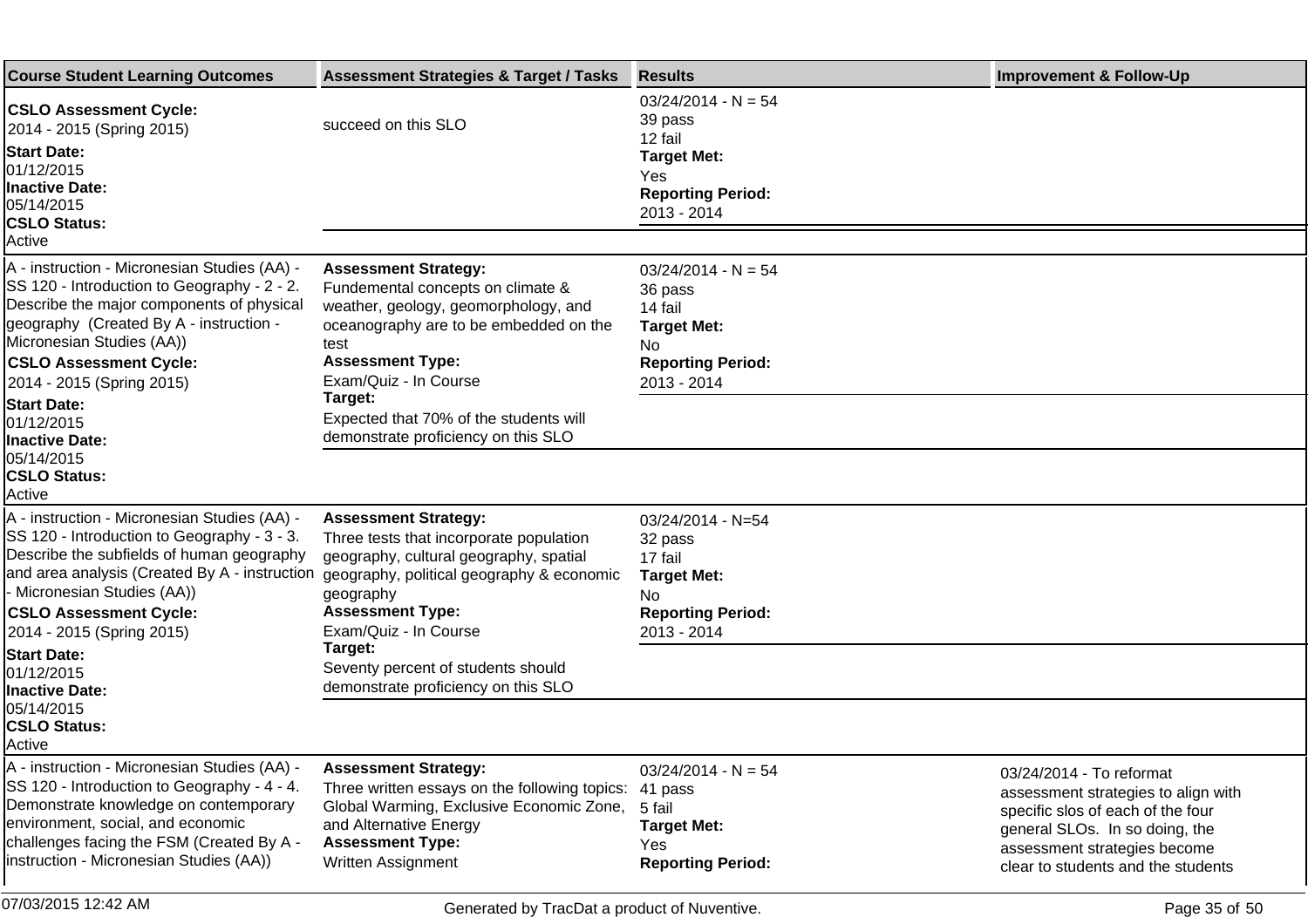| <b>Course Student Learning Outcomes</b>                                                                                                                                                                                                                                                              | <b>Assessment Strategies &amp; Target / Tasks</b>                                                                                                                                                                              | <b>Results</b>                                                                                                          | <b>Improvement &amp; Follow-Up</b>                                                                                                                                                                           |
|------------------------------------------------------------------------------------------------------------------------------------------------------------------------------------------------------------------------------------------------------------------------------------------------------|--------------------------------------------------------------------------------------------------------------------------------------------------------------------------------------------------------------------------------|-------------------------------------------------------------------------------------------------------------------------|--------------------------------------------------------------------------------------------------------------------------------------------------------------------------------------------------------------|
| <b>CSLO Assessment Cycle:</b><br>2014 - 2015 (Spring 2015)<br><b>Start Date:</b><br>01/12/2015<br><b>Inactive Date:</b><br>05/14/2015<br><b>CSLO Status:</b><br>Active                                                                                                                               | succeed on this SLO                                                                                                                                                                                                            | $03/24/2014 - N = 54$<br>39 pass<br>12 fail<br><b>Target Met:</b><br>Yes<br><b>Reporting Period:</b><br>2013 - 2014     |                                                                                                                                                                                                              |
| A - instruction - Micronesian Studies (AA) -<br>SS 120 - Introduction to Geography - 2 - 2.<br>Describe the major components of physical<br>geography (Created By A - instruction -<br>Micronesian Studies (AA))<br><b>CSLO Assessment Cycle:</b><br>2014 - 2015 (Spring 2015)<br><b>Start Date:</b> | <b>Assessment Strategy:</b><br>Fundemental concepts on climate &<br>weather, geology, geomorphology, and<br>oceanography are to be embedded on the<br>test<br><b>Assessment Type:</b><br>Exam/Quiz - In Course<br>Target:      | $03/24/2014 - N = 54$<br>36 pass<br>14 fail<br><b>Target Met:</b><br>No.<br><b>Reporting Period:</b><br>2013 - 2014     |                                                                                                                                                                                                              |
| 01/12/2015<br><b>Inactive Date:</b><br>05/14/2015<br><b>CSLO Status:</b><br>Active                                                                                                                                                                                                                   | Expected that 70% of the students will<br>demonstrate proficiency on this SLO                                                                                                                                                  |                                                                                                                         |                                                                                                                                                                                                              |
| A - instruction - Micronesian Studies (AA) -<br>SS 120 - Introduction to Geography - 3 - 3.<br>Describe the subfields of human geography<br>and area analysis (Created By A - instruction<br>- Micronesian Studies (AA))<br><b>CSLO Assessment Cycle:</b><br>2014 - 2015 (Spring 2015)               | <b>Assessment Strategy:</b><br>Three tests that incorporate population<br>geography, cultural geography, spatial<br>geography, political geography & economic<br>geography<br><b>Assessment Type:</b><br>Exam/Quiz - In Course | $03/24/2014 - N=54$<br>32 pass<br>17 fail<br><b>Target Met:</b><br><b>No</b><br><b>Reporting Period:</b><br>2013 - 2014 |                                                                                                                                                                                                              |
| <b>Start Date:</b><br>01/12/2015<br><b>Inactive Date:</b><br>05/14/2015<br><b>CSLO Status:</b><br>Active                                                                                                                                                                                             | Target:<br>Seventy percent of students should<br>demonstrate proficiency on this SLO                                                                                                                                           |                                                                                                                         |                                                                                                                                                                                                              |
| A - instruction - Micronesian Studies (AA) -<br>SS 120 - Introduction to Geography - 4 - 4.<br>Demonstrate knowledge on contemporary<br>environment, social, and economic<br>challenges facing the FSM (Created By A -<br>instruction - Micronesian Studies (AA))                                    | <b>Assessment Strategy:</b><br>Three written essays on the following topics:<br>Global Warming, Exclusive Economic Zone,<br>and Alternative Energy<br><b>Assessment Type:</b><br>Written Assignment                            | $03/24/2014 - N = 54$<br>41 pass<br>5 fail<br><b>Target Met:</b><br>Yes<br><b>Reporting Period:</b>                     | 03/24/2014 - To reformat<br>assessment strategies to align with<br>specific slos of each of the four<br>general SLOs. In so doing, the<br>assessment strategies become<br>clear to students and the students |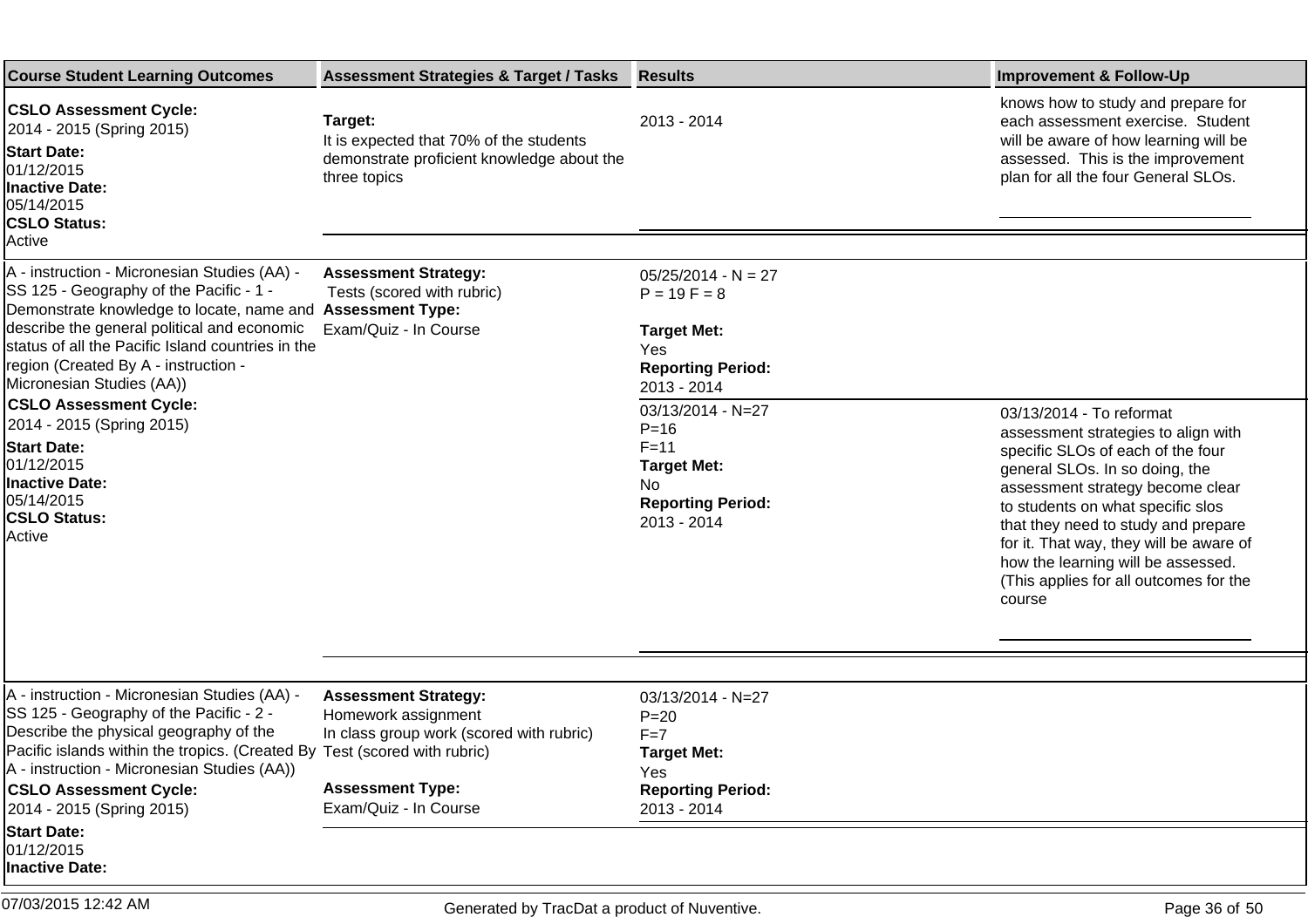| <b>Course Student Learning Outcomes</b>                                                                                                                                                                                                                                                                                                        | <b>Assessment Strategies &amp; Target / Tasks</b>                                                                                                  | <b>Results</b>                                                                                                                      | <b>Improvement &amp; Follow-Up</b>                                                                                                                                                                                                                                                                                                                              |
|------------------------------------------------------------------------------------------------------------------------------------------------------------------------------------------------------------------------------------------------------------------------------------------------------------------------------------------------|----------------------------------------------------------------------------------------------------------------------------------------------------|-------------------------------------------------------------------------------------------------------------------------------------|-----------------------------------------------------------------------------------------------------------------------------------------------------------------------------------------------------------------------------------------------------------------------------------------------------------------------------------------------------------------|
| <b>CSLO Assessment Cycle:</b><br>2014 - 2015 (Spring 2015)<br><b>Start Date:</b><br>01/12/2015<br><b>Inactive Date:</b><br>05/14/2015<br><b>CSLO Status:</b><br>Active                                                                                                                                                                         | Target:<br>It is expected that 70% of the students<br>demonstrate proficient knowledge about the<br>three topics                                   | 2013 - 2014                                                                                                                         | knows how to study and prepare for<br>each assessment exercise. Student<br>will be aware of how learning will be<br>assessed. This is the improvement<br>plan for all the four General SLOs.                                                                                                                                                                    |
| A - instruction - Micronesian Studies (AA) -<br>SS 125 - Geography of the Pacific - 1 -<br>Demonstrate knowledge to locate, name and<br>describe the general political and economic<br>status of all the Pacific Island countries in the<br>region (Created By A - instruction -<br>Micronesian Studies (AA))<br><b>CSLO Assessment Cycle:</b> | <b>Assessment Strategy:</b><br>Tests (scored with rubric)<br><b>Assessment Type:</b><br>Exam/Quiz - In Course                                      | $05/25/2014 - N = 27$<br>$P = 19F = 8$<br><b>Target Met:</b><br>Yes<br><b>Reporting Period:</b><br>2013 - 2014<br>03/13/2014 - N=27 | 03/13/2014 - To reformat                                                                                                                                                                                                                                                                                                                                        |
| 2014 - 2015 (Spring 2015)<br><b>Start Date:</b><br>01/12/2015<br>Inactive Date:<br>05/14/2015<br><b>CSLO Status:</b><br>Active                                                                                                                                                                                                                 |                                                                                                                                                    | $P = 16$<br>$F = 11$<br><b>Target Met:</b><br>No<br><b>Reporting Period:</b><br>2013 - 2014                                         | assessment strategies to align with<br>specific SLOs of each of the four<br>general SLOs. In so doing, the<br>assessment strategy become clear<br>to students on what specific slos<br>that they need to study and prepare<br>for it. That way, they will be aware of<br>how the learning will be assessed.<br>(This applies for all outcomes for the<br>course |
|                                                                                                                                                                                                                                                                                                                                                |                                                                                                                                                    |                                                                                                                                     |                                                                                                                                                                                                                                                                                                                                                                 |
| A - instruction - Micronesian Studies (AA) -<br>SS 125 - Geography of the Pacific - 2 -<br>Describe the physical geography of the<br>Pacific islands within the tropics. (Created By Test (scored with rubric)<br>A - instruction - Micronesian Studies (AA))<br><b>CSLO Assessment Cycle:</b><br>2014 - 2015 (Spring 2015)                    | <b>Assessment Strategy:</b><br>Homework assignment<br>In class group work (scored with rubric)<br><b>Assessment Type:</b><br>Exam/Quiz - In Course | 03/13/2014 - N=27<br>$P = 20$<br>$F = 7$<br><b>Target Met:</b><br>Yes<br><b>Reporting Period:</b><br>2013 - 2014                    |                                                                                                                                                                                                                                                                                                                                                                 |
| <b>Start Date:</b><br>01/12/2015<br><b>Inactive Date:</b>                                                                                                                                                                                                                                                                                      |                                                                                                                                                    |                                                                                                                                     |                                                                                                                                                                                                                                                                                                                                                                 |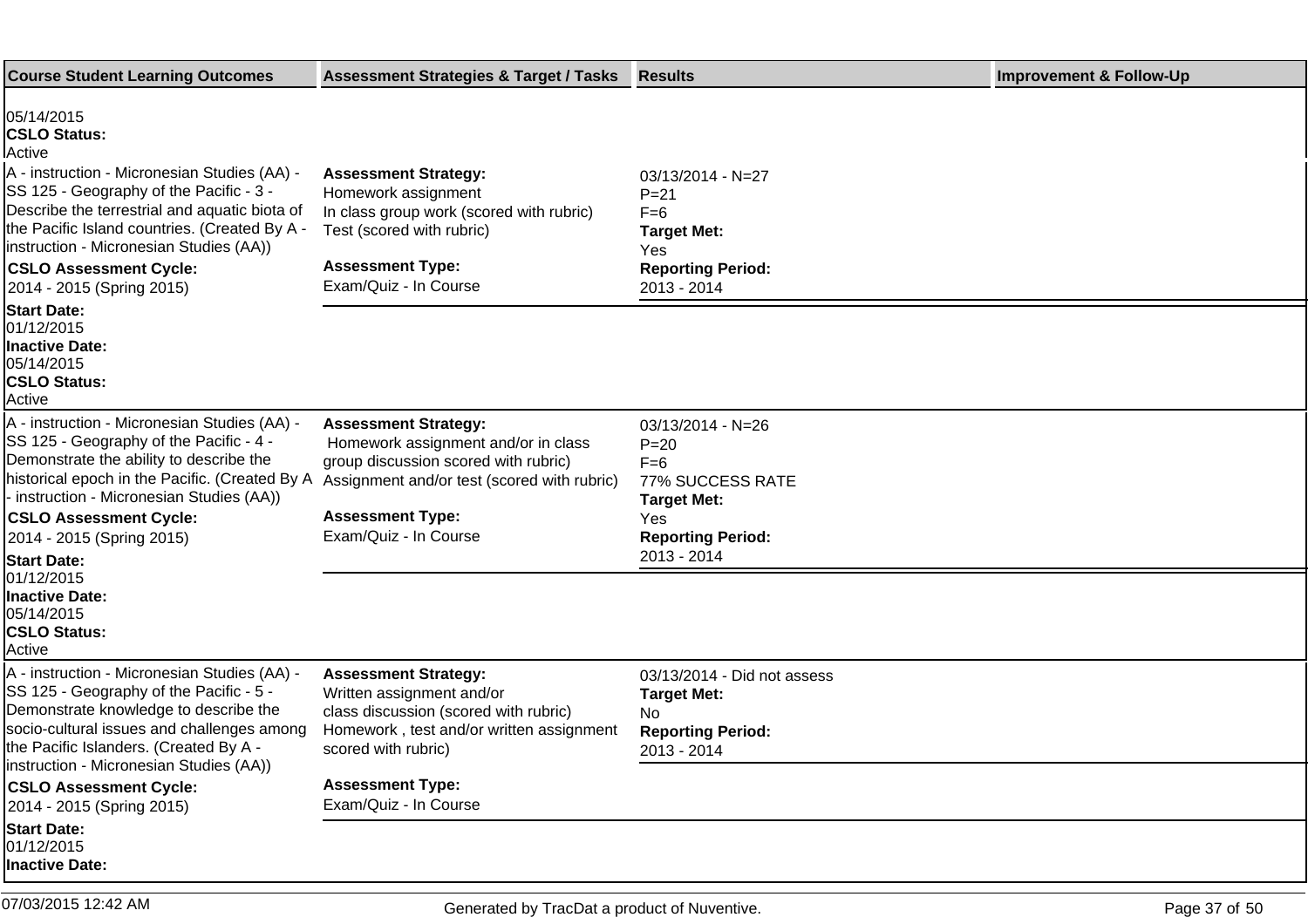| <b>Course Student Learning Outcomes</b>                                                                                                                                                                                                                                                                              | <b>Assessment Strategies &amp; Target / Tasks</b>                                                                                                                    | <b>Results</b>                                                                                           | <b>Improvement &amp; Follow-Up</b> |
|----------------------------------------------------------------------------------------------------------------------------------------------------------------------------------------------------------------------------------------------------------------------------------------------------------------------|----------------------------------------------------------------------------------------------------------------------------------------------------------------------|----------------------------------------------------------------------------------------------------------|------------------------------------|
| 05/14/2015<br><b>CSLO Status:</b><br>Active<br>A - instruction - Micronesian Studies (AA) -<br>SS 125 - Geography of the Pacific - 3 -<br>Describe the terrestrial and aquatic biota of<br>the Pacific Island countries. (Created By A -<br>instruction - Micronesian Studies (AA))<br><b>CSLO Assessment Cycle:</b> | <b>Assessment Strategy:</b><br>Homework assignment<br>In class group work (scored with rubric)<br>Test (scored with rubric)<br><b>Assessment Type:</b>               | $03/13/2014 - N=27$<br>$P = 21$<br>$F=6$<br><b>Target Met:</b><br><b>Yes</b><br><b>Reporting Period:</b> |                                    |
| 2014 - 2015 (Spring 2015)                                                                                                                                                                                                                                                                                            | Exam/Quiz - In Course                                                                                                                                                | 2013 - 2014                                                                                              |                                    |
| <b>Start Date:</b><br>01/12/2015<br><b>Inactive Date:</b><br>05/14/2015<br><b>CSLO Status:</b><br>Active                                                                                                                                                                                                             |                                                                                                                                                                      |                                                                                                          |                                    |
| A - instruction - Micronesian Studies (AA) -<br>SS 125 - Geography of the Pacific - 4 -<br>Demonstrate the ability to describe the<br>historical epoch in the Pacific. (Created By A<br>- instruction - Micronesian Studies (AA))                                                                                    | <b>Assessment Strategy:</b><br>Homework assignment and/or in class<br>group discussion scored with rubric)<br>Assignment and/or test (scored with rubric)            | 03/13/2014 - N=26<br>$P = 20$<br>$F=6$<br>77% SUCCESS RATE<br><b>Target Met:</b>                         |                                    |
| <b>CSLO Assessment Cycle:</b><br>2014 - 2015 (Spring 2015)                                                                                                                                                                                                                                                           | <b>Assessment Type:</b><br>Exam/Quiz - In Course                                                                                                                     | <b>Yes</b><br><b>Reporting Period:</b><br>2013 - 2014                                                    |                                    |
| <b>Start Date:</b><br>01/12/2015<br><b>Inactive Date:</b><br>05/14/2015<br><b>CSLO Status:</b><br>Active                                                                                                                                                                                                             |                                                                                                                                                                      |                                                                                                          |                                    |
| A - instruction - Micronesian Studies (AA) -<br>SS 125 - Geography of the Pacific - 5 -<br>Demonstrate knowledge to describe the<br>socio-cultural issues and challenges among<br>the Pacific Islanders. (Created By A -                                                                                             | <b>Assessment Strategy:</b><br>Written assignment and/or<br>class discussion (scored with rubric)<br>Homework, test and/or written assignment<br>scored with rubric) | 03/13/2014 - Did not assess<br><b>Target Met:</b><br>No.<br><b>Reporting Period:</b><br>2013 - 2014      |                                    |
| instruction - Micronesian Studies (AA))<br><b>CSLO Assessment Cycle:</b><br>2014 - 2015 (Spring 2015)                                                                                                                                                                                                                | <b>Assessment Type:</b><br>Exam/Quiz - In Course                                                                                                                     |                                                                                                          |                                    |
| <b>Start Date:</b><br>01/12/2015<br><b>Inactive Date:</b>                                                                                                                                                                                                                                                            |                                                                                                                                                                      |                                                                                                          |                                    |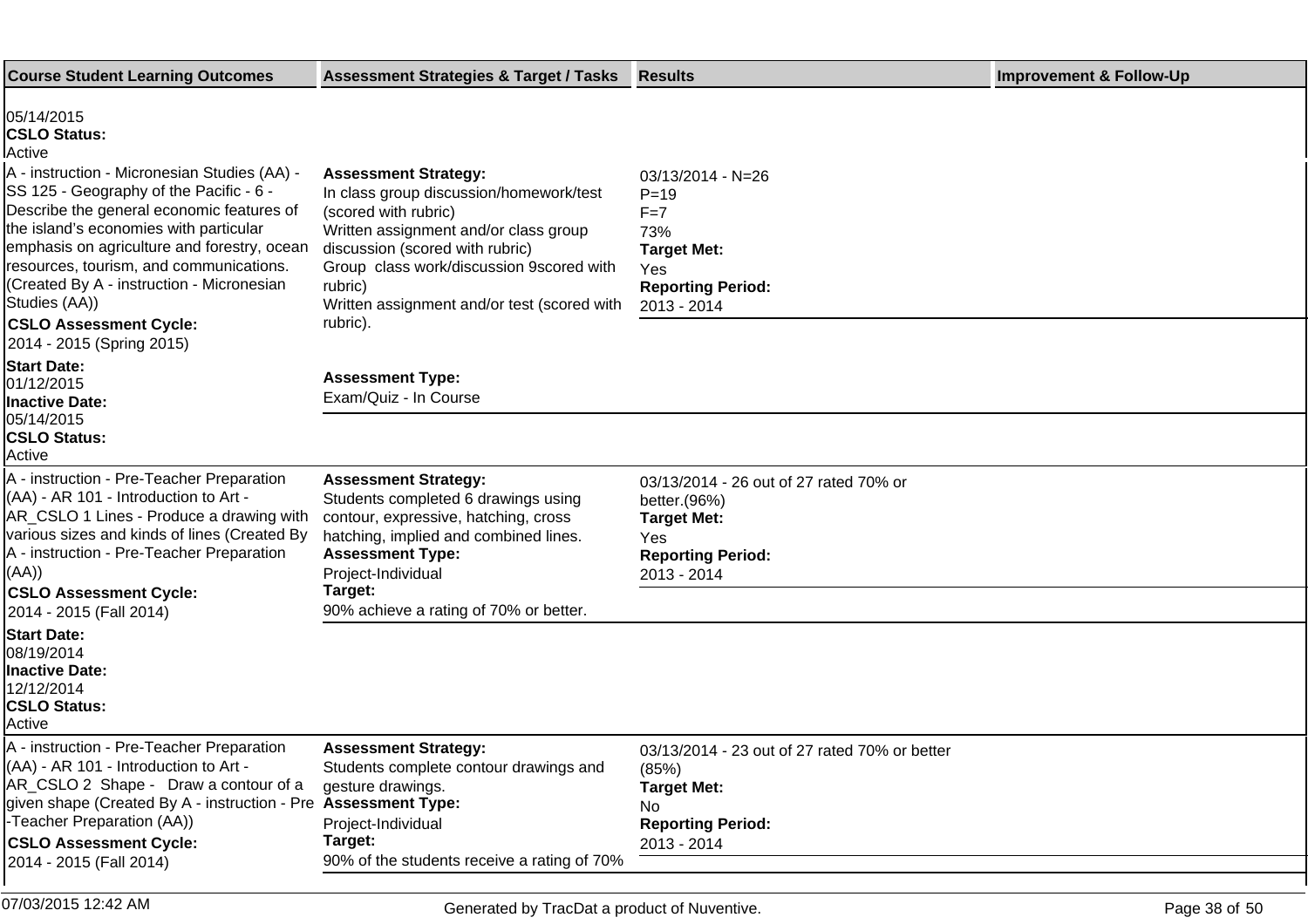| <b>Course Student Learning Outcomes</b>                                                                                                                                                                                                                                                                                                                                                                                                             | <b>Assessment Strategies &amp; Target / Tasks</b>                                                                                                                                                                                                                                            | <b>Results</b>                                                                                                                 | <b>Improvement &amp; Follow-Up</b> |
|-----------------------------------------------------------------------------------------------------------------------------------------------------------------------------------------------------------------------------------------------------------------------------------------------------------------------------------------------------------------------------------------------------------------------------------------------------|----------------------------------------------------------------------------------------------------------------------------------------------------------------------------------------------------------------------------------------------------------------------------------------------|--------------------------------------------------------------------------------------------------------------------------------|------------------------------------|
| 05/14/2015<br><b>CSLO Status:</b><br>Active<br>A - instruction - Micronesian Studies (AA) -<br>SS 125 - Geography of the Pacific - 6 -<br>Describe the general economic features of<br>the island's economies with particular<br>emphasis on agriculture and forestry, ocean<br>resources, tourism, and communications.<br>(Created By A - instruction - Micronesian<br>Studies (AA))<br><b>CSLO Assessment Cycle:</b><br>2014 - 2015 (Spring 2015) | <b>Assessment Strategy:</b><br>In class group discussion/homework/test<br>(scored with rubric)<br>Written assignment and/or class group<br>discussion (scored with rubric)<br>Group class work/discussion 9scored with<br>rubric)<br>Written assignment and/or test (scored with<br>rubric). | 03/13/2014 - N=26<br>$P = 19$<br>$F = 7$<br>73%<br><b>Target Met:</b><br>Yes<br><b>Reporting Period:</b><br>2013 - 2014        |                                    |
| <b>Start Date:</b><br>01/12/2015<br><b>Inactive Date:</b>                                                                                                                                                                                                                                                                                                                                                                                           | <b>Assessment Type:</b><br>Exam/Quiz - In Course                                                                                                                                                                                                                                             |                                                                                                                                |                                    |
| 05/14/2015<br><b>CSLO Status:</b><br>Active                                                                                                                                                                                                                                                                                                                                                                                                         |                                                                                                                                                                                                                                                                                              |                                                                                                                                |                                    |
| A - instruction - Pre-Teacher Preparation<br>(AA) - AR 101 - Introduction to Art -<br>AR_CSLO 1 Lines - Produce a drawing with<br>various sizes and kinds of lines (Created By<br>A - instruction - Pre-Teacher Preparation<br>(AA))<br><b>CSLO Assessment Cycle:</b><br>2014 - 2015 (Fall 2014)                                                                                                                                                    | <b>Assessment Strategy:</b><br>Students completed 6 drawings using<br>contour, expressive, hatching, cross<br>hatching, implied and combined lines.<br><b>Assessment Type:</b><br>Project-Individual<br>Target:<br>90% achieve a rating of 70% or better.                                    | 03/13/2014 - 26 out of 27 rated 70% or<br>better.(96%)<br><b>Target Met:</b><br>Yes<br><b>Reporting Period:</b><br>2013 - 2014 |                                    |
| <b>Start Date:</b><br>08/19/2014<br><b>Inactive Date:</b><br>12/12/2014<br><b>CSLO Status:</b><br>Active                                                                                                                                                                                                                                                                                                                                            |                                                                                                                                                                                                                                                                                              |                                                                                                                                |                                    |
| A - instruction - Pre-Teacher Preparation<br>(AA) - AR 101 - Introduction to Art -<br>AR_CSLO 2 Shape - Draw a contour of a<br>given shape (Created By A - instruction - Pre Assessment Type:<br>-Teacher Preparation (AA))<br><b>CSLO Assessment Cycle:</b><br>2014 - 2015 (Fall 2014)                                                                                                                                                             | <b>Assessment Strategy:</b><br>Students complete contour drawings and<br>gesture drawings.<br>Project-Individual<br>Target:<br>90% of the students receive a rating of 70%                                                                                                                   | 03/13/2014 - 23 out of 27 rated 70% or better<br>(85%)<br><b>Target Met:</b><br>No.<br><b>Reporting Period:</b><br>2013 - 2014 |                                    |

07/03/2015 12:42 AM Generated by TracDat a product of Nuventive. Page 38 of 50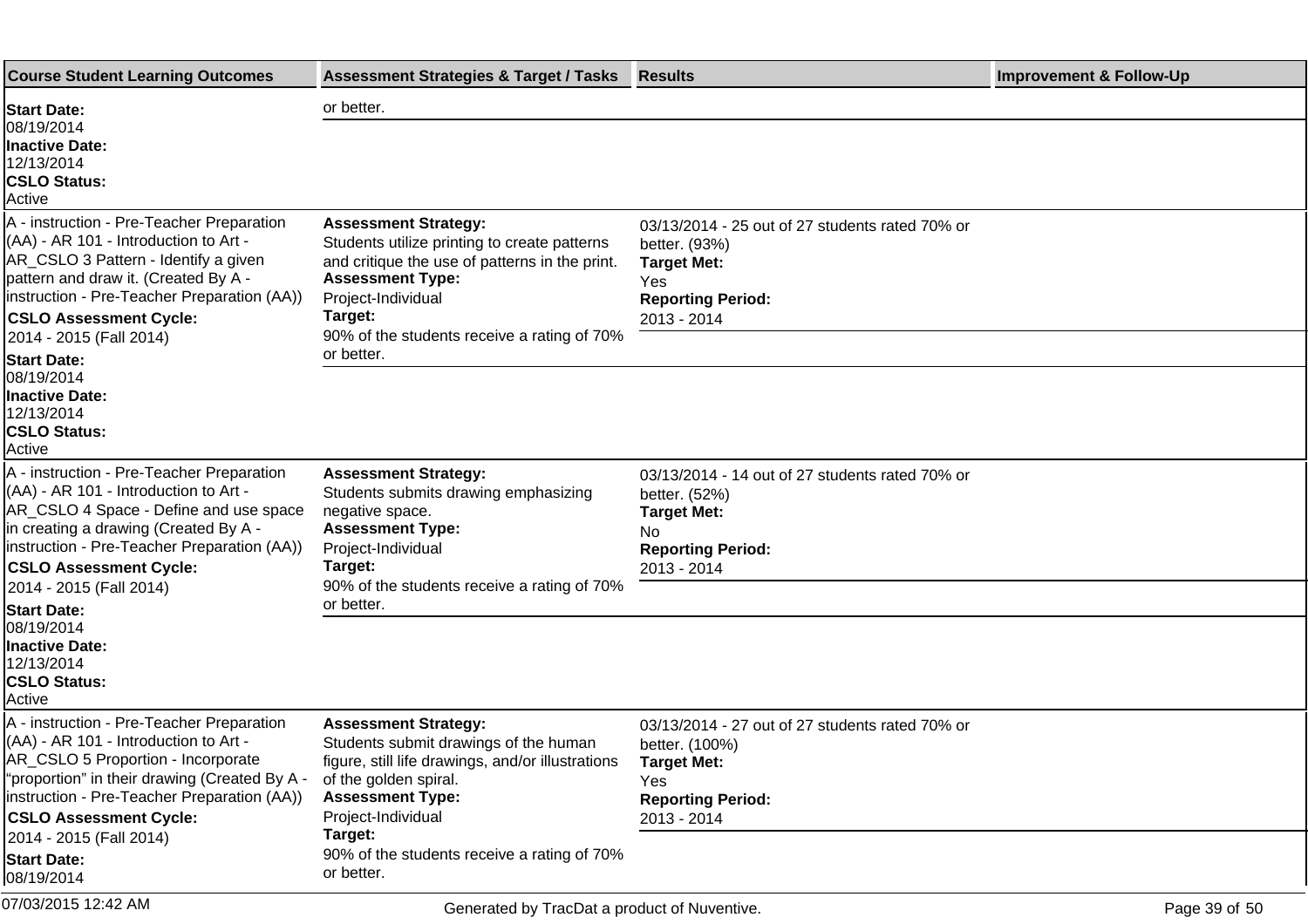| <b>Course Student Learning Outcomes</b>                                                                                                                                                                                                                  | <b>Assessment Strategies &amp; Target / Tasks</b>                                                                                                                                         | <b>Results</b>                                                                                                                           | <b>Improvement &amp; Follow-Up</b> |
|----------------------------------------------------------------------------------------------------------------------------------------------------------------------------------------------------------------------------------------------------------|-------------------------------------------------------------------------------------------------------------------------------------------------------------------------------------------|------------------------------------------------------------------------------------------------------------------------------------------|------------------------------------|
| <b>Start Date:</b>                                                                                                                                                                                                                                       | or better.                                                                                                                                                                                |                                                                                                                                          |                                    |
| 08/19/2014<br><b>Inactive Date:</b><br>12/13/2014<br><b>CSLO Status:</b><br>Active                                                                                                                                                                       |                                                                                                                                                                                           |                                                                                                                                          |                                    |
| A - instruction - Pre-Teacher Preparation<br>$(AA)$ - AR 101 - Introduction to Art -<br>AR_CSLO 3 Pattern - Identify a given<br>pattern and draw it. (Created By A -<br>linstruction - Pre-Teacher Preparation (AA))<br><b>CSLO Assessment Cycle:</b>    | <b>Assessment Strategy:</b><br>Students utilize printing to create patterns<br>and critique the use of patterns in the print.<br><b>Assessment Type:</b><br>Project-Individual<br>Target: | 03/13/2014 - 25 out of 27 students rated 70% or<br>better. (93%)<br><b>Target Met:</b><br>Yes<br><b>Reporting Period:</b><br>2013 - 2014 |                                    |
| 2014 - 2015 (Fall 2014)<br><b>Start Date:</b>                                                                                                                                                                                                            | 90% of the students receive a rating of 70%<br>or better.                                                                                                                                 |                                                                                                                                          |                                    |
| 08/19/2014<br><b>Inactive Date:</b><br>12/13/2014<br><b>CSLO Status:</b><br>Active                                                                                                                                                                       |                                                                                                                                                                                           |                                                                                                                                          |                                    |
| A - instruction - Pre-Teacher Preparation<br>$(AA)$ - AR 101 - Introduction to Art -<br>AR_CSLO 4 Space - Define and use space<br>in creating a drawing (Created By A -<br>linstruction - Pre-Teacher Preparation (AA))<br><b>CSLO Assessment Cycle:</b> | <b>Assessment Strategy:</b><br>Students submits drawing emphasizing<br>negative space.<br><b>Assessment Type:</b><br>Project-Individual<br>Target:                                        | 03/13/2014 - 14 out of 27 students rated 70% or<br>better. (52%)<br><b>Target Met:</b><br>No.<br><b>Reporting Period:</b><br>2013 - 2014 |                                    |
| 2014 - 2015 (Fall 2014)<br><b>Start Date:</b>                                                                                                                                                                                                            | 90% of the students receive a rating of 70%<br>or better.                                                                                                                                 |                                                                                                                                          |                                    |
| 08/19/2014<br><b>Inactive Date:</b><br>12/13/2014<br><b>CSLO Status:</b><br>Active                                                                                                                                                                       |                                                                                                                                                                                           |                                                                                                                                          |                                    |
| A - instruction - Pre-Teacher Preparation<br>(AA) - AR 101 - Introduction to Art -<br>AR_CSLO 5 Proportion - Incorporate<br>"proportion" in their drawing (Created By A<br>Instruction - Pre-Teacher Preparation (AA))                                   | <b>Assessment Strategy:</b><br>Students submit drawings of the human<br>figure, still life drawings, and/or illustrations<br>of the golden spiral.<br><b>Assessment Type:</b>             | 03/13/2014 - 27 out of 27 students rated 70% or<br>better. (100%)<br><b>Target Met:</b><br>Yes<br><b>Reporting Period:</b>               |                                    |
| <b>CSLO Assessment Cycle:</b><br>2014 - 2015 (Fall 2014)                                                                                                                                                                                                 | Project-Individual<br>Target:                                                                                                                                                             | 2013 - 2014                                                                                                                              |                                    |
| <b>Start Date:</b><br>08/19/2014                                                                                                                                                                                                                         | 90% of the students receive a rating of 70%<br>or better.                                                                                                                                 |                                                                                                                                          |                                    |
| 07/03/2015 12:42 AM                                                                                                                                                                                                                                      | Generated by TracDat a product of Nuventive.                                                                                                                                              |                                                                                                                                          | Page 39 of 50                      |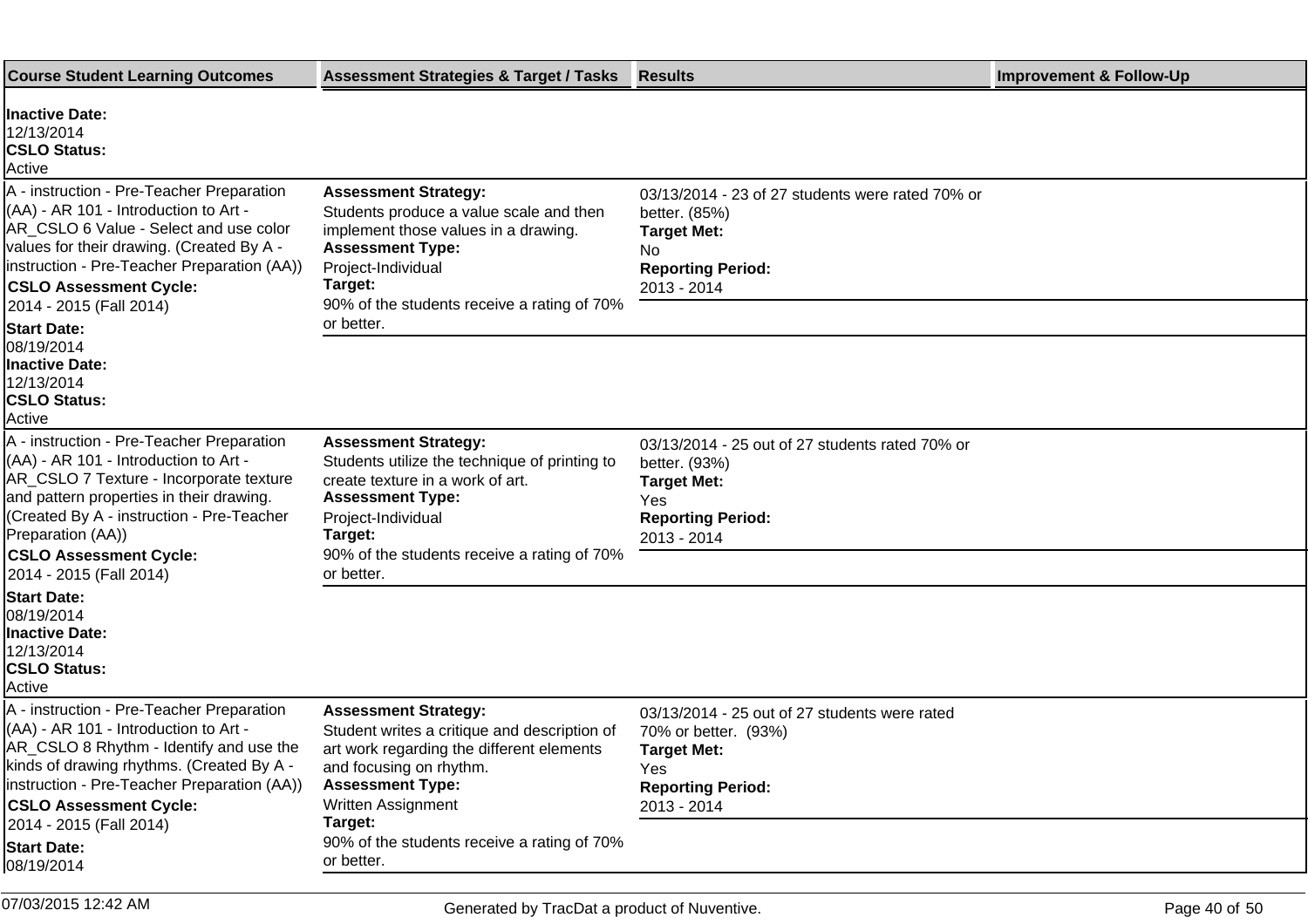| <b>Course Student Learning Outcomes</b>                                                                                                                                                                                                                                                                        | <b>Assessment Strategies &amp; Target / Tasks</b>                                                                                                                                                                                                              | <b>Results</b>                                                                                                                                | <b>Improvement &amp; Follow-Up</b> |
|----------------------------------------------------------------------------------------------------------------------------------------------------------------------------------------------------------------------------------------------------------------------------------------------------------------|----------------------------------------------------------------------------------------------------------------------------------------------------------------------------------------------------------------------------------------------------------------|-----------------------------------------------------------------------------------------------------------------------------------------------|------------------------------------|
| <b>Inactive Date:</b><br>12/13/2014<br><b>CSLO Status:</b><br>Active                                                                                                                                                                                                                                           |                                                                                                                                                                                                                                                                |                                                                                                                                               |                                    |
| A - instruction - Pre-Teacher Preparation<br>(AA) - AR 101 - Introduction to Art -<br>AR CSLO 6 Value - Select and use color<br>values for their drawing. (Created By A -<br>linstruction - Pre-Teacher Preparation (AA))<br><b>CSLO Assessment Cycle:</b><br>2014 - 2015 (Fall 2014)                          | <b>Assessment Strategy:</b><br>Students produce a value scale and then<br>implement those values in a drawing.<br><b>Assessment Type:</b><br>Project-Individual<br>Target:<br>90% of the students receive a rating of 70%                                      | 03/13/2014 - 23 of 27 students were rated 70% or<br>better. (85%)<br><b>Target Met:</b><br>No.<br><b>Reporting Period:</b><br>2013 - 2014     |                                    |
| <b>Start Date:</b><br>08/19/2014<br><b>Inactive Date:</b><br>12/13/2014<br><b>CSLO Status:</b><br>Active                                                                                                                                                                                                       | or better.                                                                                                                                                                                                                                                     |                                                                                                                                               |                                    |
| A - instruction - Pre-Teacher Preparation<br>(AA) - AR 101 - Introduction to Art -<br>AR CSLO 7 Texture - Incorporate texture<br>and pattern properties in their drawing.<br>(Created By A - instruction - Pre-Teacher<br>Preparation (AA))<br><b>CSLO Assessment Cycle:</b>                                   | <b>Assessment Strategy:</b><br>Students utilize the technique of printing to<br>create texture in a work of art.<br><b>Assessment Type:</b><br>Project-Individual<br>Target:<br>90% of the students receive a rating of 70%<br>or better.                      | 03/13/2014 - 25 out of 27 students rated 70% or<br>better. (93%)<br><b>Target Met:</b><br>Yes<br><b>Reporting Period:</b><br>2013 - 2014      |                                    |
| 2014 - 2015 (Fall 2014)<br><b>Start Date:</b><br>08/19/2014<br><b>Inactive Date:</b><br>12/13/2014<br><b>CSLO Status:</b><br>Active                                                                                                                                                                            |                                                                                                                                                                                                                                                                |                                                                                                                                               |                                    |
| A - instruction - Pre-Teacher Preparation<br>$(AA)$ - AR 101 - Introduction to Art -<br>AR_CSLO 8 Rhythm - Identify and use the<br>kinds of drawing rhythms. (Created By A -<br>linstruction - Pre-Teacher Preparation (AA))<br><b>CSLO Assessment Cycle:</b><br>2014 - 2015 (Fall 2014)<br><b>Start Date:</b> | <b>Assessment Strategy:</b><br>Student writes a critique and description of<br>art work regarding the different elements<br>and focusing on rhythm.<br><b>Assessment Type:</b><br>Written Assignment<br>Target:<br>90% of the students receive a rating of 70% | 03/13/2014 - 25 out of 27 students were rated<br>70% or better. (93%)<br><b>Target Met:</b><br>Yes<br><b>Reporting Period:</b><br>2013 - 2014 |                                    |
| 08/19/2014<br>07/03/2015 12:42 AM                                                                                                                                                                                                                                                                              | or better.                                                                                                                                                                                                                                                     |                                                                                                                                               |                                    |
|                                                                                                                                                                                                                                                                                                                | Generated by TracDat a product of Nuventive.                                                                                                                                                                                                                   |                                                                                                                                               | Page 40 of 50                      |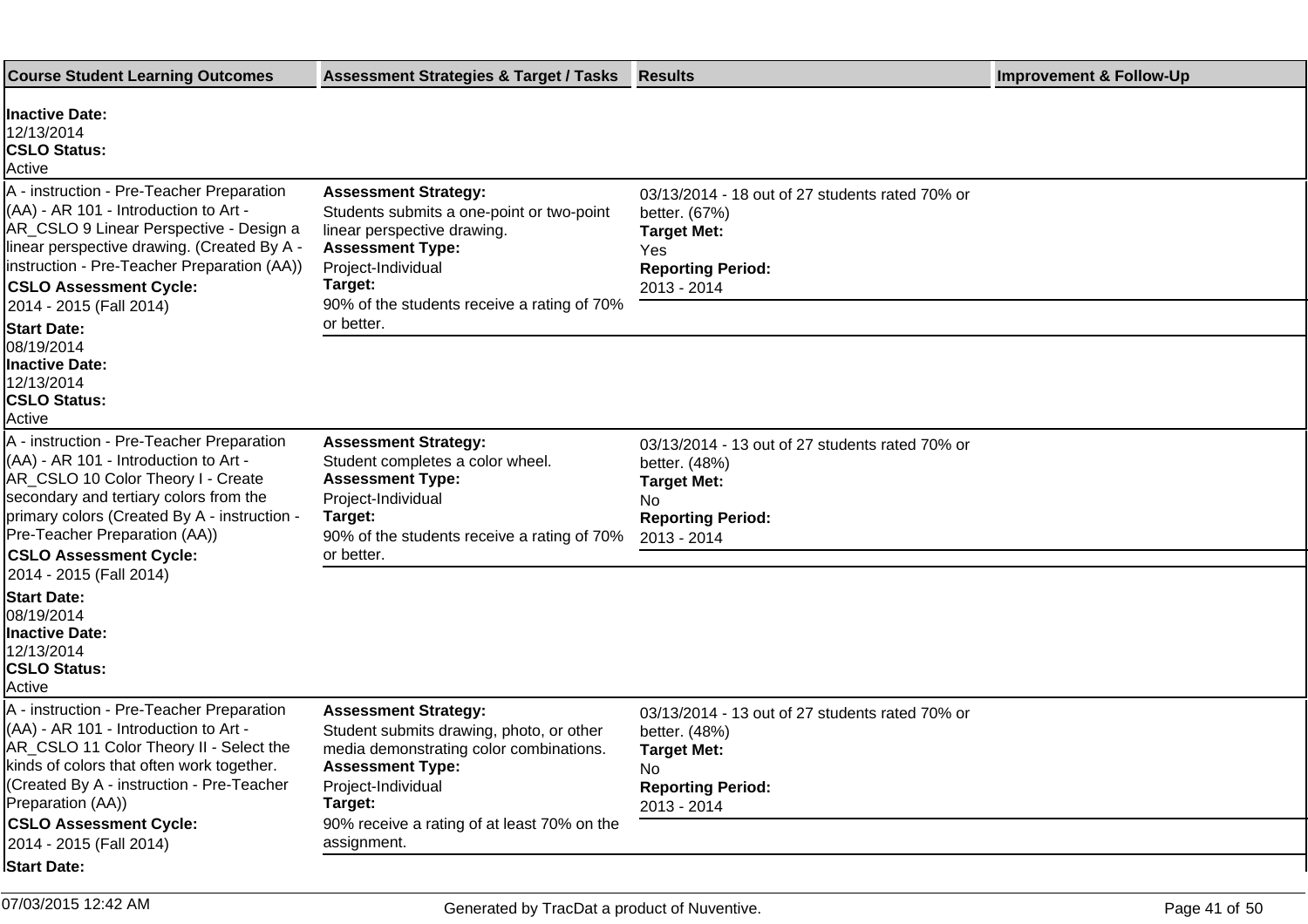| <b>Inactive Date:</b><br>12/13/2014<br><b>CSLO Status:</b><br>Active<br>A - instruction - Pre-Teacher Preparation<br><b>Assessment Strategy:</b><br>03/13/2014 - 18 out of 27 students rated 70% or<br>(AA) - AR 101 - Introduction to Art -<br>Students submits a one-point or two-point<br>better. (67%)<br>AR_CSLO 9 Linear Perspective - Design a<br>linear perspective drawing.<br><b>Target Met:</b><br>linear perspective drawing. (Created By A -<br><b>Assessment Type:</b><br><b>Yes</b><br>instruction - Pre-Teacher Preparation (AA))<br>Project-Individual<br><b>Reporting Period:</b><br>Target:<br><b>CSLO Assessment Cycle:</b><br>2013 - 2014<br>90% of the students receive a rating of 70%<br>2014 - 2015 (Fall 2014)<br>or better.<br><b>Start Date:</b><br>08/19/2014<br><b>Inactive Date:</b><br>12/13/2014 |  |
|-----------------------------------------------------------------------------------------------------------------------------------------------------------------------------------------------------------------------------------------------------------------------------------------------------------------------------------------------------------------------------------------------------------------------------------------------------------------------------------------------------------------------------------------------------------------------------------------------------------------------------------------------------------------------------------------------------------------------------------------------------------------------------------------------------------------------------------|--|
|                                                                                                                                                                                                                                                                                                                                                                                                                                                                                                                                                                                                                                                                                                                                                                                                                                   |  |
|                                                                                                                                                                                                                                                                                                                                                                                                                                                                                                                                                                                                                                                                                                                                                                                                                                   |  |
| <b>CSLO Status:</b><br>Active                                                                                                                                                                                                                                                                                                                                                                                                                                                                                                                                                                                                                                                                                                                                                                                                     |  |
| A - instruction - Pre-Teacher Preparation<br><b>Assessment Strategy:</b><br>03/13/2014 - 13 out of 27 students rated 70% or<br>(AA) - AR 101 - Introduction to Art -<br>Student completes a color wheel.<br>better. (48%)<br>AR_CSLO 10 Color Theory I - Create<br><b>Assessment Type:</b><br><b>Target Met:</b><br>secondary and tertiary colors from the<br>Project-Individual<br>No.<br>primary colors (Created By A - instruction -<br>Target:<br><b>Reporting Period:</b><br>Pre-Teacher Preparation (AA))<br>90% of the students receive a rating of 70%<br>2013 - 2014                                                                                                                                                                                                                                                     |  |
| or better.<br><b>CSLO Assessment Cycle:</b><br>2014 - 2015 (Fall 2014)                                                                                                                                                                                                                                                                                                                                                                                                                                                                                                                                                                                                                                                                                                                                                            |  |
| <b>Start Date:</b><br>08/19/2014<br><b>Inactive Date:</b><br>12/13/2014<br><b>CSLO Status:</b><br>Active                                                                                                                                                                                                                                                                                                                                                                                                                                                                                                                                                                                                                                                                                                                          |  |
| A - instruction - Pre-Teacher Preparation<br><b>Assessment Strategy:</b><br>03/13/2014 - 13 out of 27 students rated 70% or<br>(AA) - AR 101 - Introduction to Art -<br>Student submits drawing, photo, or other<br>better. (48%)<br>AR_CSLO 11 Color Theory II - Select the<br>media demonstrating color combinations.<br><b>Target Met:</b><br>kinds of colors that often work together.<br><b>Assessment Type:</b><br>No<br>(Created By A - instruction - Pre-Teacher<br>Project-Individual<br><b>Reporting Period:</b><br>Preparation (AA))<br>Target:<br>2013 - 2014<br><b>CSLO Assessment Cycle:</b><br>90% receive a rating of at least 70% on the<br>assignment.<br>2014 - 2015 (Fall 2014)                                                                                                                               |  |
| <b>Start Date:</b>                                                                                                                                                                                                                                                                                                                                                                                                                                                                                                                                                                                                                                                                                                                                                                                                                |  |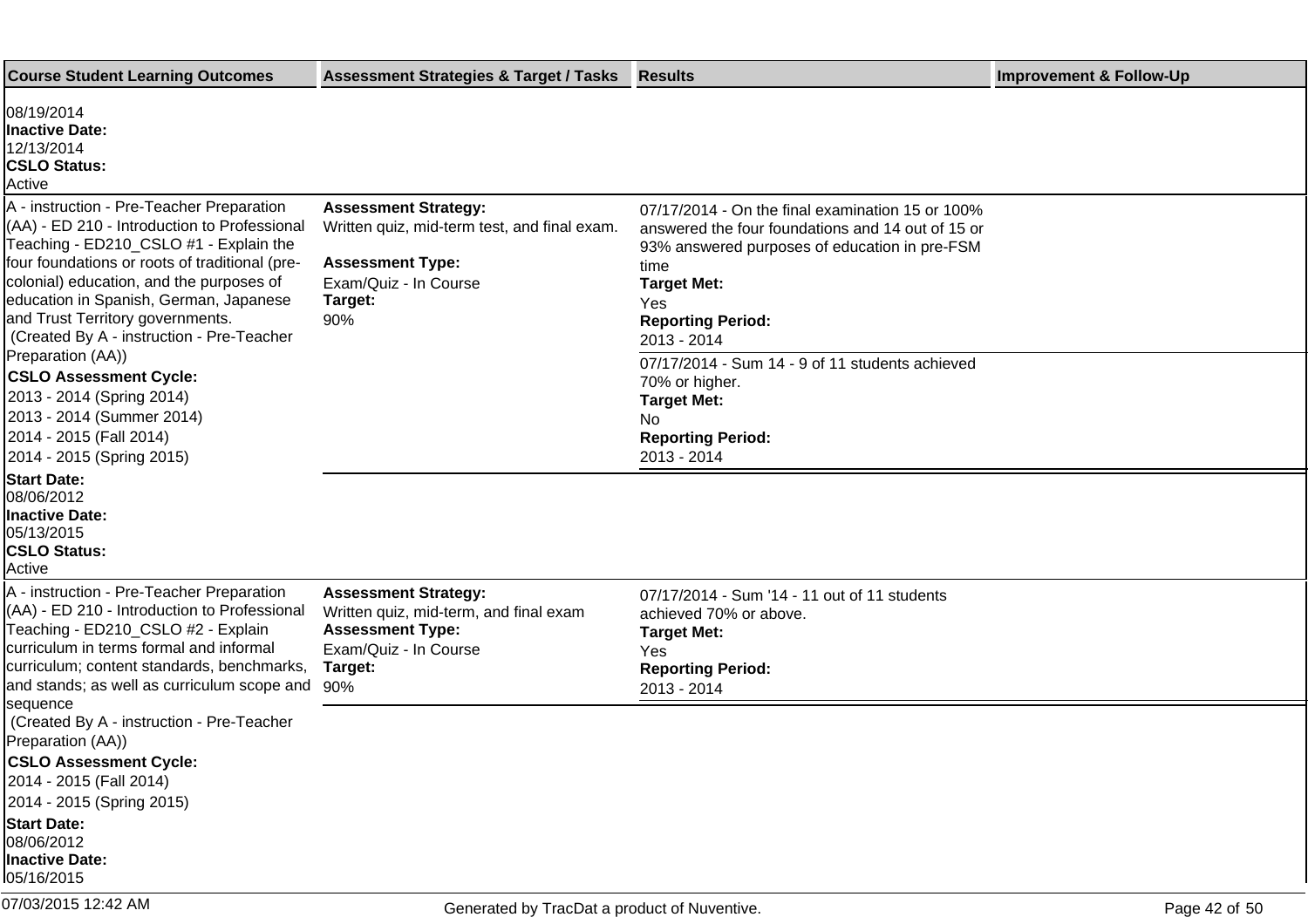| <b>Course Student Learning Outcomes</b>                                                                                                                                                                                                                                                                                                                                                                                                                                                                 | <b>Assessment Strategies &amp; Target / Tasks</b>                                                                                                 | <b>Results</b>                                                                                                                                                                                                                                                                                                                                                      | <b>Improvement &amp; Follow-Up</b> |
|---------------------------------------------------------------------------------------------------------------------------------------------------------------------------------------------------------------------------------------------------------------------------------------------------------------------------------------------------------------------------------------------------------------------------------------------------------------------------------------------------------|---------------------------------------------------------------------------------------------------------------------------------------------------|---------------------------------------------------------------------------------------------------------------------------------------------------------------------------------------------------------------------------------------------------------------------------------------------------------------------------------------------------------------------|------------------------------------|
| 08/19/2014<br><b>Inactive Date:</b><br>12/13/2014<br><b>CSLO Status:</b><br>Active                                                                                                                                                                                                                                                                                                                                                                                                                      |                                                                                                                                                   |                                                                                                                                                                                                                                                                                                                                                                     |                                    |
| A - instruction - Pre-Teacher Preparation<br>(AA) - ED 210 - Introduction to Professional<br>Teaching - ED210_CSLO #1 - Explain the<br>four foundations or roots of traditional (pre-<br>colonial) education, and the purposes of<br>education in Spanish, German, Japanese<br>and Trust Territory governments.<br>(Created By A - instruction - Pre-Teacher<br>Preparation (AA))<br><b>CSLO Assessment Cycle:</b><br>2013 - 2014 (Spring 2014)<br>2013 - 2014 (Summer 2014)<br>2014 - 2015 (Fall 2014) | <b>Assessment Strategy:</b><br>Written quiz, mid-term test, and final exam.<br><b>Assessment Type:</b><br>Exam/Quiz - In Course<br>Target:<br>90% | 07/17/2014 - On the final examination 15 or 100%<br>answered the four foundations and 14 out of 15 or<br>93% answered purposes of education in pre-FSM<br>time<br><b>Target Met:</b><br>Yes<br><b>Reporting Period:</b><br>2013 - 2014<br>07/17/2014 - Sum 14 - 9 of 11 students achieved<br>70% or higher.<br><b>Target Met:</b><br>No<br><b>Reporting Period:</b> |                                    |
| 2014 - 2015 (Spring 2015)<br><b>Start Date:</b><br>08/06/2012<br><b>Inactive Date:</b><br>05/13/2015<br><b>CSLO Status:</b><br>Active                                                                                                                                                                                                                                                                                                                                                                   |                                                                                                                                                   | 2013 - 2014                                                                                                                                                                                                                                                                                                                                                         |                                    |
| A - instruction - Pre-Teacher Preparation<br>(AA) - ED 210 - Introduction to Professional<br>Teaching - ED210_CSLO #2 - Explain<br>curriculum in terms formal and informal<br>curriculum; content standards, benchmarks,<br>and stands; as well as curriculum scope and                                                                                                                                                                                                                                 | <b>Assessment Strategy:</b><br>Written quiz, mid-term, and final exam<br><b>Assessment Type:</b><br>Exam/Quiz - In Course<br>Target:<br>90%       | 07/17/2014 - Sum '14 - 11 out of 11 students<br>achieved 70% or above.<br><b>Target Met:</b><br>Yes<br><b>Reporting Period:</b><br>2013 - 2014                                                                                                                                                                                                                      |                                    |
| sequence<br>(Created By A - instruction - Pre-Teacher<br>Preparation (AA))<br><b>CSLO Assessment Cycle:</b><br>2014 - 2015 (Fall 2014)<br>2014 - 2015 (Spring 2015)<br><b>Start Date:</b><br>08/06/2012<br><b>Inactive Date:</b><br>05/16/2015                                                                                                                                                                                                                                                          |                                                                                                                                                   |                                                                                                                                                                                                                                                                                                                                                                     |                                    |
| 07/03/2015 12:42 AM                                                                                                                                                                                                                                                                                                                                                                                                                                                                                     | Generated by TracDat a product of Nuventive.                                                                                                      |                                                                                                                                                                                                                                                                                                                                                                     | Page 42 of 50                      |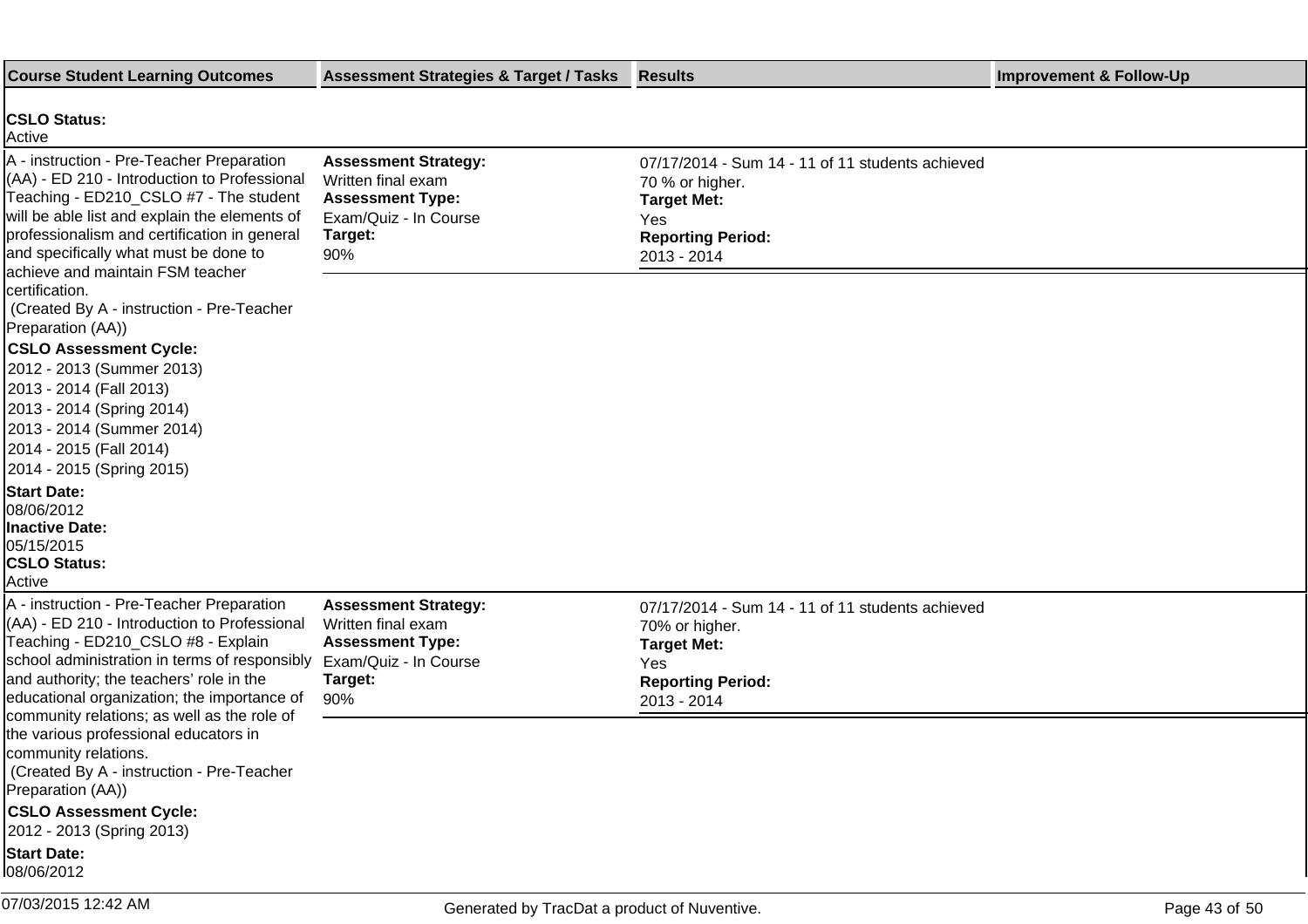| <b>Course Student Learning Outcomes</b>                                                                                                                                                                                                                                                                           | <b>Assessment Strategies &amp; Target / Tasks</b>                                                                       | <b>Results</b>                                                                                                                              | <b>Improvement &amp; Follow-Up</b> |
|-------------------------------------------------------------------------------------------------------------------------------------------------------------------------------------------------------------------------------------------------------------------------------------------------------------------|-------------------------------------------------------------------------------------------------------------------------|---------------------------------------------------------------------------------------------------------------------------------------------|------------------------------------|
| <b>CSLO Status:</b><br>Active                                                                                                                                                                                                                                                                                     |                                                                                                                         |                                                                                                                                             |                                    |
| A - instruction - Pre-Teacher Preparation<br>(AA) - ED 210 - Introduction to Professional<br>Teaching - ED210_CSLO #7 - The student<br>will be able list and explain the elements of<br>professionalism and certification in general<br>and specifically what must be done to<br>achieve and maintain FSM teacher | <b>Assessment Strategy:</b><br>Written final exam<br><b>Assessment Type:</b><br>Exam/Quiz - In Course<br>Target:<br>90% | 07/17/2014 - Sum 14 - 11 of 11 students achieved<br>70 % or higher.<br><b>Target Met:</b><br>Yes<br><b>Reporting Period:</b><br>2013 - 2014 |                                    |
| certification.<br>Created By A - instruction - Pre-Teacher<br>Preparation (AA))                                                                                                                                                                                                                                   |                                                                                                                         |                                                                                                                                             |                                    |
| <b>CSLO Assessment Cycle:</b><br>2012 - 2013 (Summer 2013)<br>2013 - 2014 (Fall 2013)<br>2013 - 2014 (Spring 2014)<br>2013 - 2014 (Summer 2014)<br>2014 - 2015 (Fall 2014)<br>2014 - 2015 (Spring 2015)                                                                                                           |                                                                                                                         |                                                                                                                                             |                                    |
| <b>Start Date:</b><br>08/06/2012<br>Inactive Date:<br>05/15/2015<br><b>CSLO Status:</b><br>Active                                                                                                                                                                                                                 |                                                                                                                         |                                                                                                                                             |                                    |
| A - instruction - Pre-Teacher Preparation<br>(AA) - ED 210 - Introduction to Professional<br>Teaching - ED210_CSLO #8 - Explain<br>school administration in terms of responsibly<br>and authority; the teachers' role in the<br>educational organization; the importance of                                       | <b>Assessment Strategy:</b><br>Written final exam<br><b>Assessment Type:</b><br>Exam/Quiz - In Course<br>Target:<br>90% | 07/17/2014 - Sum 14 - 11 of 11 students achieved<br>70% or higher.<br><b>Target Met:</b><br>Yes<br><b>Reporting Period:</b><br>2013 - 2014  |                                    |
| community relations; as well as the role of<br>the various professional educators in<br>community relations.<br>(Created By A - instruction - Pre-Teacher<br>Preparation (AA))                                                                                                                                    |                                                                                                                         |                                                                                                                                             |                                    |
| <b>CSLO Assessment Cycle:</b><br>2012 - 2013 (Spring 2013)                                                                                                                                                                                                                                                        |                                                                                                                         |                                                                                                                                             |                                    |
| <b>Start Date:</b><br>08/06/2012                                                                                                                                                                                                                                                                                  |                                                                                                                         |                                                                                                                                             |                                    |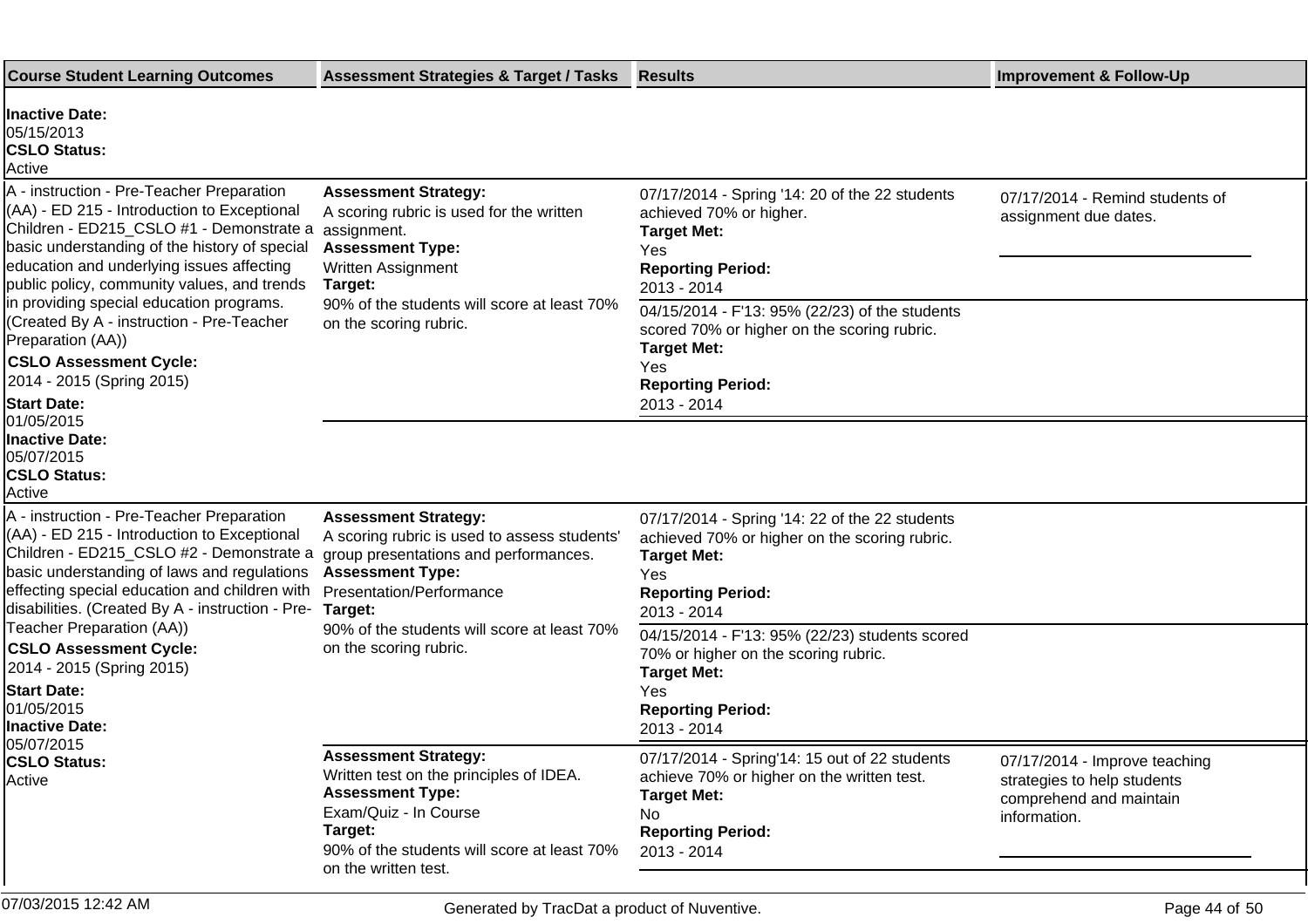| <b>Course Student Learning Outcomes</b>                                                                                                                                                                                                                                                                                                                                                                                                                                                                       | <b>Assessment Strategies &amp; Target / Tasks</b>                                                                                                                                                                   | <b>Results</b>                                                                                                                                                                                                                                                                                                                    | <b>Improvement &amp; Follow-Up</b>                                                                      |
|---------------------------------------------------------------------------------------------------------------------------------------------------------------------------------------------------------------------------------------------------------------------------------------------------------------------------------------------------------------------------------------------------------------------------------------------------------------------------------------------------------------|---------------------------------------------------------------------------------------------------------------------------------------------------------------------------------------------------------------------|-----------------------------------------------------------------------------------------------------------------------------------------------------------------------------------------------------------------------------------------------------------------------------------------------------------------------------------|---------------------------------------------------------------------------------------------------------|
| <b>Inactive Date:</b><br>05/15/2013<br><b>CSLO Status:</b><br>Active                                                                                                                                                                                                                                                                                                                                                                                                                                          |                                                                                                                                                                                                                     |                                                                                                                                                                                                                                                                                                                                   |                                                                                                         |
| A - instruction - Pre-Teacher Preparation<br>(AA) - ED 215 - Introduction to Exceptional<br>Children - ED215_CSLO #1 - Demonstrate a assignment.<br>basic understanding of the history of special<br>education and underlying issues affecting<br>public policy, community values, and trends<br>in providing special education programs.<br>(Created By A - instruction - Pre-Teacher<br>Preparation (AA))<br><b>CSLO Assessment Cycle:</b><br>2014 - 2015 (Spring 2015)<br><b>Start Date:</b><br>01/05/2015 | <b>Assessment Strategy:</b><br>A scoring rubric is used for the written<br><b>Assessment Type:</b><br><b>Written Assignment</b><br>Target:<br>90% of the students will score at least 70%<br>on the scoring rubric. | 07/17/2014 - Spring '14: 20 of the 22 students<br>achieved 70% or higher.<br><b>Target Met:</b><br>Yes<br><b>Reporting Period:</b><br>2013 - 2014<br>04/15/2014 - F'13: 95% (22/23) of the students<br>scored 70% or higher on the scoring rubric.<br><b>Target Met:</b><br><b>Yes</b><br><b>Reporting Period:</b><br>2013 - 2014 | 07/17/2014 - Remind students of<br>assignment due dates.                                                |
| <b>Inactive Date:</b><br>05/07/2015<br><b>CSLO Status:</b><br>Active                                                                                                                                                                                                                                                                                                                                                                                                                                          |                                                                                                                                                                                                                     |                                                                                                                                                                                                                                                                                                                                   |                                                                                                         |
| A - instruction - Pre-Teacher Preparation<br>(AA) - ED 215 - Introduction to Exceptional<br>Children - ED215_CSLO #2 - Demonstrate a<br>basic understanding of laws and regulations<br>effecting special education and children with<br>disabilities. (Created By A - instruction - Pre-                                                                                                                                                                                                                      | <b>Assessment Strategy:</b><br>A scoring rubric is used to assess students'<br>group presentations and performances.<br><b>Assessment Type:</b><br>Presentation/Performance<br>Target:                              | 07/17/2014 - Spring '14: 22 of the 22 students<br>achieved 70% or higher on the scoring rubric.<br><b>Target Met:</b><br>Yes<br><b>Reporting Period:</b><br>2013 - 2014                                                                                                                                                           |                                                                                                         |
| Teacher Preparation (AA))<br><b>CSLO Assessment Cycle:</b><br>2014 - 2015 (Spring 2015)<br><b>Start Date:</b><br>01/05/2015<br><b>Inactive Date:</b>                                                                                                                                                                                                                                                                                                                                                          | 90% of the students will score at least 70%<br>on the scoring rubric.                                                                                                                                               | 04/15/2014 - F'13: 95% (22/23) students scored<br>70% or higher on the scoring rubric.<br><b>Target Met:</b><br>Yes<br><b>Reporting Period:</b><br>2013 - 2014                                                                                                                                                                    |                                                                                                         |
| 05/07/2015<br><b>CSLO Status:</b><br>Active                                                                                                                                                                                                                                                                                                                                                                                                                                                                   | <b>Assessment Strategy:</b><br>Written test on the principles of IDEA.<br><b>Assessment Type:</b><br>Exam/Quiz - In Course<br>Target:<br>90% of the students will score at least 70%<br>on the written test.        | 07/17/2014 - Spring'14: 15 out of 22 students<br>achieve 70% or higher on the written test.<br><b>Target Met:</b><br>No.<br><b>Reporting Period:</b><br>2013 - 2014                                                                                                                                                               | 07/17/2014 - Improve teaching<br>strategies to help students<br>comprehend and maintain<br>information. |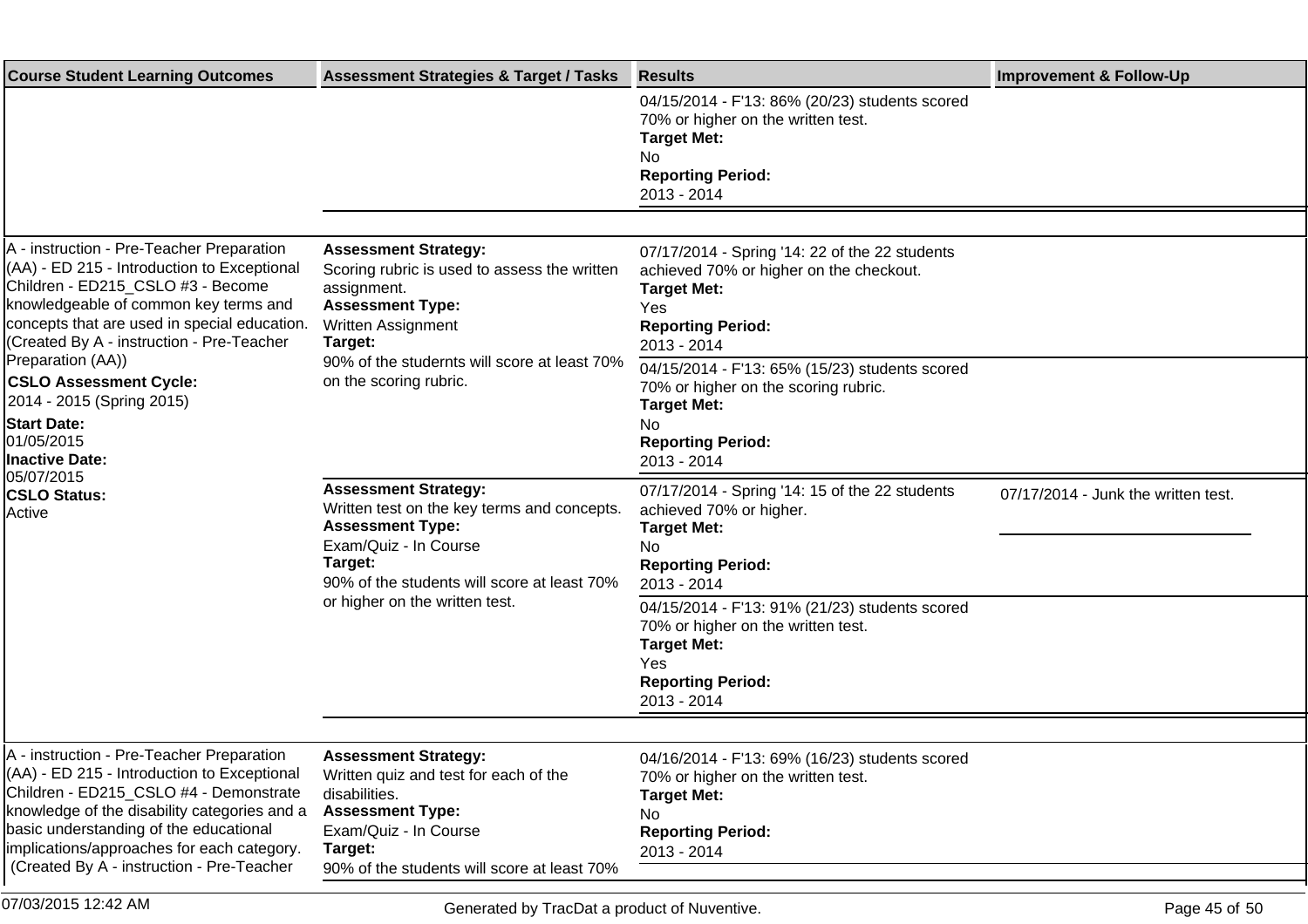| <b>Assessment Strategies &amp; Target / Tasks</b>                                                                                                                                                                          | <b>Results</b>                                                                                                                                                                                                                                                                                                   | <b>Improvement &amp; Follow-Up</b>  |
|----------------------------------------------------------------------------------------------------------------------------------------------------------------------------------------------------------------------------|------------------------------------------------------------------------------------------------------------------------------------------------------------------------------------------------------------------------------------------------------------------------------------------------------------------|-------------------------------------|
|                                                                                                                                                                                                                            | 04/15/2014 - F'13: 86% (20/23) students scored<br>70% or higher on the written test.<br><b>Target Met:</b><br>No<br><b>Reporting Period:</b><br>2013 - 2014                                                                                                                                                      |                                     |
|                                                                                                                                                                                                                            |                                                                                                                                                                                                                                                                                                                  |                                     |
| <b>Assessment Strategy:</b><br>Scoring rubric is used to assess the written<br>assignment.<br><b>Assessment Type:</b><br><b>Written Assignment</b><br>Target:                                                              | 07/17/2014 - Spring '14: 22 of the 22 students<br>achieved 70% or higher on the checkout.<br><b>Target Met:</b><br>Yes<br><b>Reporting Period:</b><br>2013 - 2014                                                                                                                                                |                                     |
| 90% of the studernts will score at least 70%<br>on the scoring rubric.                                                                                                                                                     | 04/15/2014 - F'13: 65% (15/23) students scored<br>70% or higher on the scoring rubric.<br><b>Target Met:</b><br>No<br><b>Reporting Period:</b><br>2013 - 2014                                                                                                                                                    |                                     |
| <b>Assessment Strategy:</b><br>Written test on the key terms and concepts.<br><b>Assessment Type:</b><br>Exam/Quiz - In Course<br>Target:<br>90% of the students will score at least 70%<br>or higher on the written test. | 07/17/2014 - Spring '14: 15 of the 22 students<br>achieved 70% or higher.<br><b>Target Met:</b><br>No<br><b>Reporting Period:</b><br>2013 - 2014<br>04/15/2014 - F'13: 91% (21/23) students scored<br>70% or higher on the written test.<br><b>Target Met:</b><br>Yes<br><b>Reporting Period:</b><br>2013 - 2014 | 07/17/2014 - Junk the written test. |
|                                                                                                                                                                                                                            |                                                                                                                                                                                                                                                                                                                  |                                     |
| Written quiz and test for each of the<br>disabilities.<br><b>Assessment Type:</b><br>Exam/Quiz - In Course<br>Target:<br>90% of the students will score at least 70%                                                       | 04/16/2014 - F'13: 69% (16/23) students scored<br>70% or higher on the written test.<br><b>Target Met:</b><br>No<br><b>Reporting Period:</b><br>2013 - 2014                                                                                                                                                      |                                     |
|                                                                                                                                                                                                                            | <b>Assessment Strategy:</b>                                                                                                                                                                                                                                                                                      |                                     |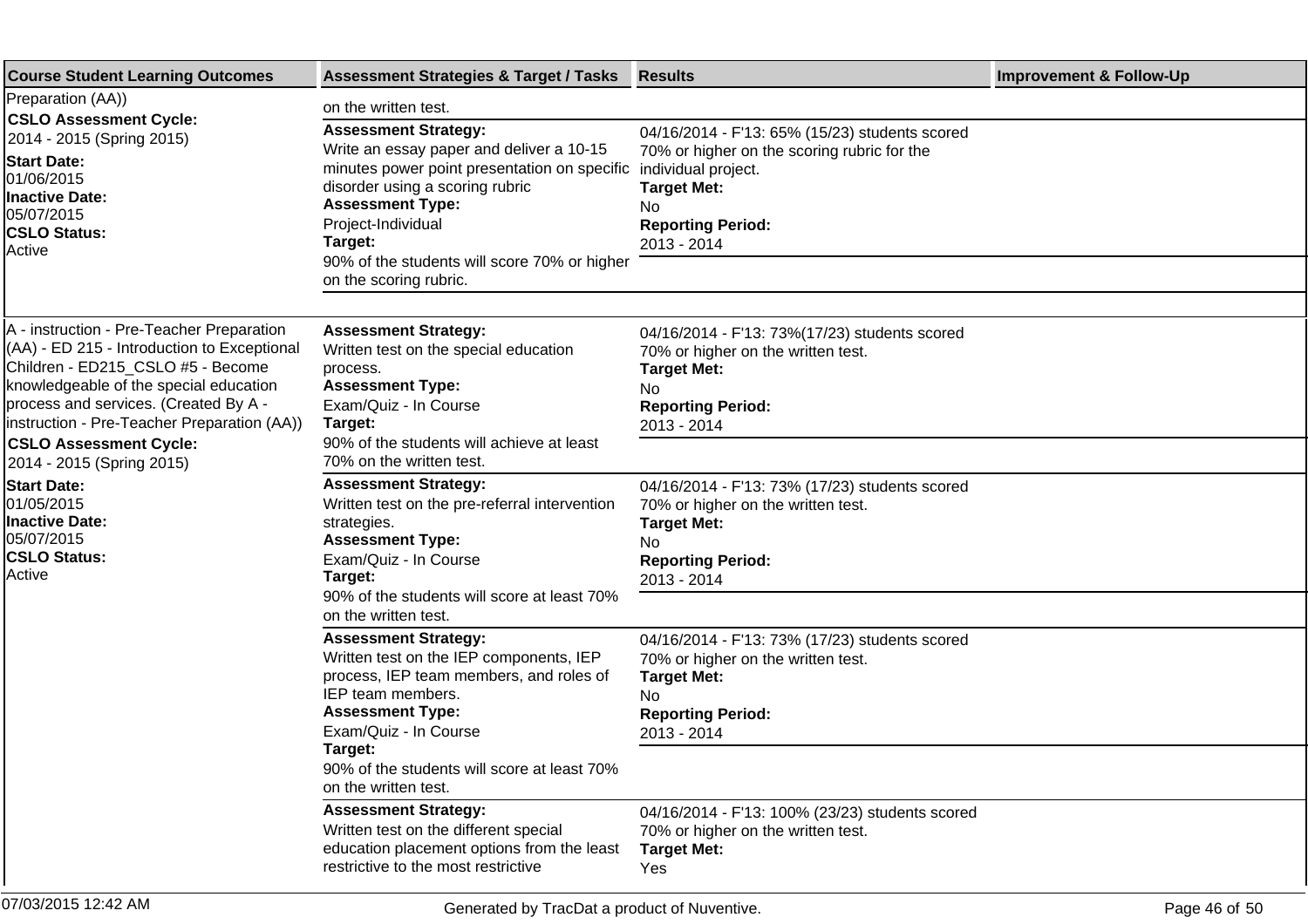| <b>Course Student Learning Outcomes</b>                                                                                                                                                                                                                                                                                       | <b>Assessment Strategies &amp; Target / Tasks</b>                                                                                                                                                                                                                      | <b>Results</b>                                                                                                                                                                              | <b>Improvement &amp; Follow-Up</b> |
|-------------------------------------------------------------------------------------------------------------------------------------------------------------------------------------------------------------------------------------------------------------------------------------------------------------------------------|------------------------------------------------------------------------------------------------------------------------------------------------------------------------------------------------------------------------------------------------------------------------|---------------------------------------------------------------------------------------------------------------------------------------------------------------------------------------------|------------------------------------|
| Preparation (AA))<br><b>CSLO Assessment Cycle:</b>                                                                                                                                                                                                                                                                            | on the written test.                                                                                                                                                                                                                                                   |                                                                                                                                                                                             |                                    |
| 2014 - 2015 (Spring 2015)<br><b>Start Date:</b><br>01/06/2015<br>Inactive Date:<br>05/07/2015<br><b>CSLO Status:</b><br>Active                                                                                                                                                                                                | <b>Assessment Strategy:</b><br>Write an essay paper and deliver a 10-15<br>minutes power point presentation on specific<br>disorder using a scoring rubric<br><b>Assessment Type:</b><br>Project-Individual<br>Target:<br>90% of the students will score 70% or higher | 04/16/2014 - F'13: 65% (15/23) students scored<br>70% or higher on the scoring rubric for the<br>individual project.<br><b>Target Met:</b><br>No<br><b>Reporting Period:</b><br>2013 - 2014 |                                    |
|                                                                                                                                                                                                                                                                                                                               | on the scoring rubric.                                                                                                                                                                                                                                                 |                                                                                                                                                                                             |                                    |
| A - instruction - Pre-Teacher Preparation<br>(AA) - ED 215 - Introduction to Exceptional<br>Children - ED215_CSLO #5 - Become<br>knowledgeable of the special education<br>process and services. (Created By A -<br>instruction - Pre-Teacher Preparation (AA))<br><b>CSLO Assessment Cycle:</b><br>2014 - 2015 (Spring 2015) | <b>Assessment Strategy:</b><br>Written test on the special education<br>process.<br><b>Assessment Type:</b><br>Exam/Quiz - In Course<br>Target:<br>90% of the students will achieve at least<br>70% on the written test.                                               | 04/16/2014 - F'13: 73%(17/23) students scored<br>70% or higher on the written test.<br><b>Target Met:</b><br>No<br><b>Reporting Period:</b><br>2013 - 2014                                  |                                    |
| <b>Start Date:</b><br>01/05/2015<br>Inactive Date:<br>05/07/2015<br><b>CSLO Status:</b><br>Active                                                                                                                                                                                                                             | <b>Assessment Strategy:</b><br>Written test on the pre-referral intervention<br>strategies.<br><b>Assessment Type:</b><br>Exam/Quiz - In Course<br>Target:<br>90% of the students will score at least 70%                                                              | 04/16/2014 - F'13: 73% (17/23) students scored<br>70% or higher on the written test.<br><b>Target Met:</b><br>No<br><b>Reporting Period:</b><br>2013 - 2014                                 |                                    |
|                                                                                                                                                                                                                                                                                                                               | on the written test.<br><b>Assessment Strategy:</b><br>Written test on the IEP components, IEP<br>process, IEP team members, and roles of<br>IEP team members.<br><b>Assessment Type:</b><br>Exam/Quiz - In Course<br>Target:                                          | 04/16/2014 - F'13: 73% (17/23) students scored<br>70% or higher on the written test.<br><b>Target Met:</b><br>No.<br><b>Reporting Period:</b><br>2013 - 2014                                |                                    |
|                                                                                                                                                                                                                                                                                                                               | 90% of the students will score at least 70%<br>on the written test.                                                                                                                                                                                                    |                                                                                                                                                                                             |                                    |
|                                                                                                                                                                                                                                                                                                                               | <b>Assessment Strategy:</b><br>Written test on the different special<br>education placement options from the least<br>restrictive to the most restrictive                                                                                                              | 04/16/2014 - F'13: 100% (23/23) students scored<br>70% or higher on the written test.<br><b>Target Met:</b><br>Yes                                                                          |                                    |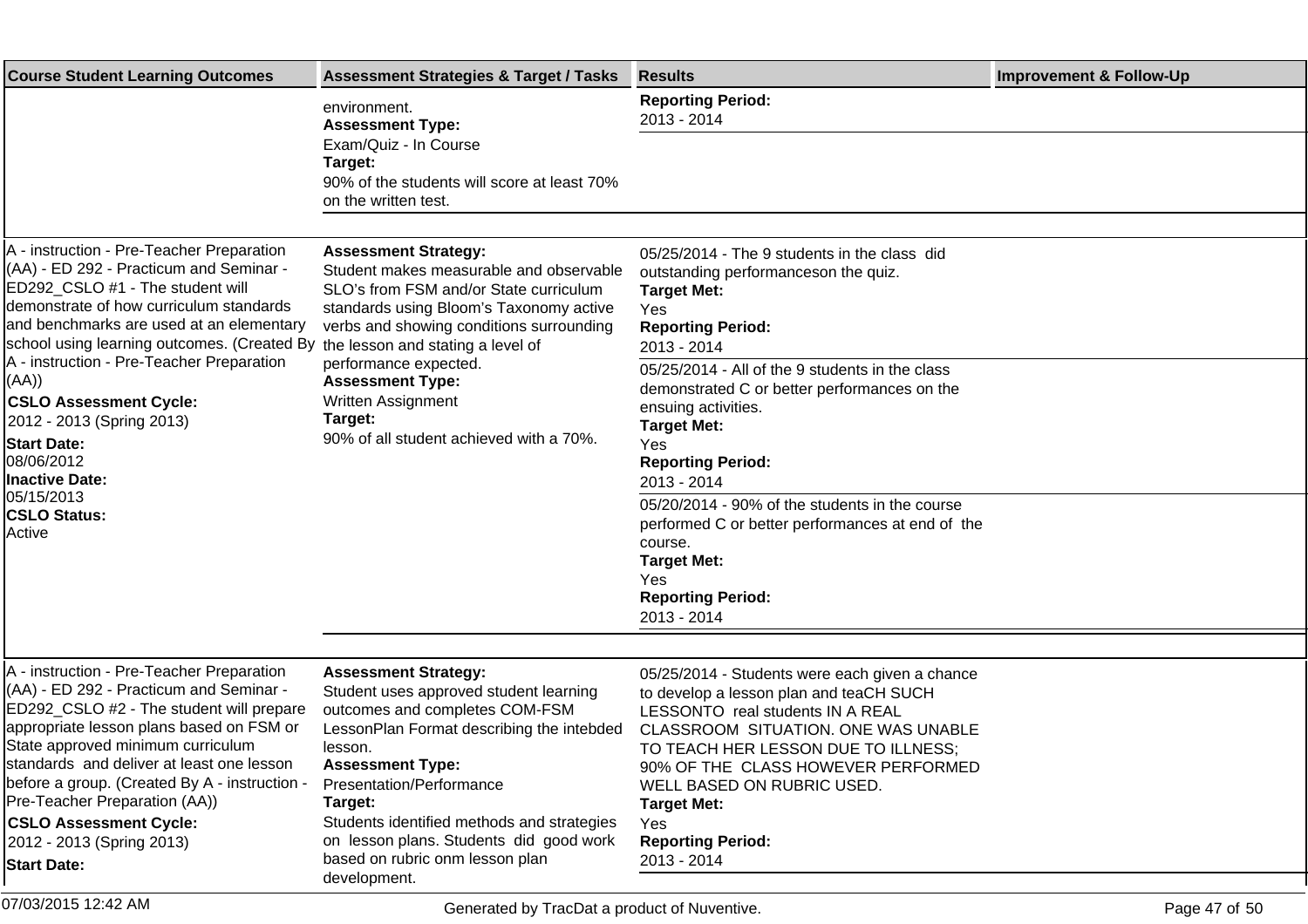| <b>Course Student Learning Outcomes</b>                                                                                                                                                                                                                                                                                                                                                                        | <b>Assessment Strategies &amp; Target / Tasks</b>                                                                                                                                                                                                                                                                          | <b>Results</b>                                                                                                                                                                                                                                                                                                                           | <b>Improvement &amp; Follow-Up</b> |
|----------------------------------------------------------------------------------------------------------------------------------------------------------------------------------------------------------------------------------------------------------------------------------------------------------------------------------------------------------------------------------------------------------------|----------------------------------------------------------------------------------------------------------------------------------------------------------------------------------------------------------------------------------------------------------------------------------------------------------------------------|------------------------------------------------------------------------------------------------------------------------------------------------------------------------------------------------------------------------------------------------------------------------------------------------------------------------------------------|------------------------------------|
|                                                                                                                                                                                                                                                                                                                                                                                                                | environment.<br><b>Assessment Type:</b>                                                                                                                                                                                                                                                                                    | <b>Reporting Period:</b><br>2013 - 2014                                                                                                                                                                                                                                                                                                  |                                    |
|                                                                                                                                                                                                                                                                                                                                                                                                                | Exam/Quiz - In Course<br>Target:<br>90% of the students will score at least 70%<br>on the written test.                                                                                                                                                                                                                    |                                                                                                                                                                                                                                                                                                                                          |                                    |
|                                                                                                                                                                                                                                                                                                                                                                                                                |                                                                                                                                                                                                                                                                                                                            |                                                                                                                                                                                                                                                                                                                                          |                                    |
| A - instruction - Pre-Teacher Preparation<br>(AA) - ED 292 - Practicum and Seminar -<br>ED292_CSLO #1 - The student will<br>demonstrate of how curriculum standards<br>and benchmarks are used at an elementary<br>school using learning outcomes. (Created By                                                                                                                                                 | <b>Assessment Strategy:</b><br>Student makes measurable and observable<br>SLO's from FSM and/or State curriculum<br>standards using Bloom's Taxonomy active<br>verbs and showing conditions surrounding<br>the lesson and stating a level of                                                                               | 05/25/2014 - The 9 students in the class did<br>outstanding performanceson the quiz.<br><b>Target Met:</b><br>Yes<br><b>Reporting Period:</b><br>2013 - 2014                                                                                                                                                                             |                                    |
| A - instruction - Pre-Teacher Preparation<br>(AA))<br><b>CSLO Assessment Cycle:</b><br>2012 - 2013 (Spring 2013)<br><b>Start Date:</b><br>08/06/2012<br><b>Inactive Date:</b>                                                                                                                                                                                                                                  | performance expected.<br><b>Assessment Type:</b><br>Written Assignment<br>Target:<br>90% of all student achieved with a 70%.                                                                                                                                                                                               | 05/25/2014 - All of the 9 students in the class<br>demonstrated C or better performances on the<br>ensuing activities.<br><b>Target Met:</b><br>Yes<br><b>Reporting Period:</b><br>2013 - 2014                                                                                                                                           |                                    |
| 05/15/2013<br><b>CSLO Status:</b><br>Active                                                                                                                                                                                                                                                                                                                                                                    |                                                                                                                                                                                                                                                                                                                            | 05/20/2014 - 90% of the students in the course<br>performed C or better performances at end of the<br>course.<br><b>Target Met:</b><br>Yes<br><b>Reporting Period:</b><br>2013 - 2014                                                                                                                                                    |                                    |
|                                                                                                                                                                                                                                                                                                                                                                                                                |                                                                                                                                                                                                                                                                                                                            |                                                                                                                                                                                                                                                                                                                                          |                                    |
| A - instruction - Pre-Teacher Preparation<br>(AA) - ED 292 - Practicum and Seminar -<br>ED292_CSLO #2 - The student will prepare<br>appropriate lesson plans based on FSM or<br>State approved minimum curriculum<br>standards and deliver at least one lesson<br>before a group. (Created By A - instruction -<br>Pre-Teacher Preparation (AA))<br><b>CSLO Assessment Cycle:</b><br>2012 - 2013 (Spring 2013) | <b>Assessment Strategy:</b><br>Student uses approved student learning<br>outcomes and completes COM-FSM<br>LessonPlan Format describing the intebded<br>lesson.<br><b>Assessment Type:</b><br>Presentation/Performance<br>Target:<br>Students identified methods and strategies<br>on lesson plans. Students did good work | 05/25/2014 - Students were each given a chance<br>to develop a lesson plan and teaCH SUCH<br>LESSONTO real students IN A REAL<br>CLASSROOM SITUATION. ONE WAS UNABLE<br>TO TEACH HER LESSON DUE TO ILLNESS;<br>90% OF THE CLASS HOWEVER PERFORMED<br>WELL BASED ON RUBRIC USED.<br><b>Target Met:</b><br>Yes<br><b>Reporting Period:</b> |                                    |
| <b>Start Date:</b>                                                                                                                                                                                                                                                                                                                                                                                             | based on rubric onm lesson plan<br>development.                                                                                                                                                                                                                                                                            | 2013 - 2014                                                                                                                                                                                                                                                                                                                              |                                    |

07/03/2015 12:42 AM Page 47 of 50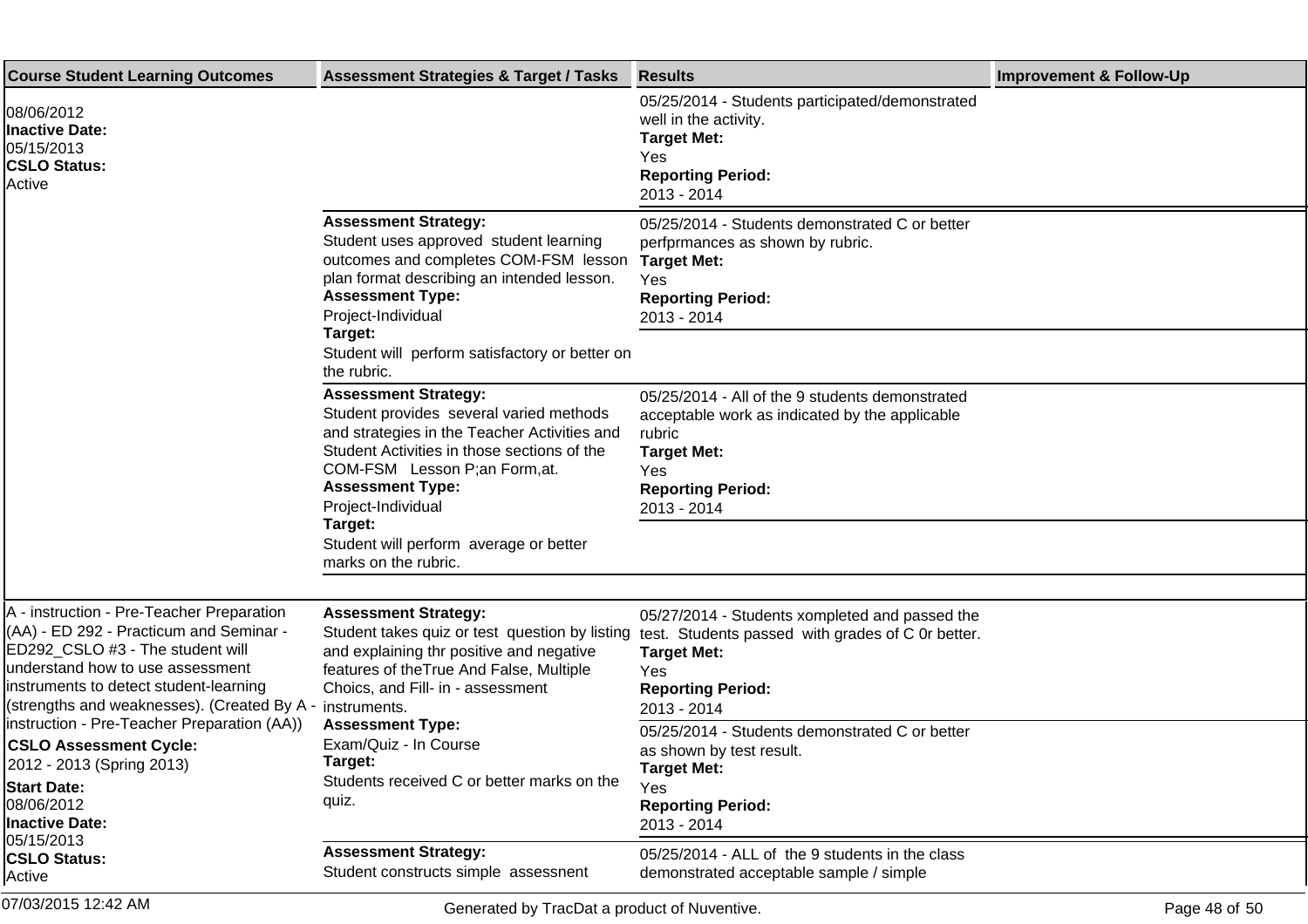| <b>Course Student Learning Outcomes</b>                                                                                                                                                                                                                                                                                                            | <b>Assessment Strategies &amp; Target / Tasks</b>                                                                                                                                                                                                                                                                       | <b>Results</b>                                                                                                                                                                                                                | <b>Improvement &amp; Follow-Up</b> |
|----------------------------------------------------------------------------------------------------------------------------------------------------------------------------------------------------------------------------------------------------------------------------------------------------------------------------------------------------|-------------------------------------------------------------------------------------------------------------------------------------------------------------------------------------------------------------------------------------------------------------------------------------------------------------------------|-------------------------------------------------------------------------------------------------------------------------------------------------------------------------------------------------------------------------------|------------------------------------|
| 08/06/2012<br><b>Inactive Date:</b><br>05/15/2013<br><b>CSLO Status:</b><br>Active                                                                                                                                                                                                                                                                 |                                                                                                                                                                                                                                                                                                                         | 05/25/2014 - Students participated/demonstrated<br>well in the activity.<br><b>Target Met:</b><br>Yes<br><b>Reporting Period:</b><br>2013 - 2014                                                                              |                                    |
|                                                                                                                                                                                                                                                                                                                                                    | <b>Assessment Strategy:</b><br>Student uses approved student learning<br>outcomes and completes COM-FSM lesson<br>plan format describing an intended lesson.<br><b>Assessment Type:</b><br>Project-Individual<br>Target:                                                                                                | 05/25/2014 - Students demonstrated C or better<br>perfprmances as shown by rubric.<br><b>Target Met:</b><br>Yes<br><b>Reporting Period:</b><br>2013 - 2014                                                                    |                                    |
|                                                                                                                                                                                                                                                                                                                                                    | Student will perform satisfactory or better on<br>the rubric.<br><b>Assessment Strategy:</b><br>Student provides several varied methods<br>and strategies in the Teacher Activities and<br>Student Activities in those sections of the<br>COM-FSM Lesson P;an Form,at.<br><b>Assessment Type:</b><br>Project-Individual | 05/25/2014 - All of the 9 students demonstrated<br>acceptable work as indicated by the applicable<br>rubric<br><b>Target Met:</b><br>Yes<br><b>Reporting Period:</b><br>2013 - 2014                                           |                                    |
|                                                                                                                                                                                                                                                                                                                                                    | Target:<br>Student will perform average or better<br>marks on the rubric.                                                                                                                                                                                                                                               |                                                                                                                                                                                                                               |                                    |
| A - instruction - Pre-Teacher Preparation<br>(AA) - ED 292 - Practicum and Seminar -<br>ED292_CSLO #3 - The student will<br>understand how to use assessment<br>instruments to detect student-learning<br>(strengths and weaknesses). (Created By A - instruments.<br>(instruction - Pre-Teacher Preparation (AA)<br><b>CSLO Assessment Cycle:</b> | <b>Assessment Strategy:</b><br>Student takes quiz or test question by listing<br>and explaining thr positive and negative<br>features of the True And False, Multiple<br>Choics, and Fill- in - assessment<br><b>Assessment Type:</b><br>Exam/Quiz - In Course                                                          | 05/27/2014 - Students xompleted and passed the<br>test. Students passed with grades of C 0r better.<br><b>Target Met:</b><br>Yes<br><b>Reporting Period:</b><br>2013 - 2014<br>05/25/2014 - Students demonstrated C or better |                                    |
| 2012 - 2013 (Spring 2013)<br><b>Start Date:</b><br>08/06/2012<br>Inactive Date:<br>05/15/2013                                                                                                                                                                                                                                                      | Target:<br>Students received C or better marks on the<br>quiz.                                                                                                                                                                                                                                                          | as shown by test result.<br><b>Target Met:</b><br>Yes<br><b>Reporting Period:</b><br>2013 - 2014                                                                                                                              |                                    |
| <b>CSLO Status:</b><br>Active                                                                                                                                                                                                                                                                                                                      | <b>Assessment Strategy:</b><br>Student constructs simple assessnent                                                                                                                                                                                                                                                     | 05/25/2014 - ALL of the 9 students in the class<br>demonstrated acceptable sample / simple                                                                                                                                    |                                    |
| 07/03/2015 12:42 AM                                                                                                                                                                                                                                                                                                                                | Generated by TracDat a product of Nuventive.                                                                                                                                                                                                                                                                            |                                                                                                                                                                                                                               | Page 48 of 50                      |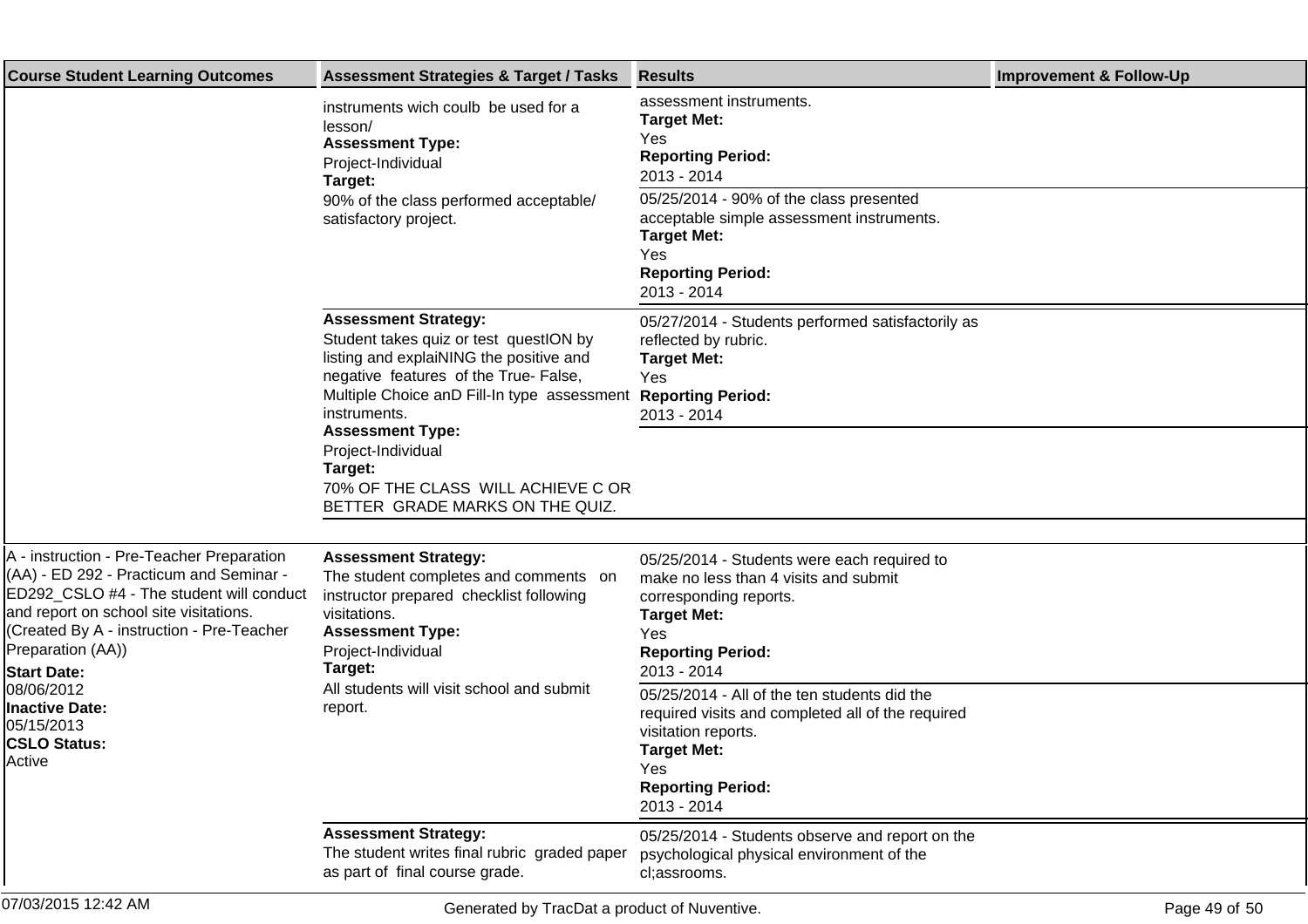| <b>Course Student Learning Outcomes</b>                                                                                                                                                                                                                                                                                                                  | <b>Assessment Strategies &amp; Target / Tasks</b>                                                                                                                                                                                                                                                                                                             | <b>Results</b>                                                                                                                                                                                   | <b>Improvement &amp; Follow-Up</b> |
|----------------------------------------------------------------------------------------------------------------------------------------------------------------------------------------------------------------------------------------------------------------------------------------------------------------------------------------------------------|---------------------------------------------------------------------------------------------------------------------------------------------------------------------------------------------------------------------------------------------------------------------------------------------------------------------------------------------------------------|--------------------------------------------------------------------------------------------------------------------------------------------------------------------------------------------------|------------------------------------|
|                                                                                                                                                                                                                                                                                                                                                          | instruments wich coulb be used for a<br>lesson/<br><b>Assessment Type:</b><br>Project-Individual<br>Target:<br>90% of the class performed acceptable/<br>satisfactory project.                                                                                                                                                                                | assessment instruments.<br><b>Target Met:</b><br>Yes<br><b>Reporting Period:</b><br>2013 - 2014<br>05/25/2014 - 90% of the class presented                                                       |                                    |
|                                                                                                                                                                                                                                                                                                                                                          |                                                                                                                                                                                                                                                                                                                                                               | acceptable simple assessment instruments.<br><b>Target Met:</b><br>Yes<br><b>Reporting Period:</b><br>2013 - 2014                                                                                |                                    |
|                                                                                                                                                                                                                                                                                                                                                          | <b>Assessment Strategy:</b><br>Student takes quiz or test questION by<br>listing and explaiNING the positive and<br>negative features of the True- False,<br>Multiple Choice anD Fill-In type assessment<br>instruments.<br><b>Assessment Type:</b><br>Project-Individual<br>Target:<br>70% OF THE CLASS WILL ACHIEVE C OR<br>BETTER GRADE MARKS ON THE QUIZ. | 05/27/2014 - Students performed satisfactorily as<br>reflected by rubric.<br><b>Target Met:</b><br>Yes<br><b>Reporting Period:</b><br>2013 - 2014                                                |                                    |
|                                                                                                                                                                                                                                                                                                                                                          |                                                                                                                                                                                                                                                                                                                                                               |                                                                                                                                                                                                  |                                    |
| A - instruction - Pre-Teacher Preparation<br>(AA) - ED 292 - Practicum and Seminar -<br>ED292 CSLO #4 - The student will conduct<br>and report on school site visitations.<br>(Created By A - instruction - Pre-Teacher<br>Preparation (AA))<br><b>Start Date:</b><br>08/06/2012<br><b>Inactive Date:</b><br>05/15/2013<br><b>CSLO Status:</b><br>Active | <b>Assessment Strategy:</b><br>The student completes and comments on<br>instructor prepared checklist following<br>visitations.<br><b>Assessment Type:</b><br>Project-Individual<br>Target:<br>All students will visit school and submit<br>report.                                                                                                           | 05/25/2014 - Students were each required to<br>make no less than 4 visits and submit<br>corresponding reports.<br><b>Target Met:</b><br>Yes<br><b>Reporting Period:</b><br>2013 - 2014           |                                    |
|                                                                                                                                                                                                                                                                                                                                                          |                                                                                                                                                                                                                                                                                                                                                               | 05/25/2014 - All of the ten students did the<br>required visits and completed all of the required<br>visitation reports.<br><b>Target Met:</b><br>Yes<br><b>Reporting Period:</b><br>2013 - 2014 |                                    |
|                                                                                                                                                                                                                                                                                                                                                          | <b>Assessment Strategy:</b><br>The student writes final rubric graded paper<br>as part of final course grade.                                                                                                                                                                                                                                                 | 05/25/2014 - Students observe and report on the<br>psychological physical environment of the<br>cl;assrooms.                                                                                     |                                    |